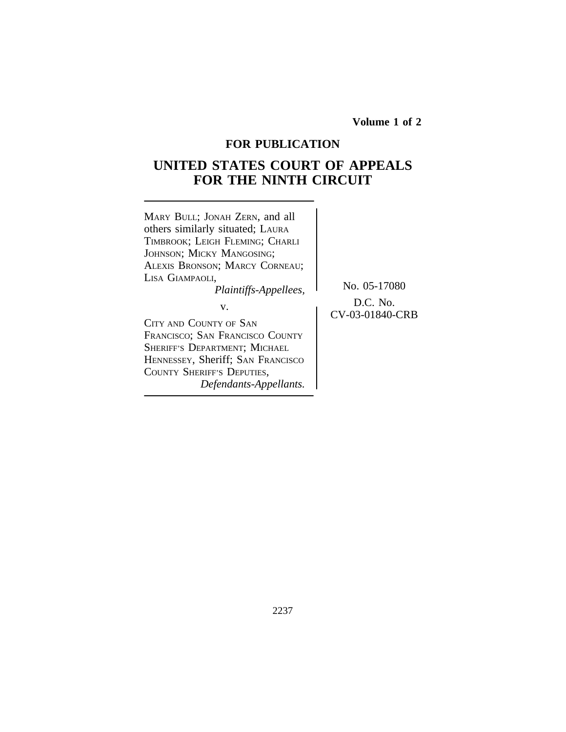**Volume 1 of 2**

# **FOR PUBLICATION**

# **UNITED STATES COURT OF APPEALS FOR THE NINTH CIRCUIT**

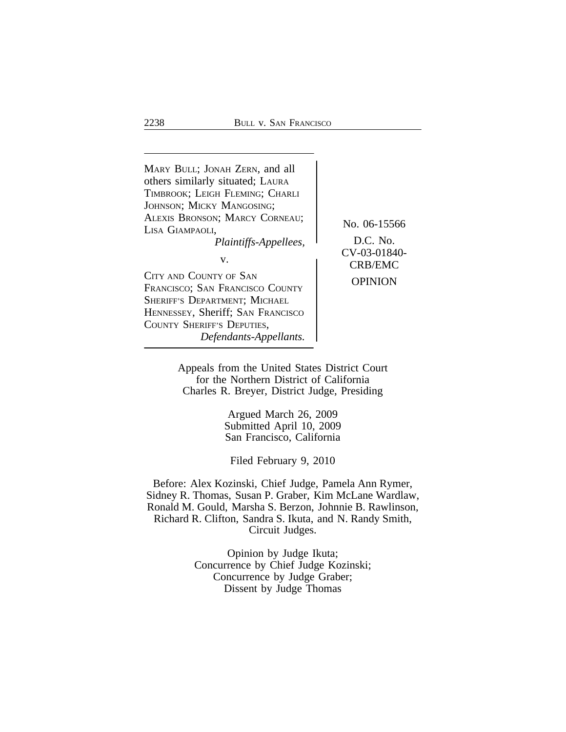| MARY BULL; JONAH ZERN, and all<br>others similarly situated; LAURA<br>TIMBROOK; LEIGH FLEMING; CHARLI<br>JOHNSON; MICKY MANGOSING;<br>ALEXIS BRONSON; MARCY CORNEAU;<br>LISA GIAMPAOLI,<br>Plaintiffs-Appellees,<br>V.<br>CITY AND COUNTY OF SAN<br>FRANCISCO; SAN FRANCISCO COUNTY<br>SHERIFF'S DEPARTMENT; MICHAEL<br>HENNESSEY, Sheriff; SAN FRANCISCO<br>COUNTY SHERIFF'S DEPUTIES,<br>Defendants-Appellants. | No. 06-15566<br>D.C. No.<br>CV-03-01840-<br><b>CRB/EMC</b><br><b>OPINION</b> |
|-------------------------------------------------------------------------------------------------------------------------------------------------------------------------------------------------------------------------------------------------------------------------------------------------------------------------------------------------------------------------------------------------------------------|------------------------------------------------------------------------------|
|-------------------------------------------------------------------------------------------------------------------------------------------------------------------------------------------------------------------------------------------------------------------------------------------------------------------------------------------------------------------------------------------------------------------|------------------------------------------------------------------------------|

Appeals from the United States District Court for the Northern District of California Charles R. Breyer, District Judge, Presiding

> Argued March 26, 2009 Submitted April 10, 2009 San Francisco, California

Filed February 9, 2010

Before: Alex Kozinski, Chief Judge, Pamela Ann Rymer, Sidney R. Thomas, Susan P. Graber, Kim McLane Wardlaw, Ronald M. Gould, Marsha S. Berzon, Johnnie B. Rawlinson, Richard R. Clifton, Sandra S. Ikuta, and N. Randy Smith, Circuit Judges.

> Opinion by Judge Ikuta; Concurrence by Chief Judge Kozinski; Concurrence by Judge Graber; Dissent by Judge Thomas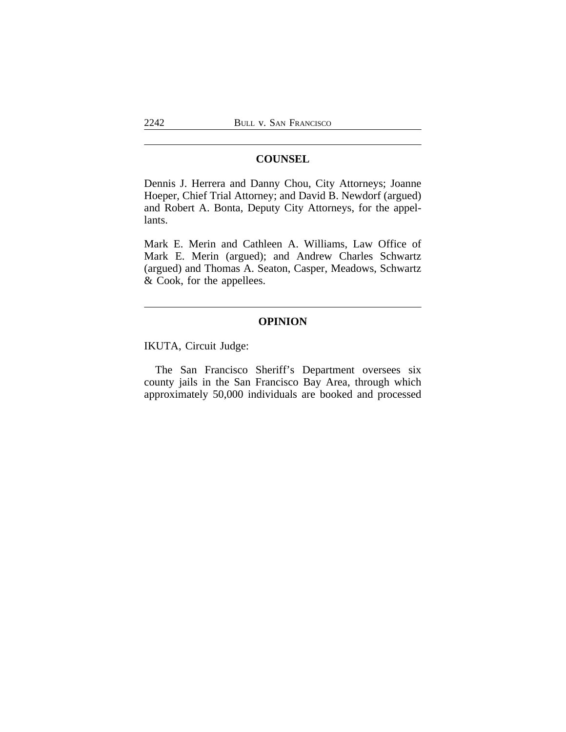# **COUNSEL**

Dennis J. Herrera and Danny Chou, City Attorneys; Joanne Hoeper, Chief Trial Attorney; and David B. Newdorf (argued) and Robert A. Bonta, Deputy City Attorneys, for the appellants.

Mark E. Merin and Cathleen A. Williams, Law Office of Mark E. Merin (argued); and Andrew Charles Schwartz (argued) and Thomas A. Seaton, Casper, Meadows, Schwartz & Cook, for the appellees.

# **OPINION**

IKUTA, Circuit Judge:

The San Francisco Sheriff's Department oversees six county jails in the San Francisco Bay Area, through which approximately 50,000 individuals are booked and processed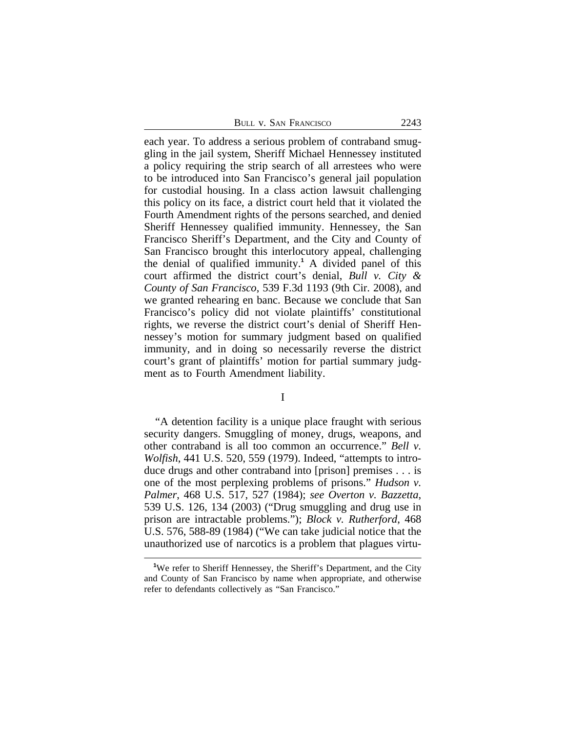| <b>BULL V. SAN FRANCISCO</b> | 2243 |
|------------------------------|------|
|------------------------------|------|

each year. To address a serious problem of contraband smuggling in the jail system, Sheriff Michael Hennessey instituted a policy requiring the strip search of all arrestees who were to be introduced into San Francisco's general jail population for custodial housing. In a class action lawsuit challenging this policy on its face, a district court held that it violated the Fourth Amendment rights of the persons searched, and denied Sheriff Hennessey qualified immunity. Hennessey, the San Francisco Sheriff's Department, and the City and County of San Francisco brought this interlocutory appeal, challenging the denial of qualified immunity.**<sup>1</sup>** A divided panel of this court affirmed the district court's denial, *Bull v. City & County of San Francisco*, 539 F.3d 1193 (9th Cir. 2008), and we granted rehearing en banc. Because we conclude that San Francisco's policy did not violate plaintiffs' constitutional rights, we reverse the district court's denial of Sheriff Hennessey's motion for summary judgment based on qualified immunity, and in doing so necessarily reverse the district court's grant of plaintiffs' motion for partial summary judgment as to Fourth Amendment liability.

I

"A detention facility is a unique place fraught with serious security dangers. Smuggling of money, drugs, weapons, and other contraband is all too common an occurrence." *Bell v. Wolfish*, 441 U.S. 520, 559 (1979). Indeed, "attempts to introduce drugs and other contraband into [prison] premises . . . is one of the most perplexing problems of prisons." *Hudson v. Palmer*, 468 U.S. 517, 527 (1984); *see Overton v. Bazzetta*, 539 U.S. 126, 134 (2003) ("Drug smuggling and drug use in prison are intractable problems."); *Block v. Rutherford*, 468 U.S. 576, 588-89 (1984) ("We can take judicial notice that the unauthorized use of narcotics is a problem that plagues virtu-

**<sup>1</sup>**We refer to Sheriff Hennessey, the Sheriff's Department, and the City and County of San Francisco by name when appropriate, and otherwise refer to defendants collectively as "San Francisco."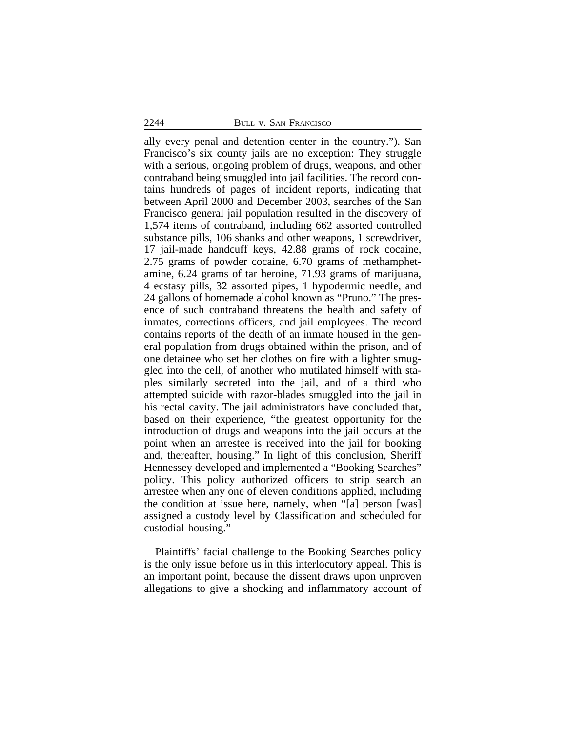ally every penal and detention center in the country."). San Francisco's six county jails are no exception: They struggle with a serious, ongoing problem of drugs, weapons, and other contraband being smuggled into jail facilities. The record contains hundreds of pages of incident reports, indicating that between April 2000 and December 2003, searches of the San Francisco general jail population resulted in the discovery of 1,574 items of contraband, including 662 assorted controlled substance pills, 106 shanks and other weapons, 1 screwdriver, 17 jail-made handcuff keys, 42.88 grams of rock cocaine, 2.75 grams of powder cocaine, 6.70 grams of methamphetamine, 6.24 grams of tar heroine, 71.93 grams of marijuana, 4 ecstasy pills, 32 assorted pipes, 1 hypodermic needle, and 24 gallons of homemade alcohol known as "Pruno." The presence of such contraband threatens the health and safety of inmates, corrections officers, and jail employees. The record contains reports of the death of an inmate housed in the general population from drugs obtained within the prison, and of one detainee who set her clothes on fire with a lighter smuggled into the cell, of another who mutilated himself with staples similarly secreted into the jail, and of a third who attempted suicide with razor-blades smuggled into the jail in his rectal cavity. The jail administrators have concluded that, based on their experience, "the greatest opportunity for the introduction of drugs and weapons into the jail occurs at the point when an arrestee is received into the jail for booking and, thereafter, housing." In light of this conclusion, Sheriff Hennessey developed and implemented a "Booking Searches" policy. This policy authorized officers to strip search an arrestee when any one of eleven conditions applied, including the condition at issue here, namely, when "[a] person [was] assigned a custody level by Classification and scheduled for custodial housing."

Plaintiffs' facial challenge to the Booking Searches policy is the only issue before us in this interlocutory appeal. This is an important point, because the dissent draws upon unproven allegations to give a shocking and inflammatory account of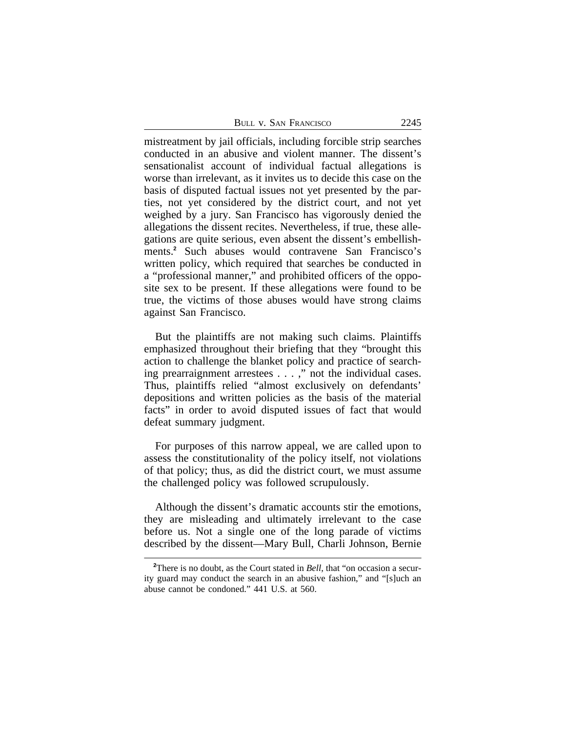| BULL V. SAN FRANCISCO | 2245 |
|-----------------------|------|
|                       |      |

mistreatment by jail officials, including forcible strip searches conducted in an abusive and violent manner. The dissent's sensationalist account of individual factual allegations is worse than irrelevant, as it invites us to decide this case on the basis of disputed factual issues not yet presented by the parties, not yet considered by the district court, and not yet weighed by a jury. San Francisco has vigorously denied the allegations the dissent recites. Nevertheless, if true, these allegations are quite serious, even absent the dissent's embellishments.**<sup>2</sup>** Such abuses would contravene San Francisco's written policy, which required that searches be conducted in a "professional manner," and prohibited officers of the opposite sex to be present. If these allegations were found to be true, the victims of those abuses would have strong claims against San Francisco.

But the plaintiffs are not making such claims. Plaintiffs emphasized throughout their briefing that they "brought this action to challenge the blanket policy and practice of searching prearraignment arrestees . . . ," not the individual cases. Thus, plaintiffs relied "almost exclusively on defendants' depositions and written policies as the basis of the material facts" in order to avoid disputed issues of fact that would defeat summary judgment.

For purposes of this narrow appeal, we are called upon to assess the constitutionality of the policy itself, not violations of that policy; thus, as did the district court, we must assume the challenged policy was followed scrupulously.

Although the dissent's dramatic accounts stir the emotions, they are misleading and ultimately irrelevant to the case before us. Not a single one of the long parade of victims described by the dissent—Mary Bull, Charli Johnson, Bernie

**<sup>2</sup>**There is no doubt, as the Court stated in *Bell*, that "on occasion a security guard may conduct the search in an abusive fashion," and "[s]uch an abuse cannot be condoned." 441 U.S. at 560.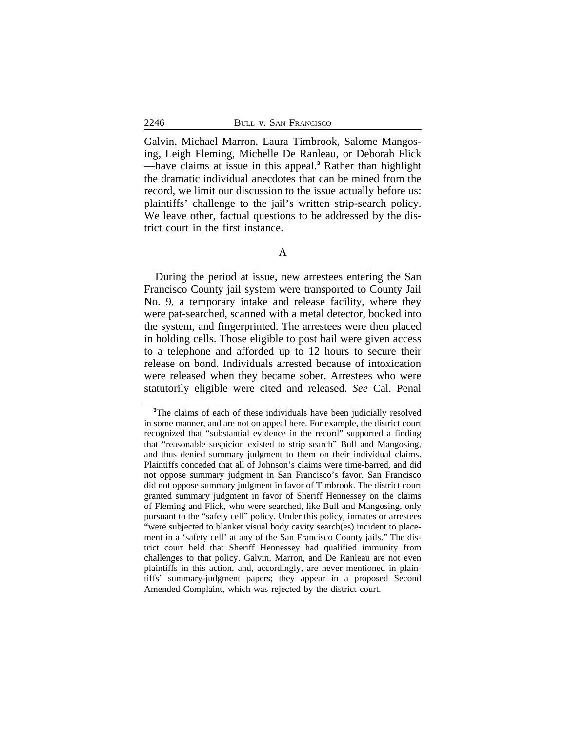Galvin, Michael Marron, Laura Timbrook, Salome Mangosing, Leigh Fleming, Michelle De Ranleau, or Deborah Flick —have claims at issue in this appeal.**<sup>3</sup>** Rather than highlight the dramatic individual anecdotes that can be mined from the record, we limit our discussion to the issue actually before us: plaintiffs' challenge to the jail's written strip-search policy. We leave other, factual questions to be addressed by the district court in the first instance.

During the period at issue, new arrestees entering the San Francisco County jail system were transported to County Jail No. 9, a temporary intake and release facility, where they were pat-searched, scanned with a metal detector, booked into the system, and fingerprinted. The arrestees were then placed in holding cells. Those eligible to post bail were given access to a telephone and afforded up to 12 hours to secure their release on bond. Individuals arrested because of intoxication were released when they became sober. Arrestees who were statutorily eligible were cited and released. *See* Cal. Penal

<sup>&</sup>lt;sup>3</sup>The claims of each of these individuals have been judicially resolved in some manner, and are not on appeal here. For example, the district court recognized that "substantial evidence in the record" supported a finding that "reasonable suspicion existed to strip search" Bull and Mangosing, and thus denied summary judgment to them on their individual claims. Plaintiffs conceded that all of Johnson's claims were time-barred, and did not oppose summary judgment in San Francisco's favor. San Francisco did not oppose summary judgment in favor of Timbrook. The district court granted summary judgment in favor of Sheriff Hennessey on the claims of Fleming and Flick, who were searched, like Bull and Mangosing, only pursuant to the "safety cell" policy. Under this policy, inmates or arrestees "were subjected to blanket visual body cavity search(es) incident to placement in a 'safety cell' at any of the San Francisco County jails." The district court held that Sheriff Hennessey had qualified immunity from challenges to that policy. Galvin, Marron, and De Ranleau are not even plaintiffs in this action, and, accordingly, are never mentioned in plaintiffs' summary-judgment papers; they appear in a proposed Second Amended Complaint, which was rejected by the district court.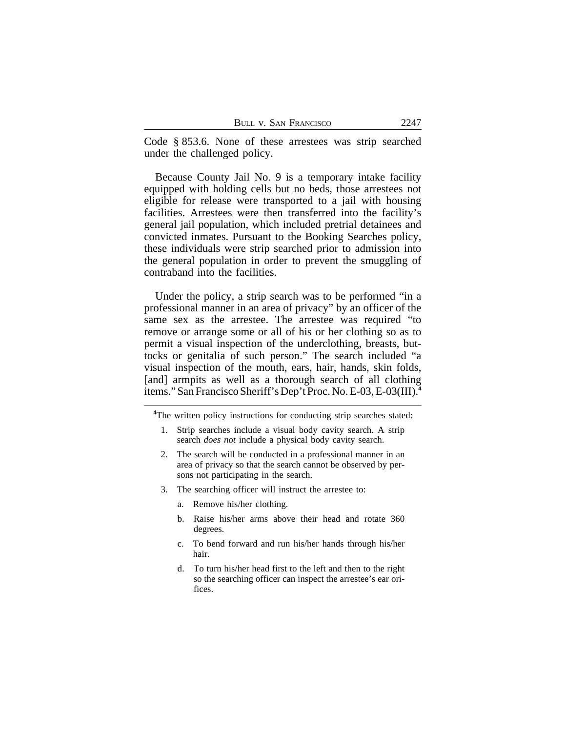Code § 853.6. None of these arrestees was strip searched under the challenged policy.

Because County Jail No. 9 is a temporary intake facility equipped with holding cells but no beds, those arrestees not eligible for release were transported to a jail with housing facilities. Arrestees were then transferred into the facility's general jail population, which included pretrial detainees and convicted inmates. Pursuant to the Booking Searches policy, these individuals were strip searched prior to admission into the general population in order to prevent the smuggling of contraband into the facilities.

Under the policy, a strip search was to be performed "in a professional manner in an area of privacy" by an officer of the same sex as the arrestee. The arrestee was required "to remove or arrange some or all of his or her clothing so as to permit a visual inspection of the underclothing, breasts, buttocks or genitalia of such person." The search included "a visual inspection of the mouth, ears, hair, hands, skin folds, [and] armpits as well as a thorough search of all clothing items." San Francisco Sheriff's Dep't Proc. No. E-03, E-03(III).**<sup>4</sup>**

**<sup>4</sup>**The written policy instructions for conducting strip searches stated:

- 1. Strip searches include a visual body cavity search. A strip search *does not* include a physical body cavity search.
- 2. The search will be conducted in a professional manner in an area of privacy so that the search cannot be observed by persons not participating in the search.
- 3. The searching officer will instruct the arrestee to:
	- a. Remove his/her clothing.
	- b. Raise his/her arms above their head and rotate 360 degrees.
	- c. To bend forward and run his/her hands through his/her hair.
	- d. To turn his/her head first to the left and then to the right so the searching officer can inspect the arrestee's ear orifices.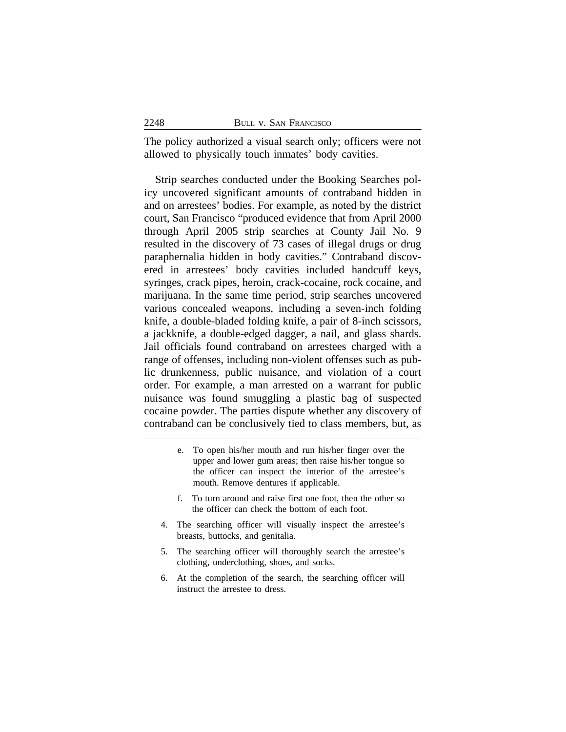The policy authorized a visual search only; officers were not allowed to physically touch inmates' body cavities.

Strip searches conducted under the Booking Searches policy uncovered significant amounts of contraband hidden in and on arrestees' bodies. For example, as noted by the district court, San Francisco "produced evidence that from April 2000 through April 2005 strip searches at County Jail No. 9 resulted in the discovery of 73 cases of illegal drugs or drug paraphernalia hidden in body cavities." Contraband discovered in arrestees' body cavities included handcuff keys, syringes, crack pipes, heroin, crack-cocaine, rock cocaine, and marijuana. In the same time period, strip searches uncovered various concealed weapons, including a seven-inch folding knife, a double-bladed folding knife, a pair of 8-inch scissors, a jackknife, a double-edged dagger, a nail, and glass shards. Jail officials found contraband on arrestees charged with a range of offenses, including non-violent offenses such as public drunkenness, public nuisance, and violation of a court order. For example, a man arrested on a warrant for public nuisance was found smuggling a plastic bag of suspected cocaine powder. The parties dispute whether any discovery of contraband can be conclusively tied to class members, but, as

- e. To open his/her mouth and run his/her finger over the upper and lower gum areas; then raise his/her tongue so the officer can inspect the interior of the arrestee's mouth. Remove dentures if applicable.
- f. To turn around and raise first one foot, then the other so the officer can check the bottom of each foot.
- 4. The searching officer will visually inspect the arrestee's breasts, buttocks, and genitalia.
- 5. The searching officer will thoroughly search the arrestee's clothing, underclothing, shoes, and socks.
- 6. At the completion of the search, the searching officer will instruct the arrestee to dress.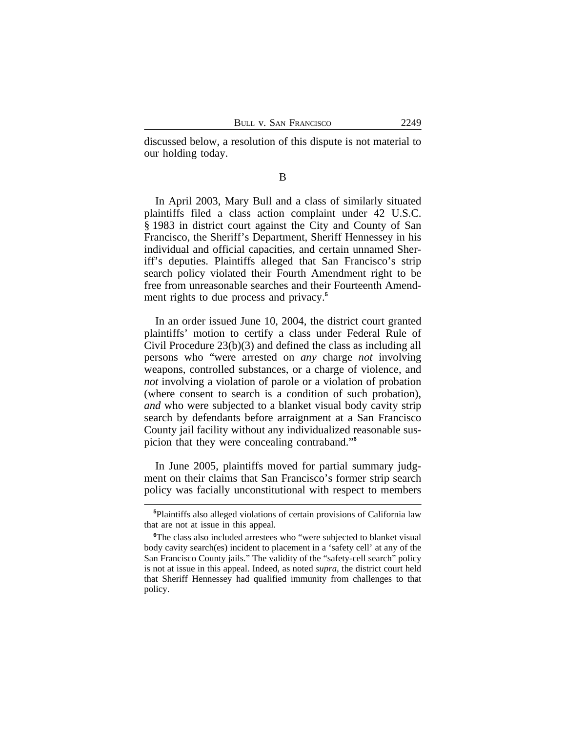discussed below, a resolution of this dispute is not material to our holding today.

B

In April 2003, Mary Bull and a class of similarly situated plaintiffs filed a class action complaint under 42 U.S.C. § 1983 in district court against the City and County of San Francisco, the Sheriff's Department, Sheriff Hennessey in his individual and official capacities, and certain unnamed Sheriff's deputies. Plaintiffs alleged that San Francisco's strip search policy violated their Fourth Amendment right to be free from unreasonable searches and their Fourteenth Amendment rights to due process and privacy.**<sup>5</sup>**

In an order issued June 10, 2004, the district court granted plaintiffs' motion to certify a class under Federal Rule of Civil Procedure 23(b)(3) and defined the class as including all persons who "were arrested on *any* charge *not* involving weapons, controlled substances, or a charge of violence, and *not* involving a violation of parole or a violation of probation (where consent to search is a condition of such probation), *and* who were subjected to a blanket visual body cavity strip search by defendants before arraignment at a San Francisco County jail facility without any individualized reasonable suspicion that they were concealing contraband." **6**

In June 2005, plaintiffs moved for partial summary judgment on their claims that San Francisco's former strip search policy was facially unconstitutional with respect to members

**<sup>5</sup>**Plaintiffs also alleged violations of certain provisions of California law that are not at issue in this appeal.

<sup>&</sup>lt;sup>6</sup>The class also included arrestees who "were subjected to blanket visual body cavity search(es) incident to placement in a 'safety cell' at any of the San Francisco County jails." The validity of the "safety-cell search" policy is not at issue in this appeal. Indeed, as noted *supra*, the district court held that Sheriff Hennessey had qualified immunity from challenges to that policy.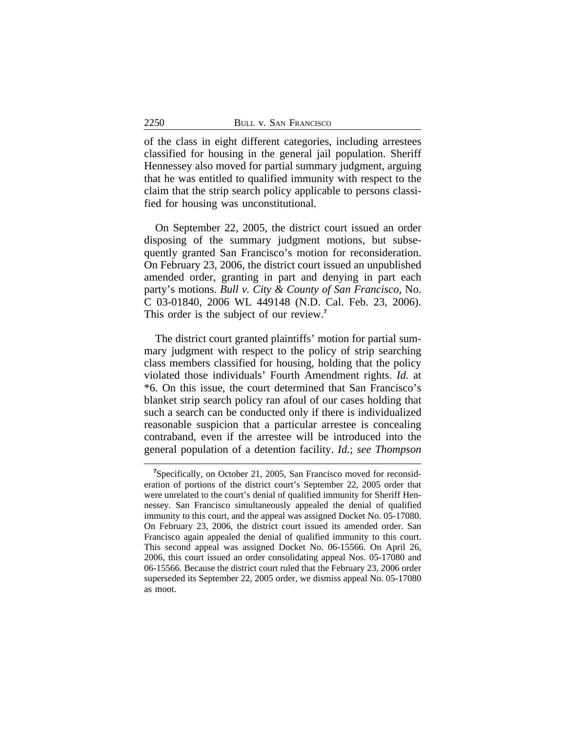of the class in eight different categories, including arrestees classified for housing in the general jail population. Sheriff Hennessey also moved for partial summary judgment, arguing that he was entitled to qualified immunity with respect to the claim that the strip search policy applicable to persons classified for housing was unconstitutional.

On September 22, 2005, the district court issued an order disposing of the summary judgment motions, but subsequently granted San Francisco's motion for reconsideration. On February 23, 2006, the district court issued an unpublished amended order, granting in part and denying in part each party's motions. *Bull v. City & County of San Francisco*, No. C 03-01840, 2006 WL 449148 (N.D. Cal. Feb. 23, 2006). This order is the subject of our review.**<sup>7</sup>**

The district court granted plaintiffs' motion for partial summary judgment with respect to the policy of strip searching class members classified for housing, holding that the policy violated those individuals' Fourth Amendment rights. *Id.* at \*6. On this issue, the court determined that San Francisco's blanket strip search policy ran afoul of our cases holding that such a search can be conducted only if there is individualized reasonable suspicion that a particular arrestee is concealing contraband, even if the arrestee will be introduced into the general population of a detention facility. *Id.*; *see Thompson*

**<sup>7</sup>**Specifically, on October 21, 2005, San Francisco moved for reconsideration of portions of the district court's September 22, 2005 order that were unrelated to the court's denial of qualified immunity for Sheriff Hennessey. San Francisco simultaneously appealed the denial of qualified immunity to this court, and the appeal was assigned Docket No. 05-17080. On February 23, 2006, the district court issued its amended order. San Francisco again appealed the denial of qualified immunity to this court. This second appeal was assigned Docket No. 06-15566. On April 26, 2006, this court issued an order consolidating appeal Nos. 05-17080 and 06-15566. Because the district court ruled that the February 23, 2006 order superseded its September 22, 2005 order, we dismiss appeal No. 05-17080 as moot.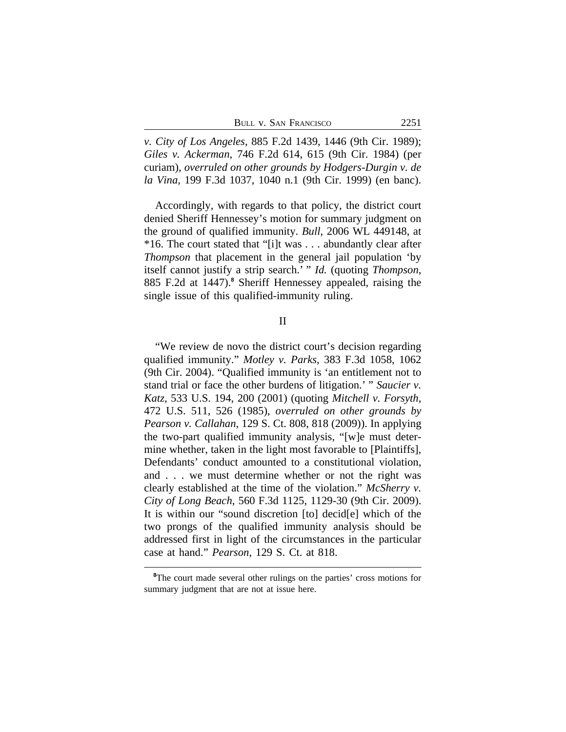*v. City of Los Angeles*, 885 F.2d 1439, 1446 (9th Cir. 1989); *Giles v. Ackerman*, 746 F.2d 614, 615 (9th Cir. 1984) (per curiam), *overruled on other grounds by Hodgers-Durgin v. de la Vina*, 199 F.3d 1037, 1040 n.1 (9th Cir. 1999) (en banc).

Accordingly, with regards to that policy, the district court denied Sheriff Hennessey's motion for summary judgment on the ground of qualified immunity. *Bull*, 2006 WL 449148, at \*16. The court stated that "[i]t was . . . abundantly clear after *Thompson* that placement in the general jail population 'by itself cannot justify a strip search.' " *Id.* (quoting *Thompson*, 885 F.2d at 1447).**<sup>8</sup>** Sheriff Hennessey appealed, raising the single issue of this qualified-immunity ruling.

II

"We review de novo the district court's decision regarding qualified immunity." *Motley v. Parks*, 383 F.3d 1058, 1062 (9th Cir. 2004). "Qualified immunity is 'an entitlement not to stand trial or face the other burdens of litigation.' " *Saucier v. Katz*, 533 U.S. 194, 200 (2001) (quoting *Mitchell v. Forsyth*, 472 U.S. 511, 526 (1985), *overruled on other grounds by Pearson v. Callahan*, 129 S. Ct. 808, 818 (2009)). In applying the two-part qualified immunity analysis, "[w]e must determine whether, taken in the light most favorable to [Plaintiffs], Defendants' conduct amounted to a constitutional violation, and . . . we must determine whether or not the right was clearly established at the time of the violation." *McSherry v. City of Long Beach*, 560 F.3d 1125, 1129-30 (9th Cir. 2009). It is within our "sound discretion [to] decid[e] which of the two prongs of the qualified immunity analysis should be addressed first in light of the circumstances in the particular case at hand." *Pearson*, 129 S. Ct. at 818.

<sup>&</sup>lt;sup>8</sup>The court made several other rulings on the parties' cross motions for summary judgment that are not at issue here.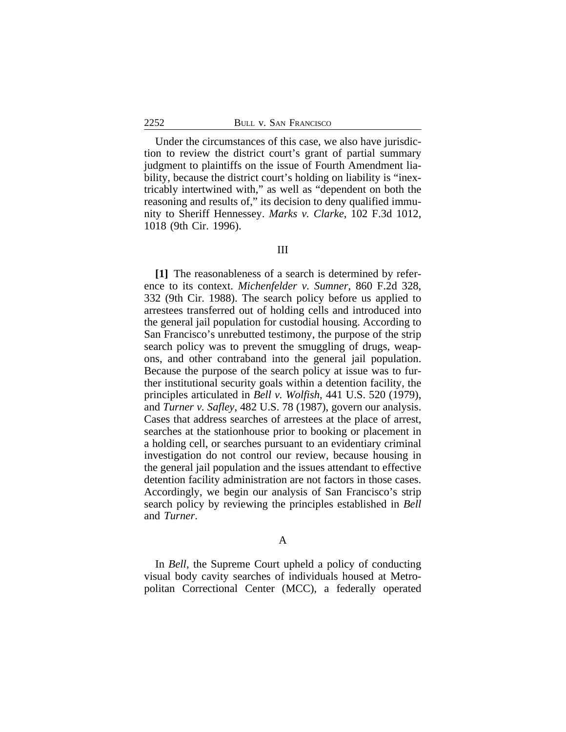Under the circumstances of this case, we also have jurisdiction to review the district court's grant of partial summary judgment to plaintiffs on the issue of Fourth Amendment liability, because the district court's holding on liability is "inextricably intertwined with," as well as "dependent on both the reasoning and results of," its decision to deny qualified immunity to Sheriff Hennessey. *Marks v. Clarke*, 102 F.3d 1012, 1018 (9th Cir. 1996).

#### III

**[1]** The reasonableness of a search is determined by reference to its context. *Michenfelder v. Sumner*, 860 F.2d 328, 332 (9th Cir. 1988). The search policy before us applied to arrestees transferred out of holding cells and introduced into the general jail population for custodial housing. According to San Francisco's unrebutted testimony, the purpose of the strip search policy was to prevent the smuggling of drugs, weapons, and other contraband into the general jail population. Because the purpose of the search policy at issue was to further institutional security goals within a detention facility, the principles articulated in *Bell v. Wolfish*, 441 U.S. 520 (1979), and *Turner v. Safley*, 482 U.S. 78 (1987), govern our analysis. Cases that address searches of arrestees at the place of arrest, searches at the stationhouse prior to booking or placement in a holding cell, or searches pursuant to an evidentiary criminal investigation do not control our review, because housing in the general jail population and the issues attendant to effective detention facility administration are not factors in those cases. Accordingly, we begin our analysis of San Francisco's strip search policy by reviewing the principles established in *Bell* and *Turner*.

### A

In *Bell*, the Supreme Court upheld a policy of conducting visual body cavity searches of individuals housed at Metropolitan Correctional Center (MCC), a federally operated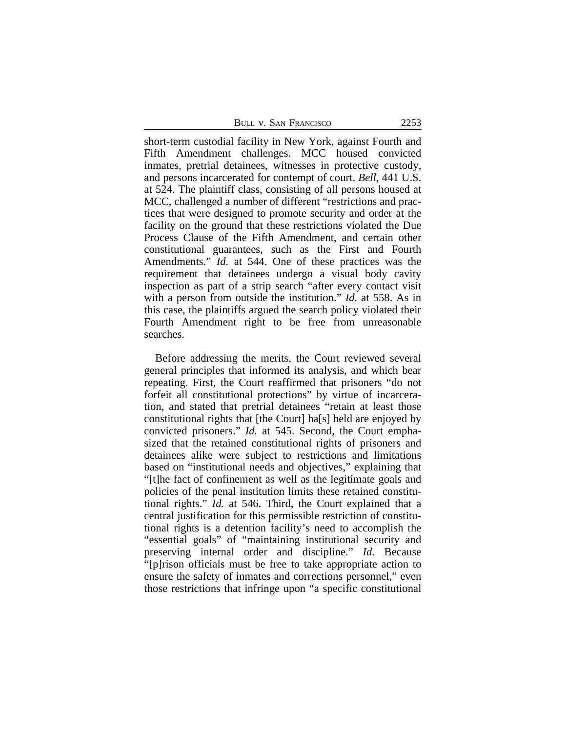BULL V. SAN FRANCISCO 2253

short-term custodial facility in New York, against Fourth and Fifth Amendment challenges. MCC housed convicted inmates, pretrial detainees, witnesses in protective custody, and persons incarcerated for contempt of court. *Bell*, 441 U.S. at 524. The plaintiff class, consisting of all persons housed at MCC, challenged a number of different "restrictions and practices that were designed to promote security and order at the facility on the ground that these restrictions violated the Due Process Clause of the Fifth Amendment, and certain other constitutional guarantees, such as the First and Fourth Amendments." *Id.* at 544. One of these practices was the requirement that detainees undergo a visual body cavity inspection as part of a strip search "after every contact visit with a person from outside the institution." *Id.* at 558. As in this case, the plaintiffs argued the search policy violated their Fourth Amendment right to be free from unreasonable searches.

Before addressing the merits, the Court reviewed several general principles that informed its analysis, and which bear repeating. First, the Court reaffirmed that prisoners "do not forfeit all constitutional protections" by virtue of incarceration, and stated that pretrial detainees "retain at least those constitutional rights that [the Court] ha[s] held are enjoyed by convicted prisoners." *Id.* at 545. Second, the Court emphasized that the retained constitutional rights of prisoners and detainees alike were subject to restrictions and limitations based on "institutional needs and objectives," explaining that "[t]he fact of confinement as well as the legitimate goals and policies of the penal institution limits these retained constitutional rights." *Id.* at 546. Third, the Court explained that a central justification for this permissible restriction of constitutional rights is a detention facility's need to accomplish the "essential goals" of "maintaining institutional security and preserving internal order and discipline." *Id.* Because "[p]rison officials must be free to take appropriate action to ensure the safety of inmates and corrections personnel," even those restrictions that infringe upon "a specific constitutional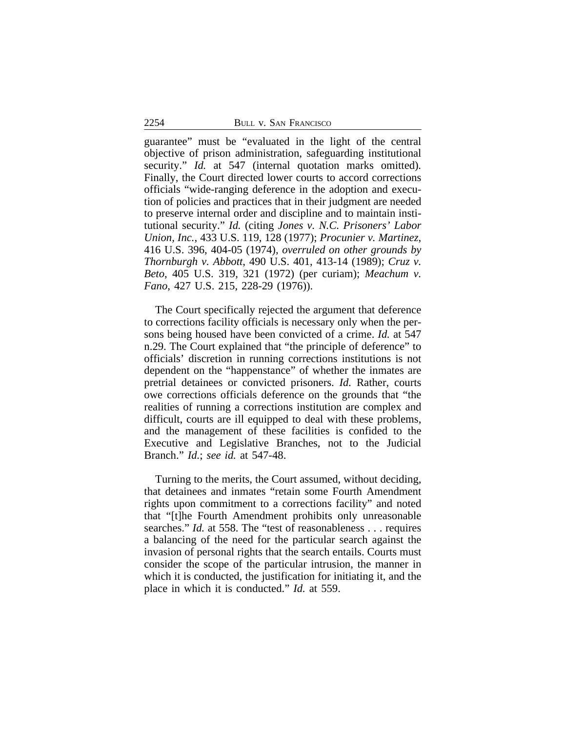guarantee" must be "evaluated in the light of the central objective of prison administration, safeguarding institutional security." *Id.* at 547 (internal quotation marks omitted)*.* Finally, the Court directed lower courts to accord corrections officials "wide-ranging deference in the adoption and execution of policies and practices that in their judgment are needed to preserve internal order and discipline and to maintain institutional security." *Id.* (citing *Jones v. N.C. Prisoners' Labor Union, Inc.*, 433 U.S. 119, 128 (1977); *Procunier v. Martinez*, 416 U.S. 396, 404-05 (1974), *overruled on other grounds by Thornburgh v. Abbott*, 490 U.S. 401, 413-14 (1989); *Cruz v. Beto*, 405 U.S. 319, 321 (1972) (per curiam); *Meachum v. Fano*, 427 U.S. 215, 228-29 (1976)).

The Court specifically rejected the argument that deference to corrections facility officials is necessary only when the persons being housed have been convicted of a crime. *Id.* at 547 n.29. The Court explained that "the principle of deference" to officials' discretion in running corrections institutions is not dependent on the "happenstance" of whether the inmates are pretrial detainees or convicted prisoners. *Id.* Rather, courts owe corrections officials deference on the grounds that "the realities of running a corrections institution are complex and difficult, courts are ill equipped to deal with these problems, and the management of these facilities is confided to the Executive and Legislative Branches, not to the Judicial Branch." *Id.*; *see id.* at 547-48.

Turning to the merits, the Court assumed, without deciding, that detainees and inmates "retain some Fourth Amendment rights upon commitment to a corrections facility" and noted that "[t]he Fourth Amendment prohibits only unreasonable searches." *Id.* at 558. The "test of reasonableness . . . requires a balancing of the need for the particular search against the invasion of personal rights that the search entails. Courts must consider the scope of the particular intrusion, the manner in which it is conducted, the justification for initiating it, and the place in which it is conducted." *Id.* at 559.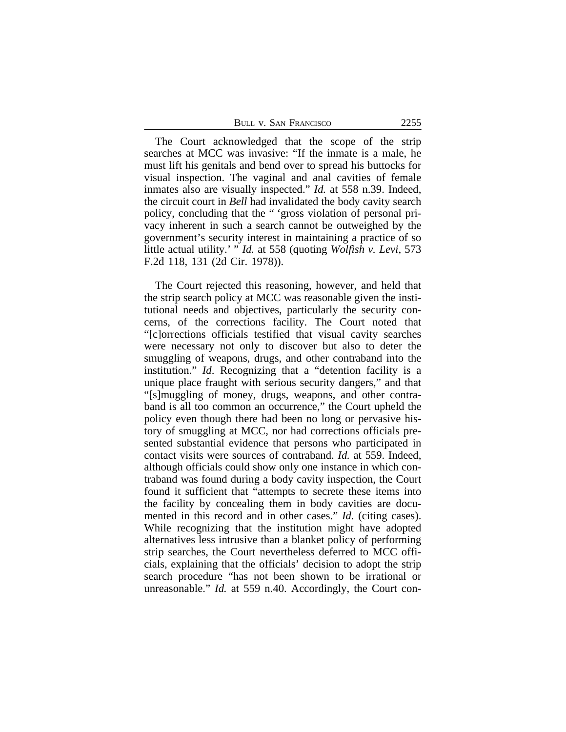| BULL V. SAN FRANCISCO | 2255 |
|-----------------------|------|
|-----------------------|------|

The Court acknowledged that the scope of the strip searches at MCC was invasive: "If the inmate is a male, he must lift his genitals and bend over to spread his buttocks for visual inspection. The vaginal and anal cavities of female inmates also are visually inspected." *Id.* at 558 n.39. Indeed, the circuit court in *Bell* had invalidated the body cavity search policy, concluding that the " 'gross violation of personal privacy inherent in such a search cannot be outweighed by the government's security interest in maintaining a practice of so little actual utility.' " *Id.* at 558 (quoting *Wolfish v. Levi*, 573 F.2d 118, 131 (2d Cir. 1978)).

The Court rejected this reasoning, however, and held that the strip search policy at MCC was reasonable given the institutional needs and objectives, particularly the security concerns, of the corrections facility. The Court noted that "[c]orrections officials testified that visual cavity searches were necessary not only to discover but also to deter the smuggling of weapons, drugs, and other contraband into the institution." *Id*. Recognizing that a "detention facility is a unique place fraught with serious security dangers," and that "[s]muggling of money, drugs, weapons, and other contraband is all too common an occurrence," the Court upheld the policy even though there had been no long or pervasive history of smuggling at MCC, nor had corrections officials presented substantial evidence that persons who participated in contact visits were sources of contraband. *Id.* at 559. Indeed, although officials could show only one instance in which contraband was found during a body cavity inspection, the Court found it sufficient that "attempts to secrete these items into the facility by concealing them in body cavities are documented in this record and in other cases." *Id.* (citing cases). While recognizing that the institution might have adopted alternatives less intrusive than a blanket policy of performing strip searches, the Court nevertheless deferred to MCC officials, explaining that the officials' decision to adopt the strip search procedure "has not been shown to be irrational or unreasonable." *Id.* at 559 n.40. Accordingly, the Court con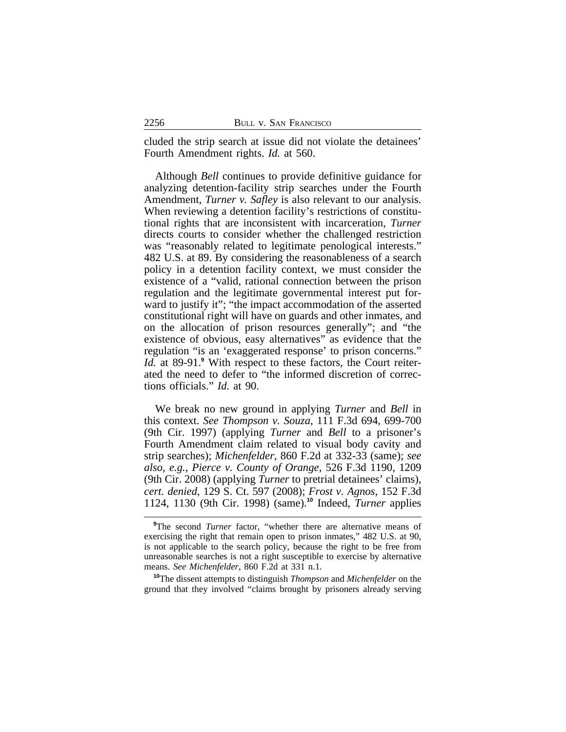cluded the strip search at issue did not violate the detainees' Fourth Amendment rights. *Id.* at 560.

Although *Bell* continues to provide definitive guidance for analyzing detention-facility strip searches under the Fourth Amendment, *Turner v. Safley* is also relevant to our analysis. When reviewing a detention facility's restrictions of constitutional rights that are inconsistent with incarceration, *Turner* directs courts to consider whether the challenged restriction was "reasonably related to legitimate penological interests." 482 U.S. at 89. By considering the reasonableness of a search policy in a detention facility context, we must consider the existence of a "valid, rational connection between the prison regulation and the legitimate governmental interest put forward to justify it"; "the impact accommodation of the asserted constitutional right will have on guards and other inmates, and on the allocation of prison resources generally"; and "the existence of obvious, easy alternatives" as evidence that the regulation "is an 'exaggerated response' to prison concerns." *Id.* at 89-91.**<sup>9</sup>** With respect to these factors, the Court reiterated the need to defer to "the informed discretion of corrections officials." *Id.* at 90.

We break no new ground in applying *Turner* and *Bell* in this context. *See Thompson v. Souza*, 111 F.3d 694, 699-700 (9th Cir. 1997) (applying *Turner* and *Bell* to a prisoner's Fourth Amendment claim related to visual body cavity and strip searches); *Michenfelder*, 860 F.2d at 332-33 (same); *see also, e.g.*, *Pierce v. County of Orange*, 526 F.3d 1190, 1209 (9th Cir. 2008) (applying *Turner* to pretrial detainees' claims), *cert. denied*, 129 S. Ct. 597 (2008); *Frost v. Agnos*, 152 F.3d 1124, 1130 (9th Cir. 1998) (same). **<sup>10</sup>** Indeed, *Turner* applies

**<sup>10</sup>**The dissent attempts to distinguish *Thompson* and *Michenfelder* on the ground that they involved "claims brought by prisoners already serving

<sup>&</sup>lt;sup>9</sup>The second *Turner* factor, "whether there are alternative means of exercising the right that remain open to prison inmates," 482 U.S. at 90, is not applicable to the search policy, because the right to be free from unreasonable searches is not a right susceptible to exercise by alternative means. *See Michenfelder*, 860 F.2d at 331 n.1*.*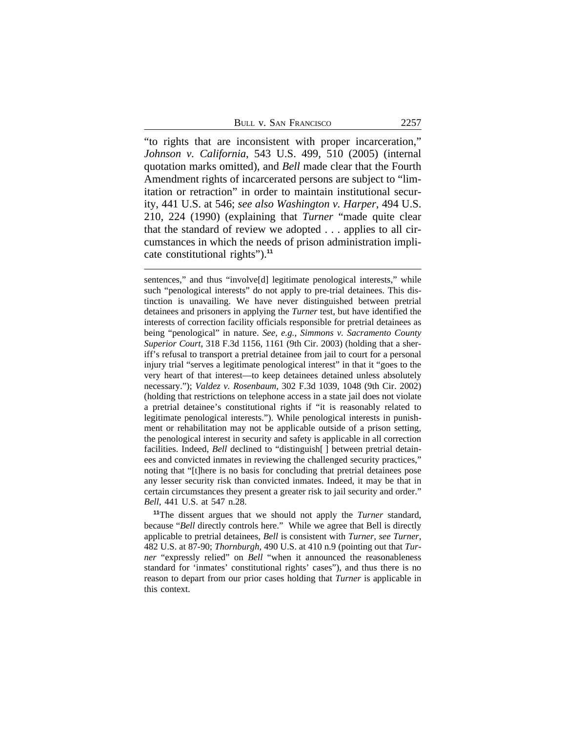BULL V. SAN FRANCISCO 2257

"to rights that are inconsistent with proper incarceration," *Johnson v. California*, 543 U.S. 499, 510 (2005) (internal quotation marks omitted), and *Bell* made clear that the Fourth Amendment rights of incarcerated persons are subject to "limitation or retraction" in order to maintain institutional security, 441 U.S. at 546; *see also Washington v. Harper*, 494 U.S. 210, 224 (1990) (explaining that *Turner* "made quite clear that the standard of review we adopted . . . applies to all circumstances in which the needs of prison administration implicate constitutional rights").**<sup>11</sup>**

sentences," and thus "involve[d] legitimate penological interests," while such "penological interests" do not apply to pre-trial detainees. This distinction is unavailing. We have never distinguished between pretrial detainees and prisoners in applying the *Turner* test, but have identified the interests of correction facility officials responsible for pretrial detainees as being "penological" in nature. *See, e.g.*, *Simmons v. Sacramento County Superior Court*, 318 F.3d 1156, 1161 (9th Cir. 2003) (holding that a sheriff's refusal to transport a pretrial detainee from jail to court for a personal injury trial "serves a legitimate penological interest" in that it "goes to the very heart of that interest—to keep detainees detained unless absolutely necessary."); *Valdez v. Rosenbaum*, 302 F.3d 1039, 1048 (9th Cir. 2002) (holding that restrictions on telephone access in a state jail does not violate a pretrial detainee's constitutional rights if "it is reasonably related to legitimate penological interests."). While penological interests in punishment or rehabilitation may not be applicable outside of a prison setting, the penological interest in security and safety is applicable in all correction facilities. Indeed, *Bell* declined to "distinguish[ ] between pretrial detainees and convicted inmates in reviewing the challenged security practices," noting that "[t]here is no basis for concluding that pretrial detainees pose any lesser security risk than convicted inmates. Indeed, it may be that in certain circumstances they present a greater risk to jail security and order." *Bell*, 441 U.S. at 547 n.28.

**<sup>11</sup>**The dissent argues that we should not apply the *Turner* standard, because "*Bell* directly controls here." While we agree that Bell is directly applicable to pretrial detainees, *Bell* is consistent with *Turner*, *see Turner*, 482 U.S. at 87-90; *Thornburgh*, 490 U.S. at 410 n.9 (pointing out that *Turner* "expressly relied" on *Bell* "when it announced the reasonableness standard for 'inmates' constitutional rights' cases"), and thus there is no reason to depart from our prior cases holding that *Turner* is applicable in this context.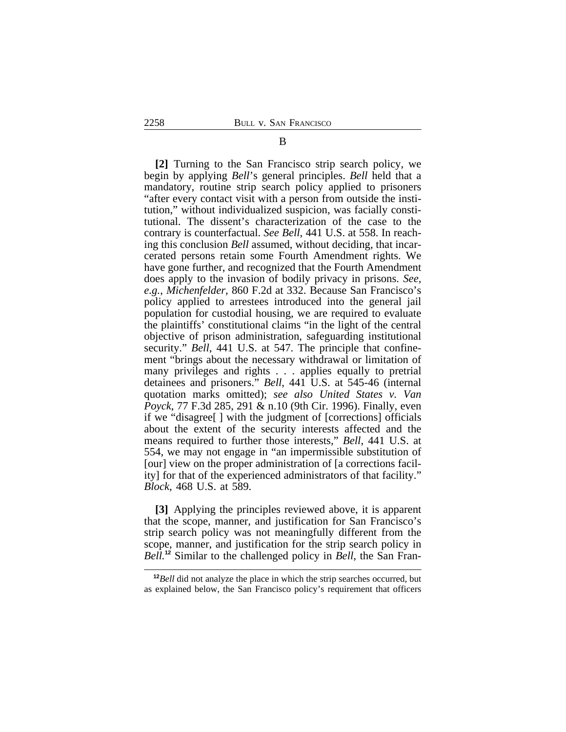**[2]** Turning to the San Francisco strip search policy, we begin by applying *Bell*'s general principles. *Bell* held that a mandatory, routine strip search policy applied to prisoners "after every contact visit with a person from outside the institution," without individualized suspicion, was facially constitutional. The dissent's characterization of the case to the contrary is counterfactual. *See Bell*, 441 U.S. at 558. In reaching this conclusion *Bell* assumed, without deciding, that incarcerated persons retain some Fourth Amendment rights. We have gone further, and recognized that the Fourth Amendment does apply to the invasion of bodily privacy in prisons. *See, e.g.*, *Michenfelder*, 860 F.2d at 332. Because San Francisco's policy applied to arrestees introduced into the general jail population for custodial housing, we are required to evaluate the plaintiffs' constitutional claims "in the light of the central objective of prison administration, safeguarding institutional security." *Bell*, 441 U.S. at 547. The principle that confinement "brings about the necessary withdrawal or limitation of many privileges and rights . . . applies equally to pretrial detainees and prisoners." *Bell*, 441 U.S. at 545-46 (internal quotation marks omitted); *see also United States v. Van Poyck*, 77 F.3d 285, 291 & n.10 (9th Cir. 1996). Finally, even if we "disagree[ ] with the judgment of [corrections] officials about the extent of the security interests affected and the means required to further those interests," *Bell*, 441 U.S. at 554, we may not engage in "an impermissible substitution of [our] view on the proper administration of [a corrections facility] for that of the experienced administrators of that facility." *Block*, 468 U.S. at 589.

**[3]** Applying the principles reviewed above, it is apparent that the scope, manner, and justification for San Francisco's strip search policy was not meaningfully different from the scope, manner, and justification for the strip search policy in *Bell.***12** Similar to the challenged policy in *Bell*, the San Fran-

B

**<sup>12</sup>***Bell* did not analyze the place in which the strip searches occurred, but as explained below, the San Francisco policy's requirement that officers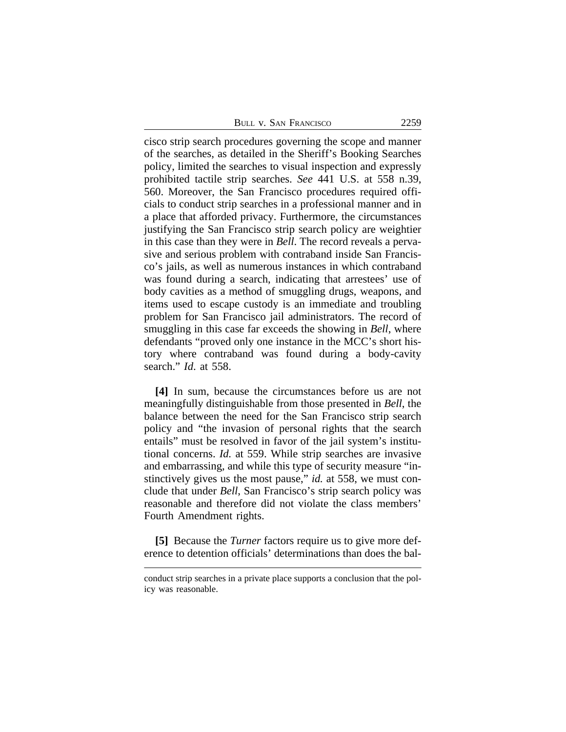| BULL V. SAN FRANCISCO | 2259 |
|-----------------------|------|
|-----------------------|------|

cisco strip search procedures governing the scope and manner of the searches, as detailed in the Sheriff's Booking Searches policy, limited the searches to visual inspection and expressly prohibited tactile strip searches. *See* 441 U.S. at 558 n.39, 560. Moreover, the San Francisco procedures required officials to conduct strip searches in a professional manner and in a place that afforded privacy. Furthermore, the circumstances justifying the San Francisco strip search policy are weightier in this case than they were in *Bell*. The record reveals a pervasive and serious problem with contraband inside San Francisco's jails, as well as numerous instances in which contraband was found during a search, indicating that arrestees' use of body cavities as a method of smuggling drugs, weapons, and items used to escape custody is an immediate and troubling problem for San Francisco jail administrators. The record of smuggling in this case far exceeds the showing in *Bell*, where defendants "proved only one instance in the MCC's short history where contraband was found during a body-cavity search." *Id*. at 558.

**[4]** In sum, because the circumstances before us are not meaningfully distinguishable from those presented in *Bell*, the balance between the need for the San Francisco strip search policy and "the invasion of personal rights that the search entails" must be resolved in favor of the jail system's institutional concerns. *Id.* at 559. While strip searches are invasive and embarrassing, and while this type of security measure "instinctively gives us the most pause," *id.* at 558, we must conclude that under *Bell*, San Francisco's strip search policy was reasonable and therefore did not violate the class members' Fourth Amendment rights.

**[5]** Because the *Turner* factors require us to give more deference to detention officials' determinations than does the bal-

conduct strip searches in a private place supports a conclusion that the policy was reasonable.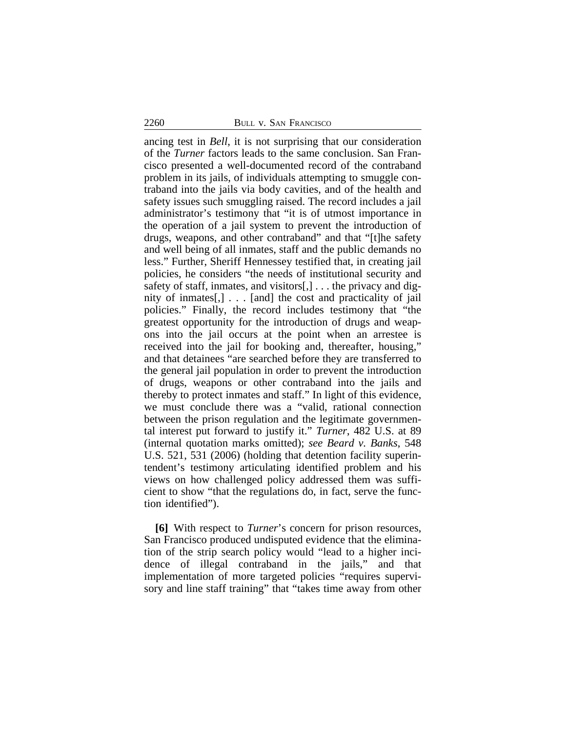ancing test in *Bell*, it is not surprising that our consideration of the *Turner* factors leads to the same conclusion. San Francisco presented a well-documented record of the contraband problem in its jails, of individuals attempting to smuggle contraband into the jails via body cavities, and of the health and safety issues such smuggling raised. The record includes a jail administrator's testimony that "it is of utmost importance in the operation of a jail system to prevent the introduction of drugs, weapons, and other contraband" and that "[t]he safety and well being of all inmates, staff and the public demands no less." Further, Sheriff Hennessey testified that, in creating jail policies, he considers "the needs of institutional security and safety of staff, inmates, and visitors[,] . . . the privacy and dignity of inmates[,] . . . [and] the cost and practicality of jail policies." Finally, the record includes testimony that "the greatest opportunity for the introduction of drugs and weapons into the jail occurs at the point when an arrestee is received into the jail for booking and, thereafter, housing," and that detainees "are searched before they are transferred to the general jail population in order to prevent the introduction of drugs, weapons or other contraband into the jails and thereby to protect inmates and staff." In light of this evidence, we must conclude there was a "valid, rational connection between the prison regulation and the legitimate governmental interest put forward to justify it." *Turner*, 482 U.S. at 89 (internal quotation marks omitted); *see Beard v. Banks*, 548 U.S. 521, 531 (2006) (holding that detention facility superintendent's testimony articulating identified problem and his views on how challenged policy addressed them was sufficient to show "that the regulations do, in fact, serve the function identified").

**[6]** With respect to *Turner*'s concern for prison resources, San Francisco produced undisputed evidence that the elimination of the strip search policy would "lead to a higher incidence of illegal contraband in the jails," and that implementation of more targeted policies "requires supervisory and line staff training" that "takes time away from other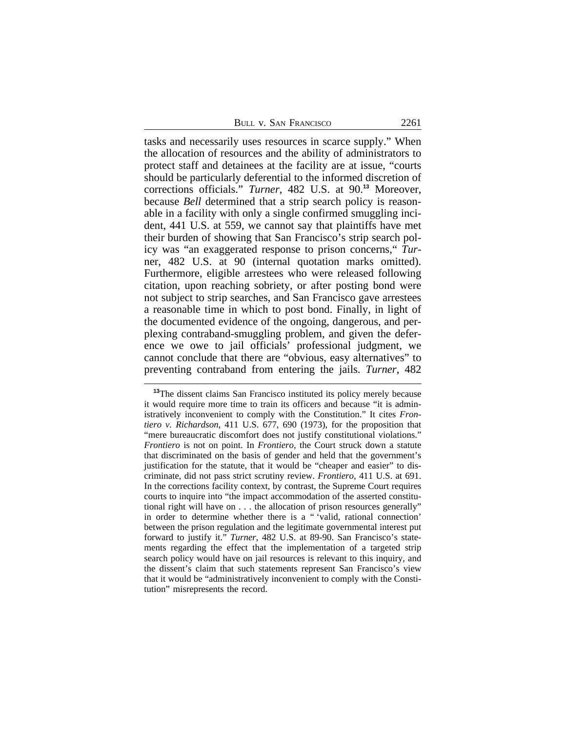| 2261 |
|------|
|      |

tasks and necessarily uses resources in scarce supply." When the allocation of resources and the ability of administrators to protect staff and detainees at the facility are at issue, "courts should be particularly deferential to the informed discretion of corrections officials." *Turner*, 482 U.S. at 90.**<sup>13</sup>** Moreover, because *Bell* determined that a strip search policy is reasonable in a facility with only a single confirmed smuggling incident, 441 U.S. at 559, we cannot say that plaintiffs have met their burden of showing that San Francisco's strip search policy was "an exaggerated response to prison concerns," *Tur*ner, 482 U.S. at 90 (internal quotation marks omitted). Furthermore, eligible arrestees who were released following citation, upon reaching sobriety, or after posting bond were not subject to strip searches, and San Francisco gave arrestees a reasonable time in which to post bond. Finally, in light of the documented evidence of the ongoing, dangerous, and perplexing contraband-smuggling problem, and given the deference we owe to jail officials' professional judgment, we cannot conclude that there are "obvious, easy alternatives" to preventing contraband from entering the jails. *Turner*, 482

**<sup>13</sup>**The dissent claims San Francisco instituted its policy merely because it would require more time to train its officers and because "it is administratively inconvenient to comply with the Constitution." It cites *Frontiero v. Richardson*, 411 U.S. 677, 690 (1973), for the proposition that "mere bureaucratic discomfort does not justify constitutional violations." *Frontiero* is not on point. In *Frontiero*, the Court struck down a statute that discriminated on the basis of gender and held that the government's justification for the statute, that it would be "cheaper and easier" to discriminate, did not pass strict scrutiny review. *Frontiero*, 411 U.S. at 691. In the corrections facility context, by contrast, the Supreme Court requires courts to inquire into "the impact accommodation of the asserted constitutional right will have on . . . the allocation of prison resources generally" in order to determine whether there is a " 'valid, rational connection' between the prison regulation and the legitimate governmental interest put forward to justify it." *Turner*, 482 U.S. at 89-90. San Francisco's statements regarding the effect that the implementation of a targeted strip search policy would have on jail resources is relevant to this inquiry, and the dissent's claim that such statements represent San Francisco's view that it would be "administratively inconvenient to comply with the Constitution" misrepresents the record.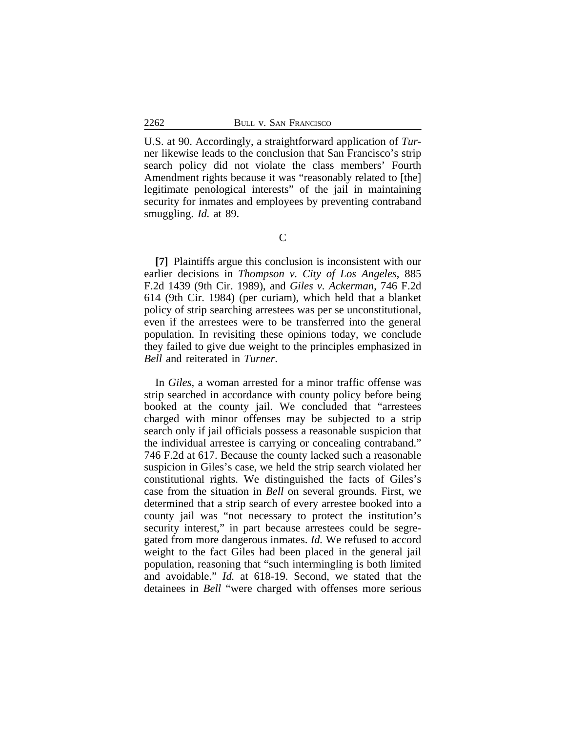U.S. at 90. Accordingly, a straightforward application of *Tur*ner likewise leads to the conclusion that San Francisco's strip search policy did not violate the class members' Fourth Amendment rights because it was "reasonably related to [the] legitimate penological interests" of the jail in maintaining security for inmates and employees by preventing contraband smuggling. *Id.* at 89.

**[7]** Plaintiffs argue this conclusion is inconsistent with our earlier decisions in *Thompson v. City of Los Angeles*, 885 F.2d 1439 (9th Cir. 1989), and *Giles v. Ackerman*, 746 F.2d 614 (9th Cir. 1984) (per curiam), which held that a blanket policy of strip searching arrestees was per se unconstitutional, even if the arrestees were to be transferred into the general population. In revisiting these opinions today, we conclude they failed to give due weight to the principles emphasized in *Bell* and reiterated in *Turner*.

In *Giles*, a woman arrested for a minor traffic offense was strip searched in accordance with county policy before being booked at the county jail. We concluded that "arrestees charged with minor offenses may be subjected to a strip search only if jail officials possess a reasonable suspicion that the individual arrestee is carrying or concealing contraband." 746 F.2d at 617. Because the county lacked such a reasonable suspicion in Giles's case, we held the strip search violated her constitutional rights. We distinguished the facts of Giles's case from the situation in *Bell* on several grounds. First, we determined that a strip search of every arrestee booked into a county jail was "not necessary to protect the institution's security interest," in part because arrestees could be segregated from more dangerous inmates. *Id.* We refused to accord weight to the fact Giles had been placed in the general jail population, reasoning that "such intermingling is both limited and avoidable." *Id.* at 618-19. Second, we stated that the detainees in *Bell* "were charged with offenses more serious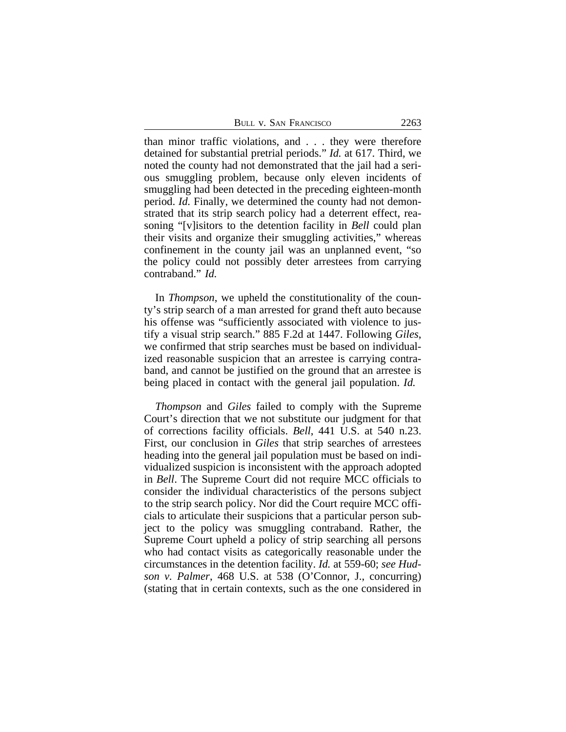BULL V. SAN FRANCISCO 2263

than minor traffic violations, and . . . they were therefore detained for substantial pretrial periods." *Id.* at 617. Third, we noted the county had not demonstrated that the jail had a serious smuggling problem, because only eleven incidents of smuggling had been detected in the preceding eighteen-month period. *Id.* Finally, we determined the county had not demonstrated that its strip search policy had a deterrent effect, reasoning "[v]isitors to the detention facility in *Bell* could plan their visits and organize their smuggling activities," whereas confinement in the county jail was an unplanned event, "so the policy could not possibly deter arrestees from carrying contraband." *Id.* 

In *Thompson*, we upheld the constitutionality of the county's strip search of a man arrested for grand theft auto because his offense was "sufficiently associated with violence to justify a visual strip search." 885 F.2d at 1447. Following *Giles*, we confirmed that strip searches must be based on individualized reasonable suspicion that an arrestee is carrying contraband, and cannot be justified on the ground that an arrestee is being placed in contact with the general jail population. *Id.* 

*Thompson* and *Giles* failed to comply with the Supreme Court's direction that we not substitute our judgment for that of corrections facility officials. *Bell*, 441 U.S. at 540 n.23. First, our conclusion in *Giles* that strip searches of arrestees heading into the general jail population must be based on individualized suspicion is inconsistent with the approach adopted in *Bell*. The Supreme Court did not require MCC officials to consider the individual characteristics of the persons subject to the strip search policy. Nor did the Court require MCC officials to articulate their suspicions that a particular person subject to the policy was smuggling contraband. Rather, the Supreme Court upheld a policy of strip searching all persons who had contact visits as categorically reasonable under the circumstances in the detention facility. *Id.* at 559-60; *see Hudson v. Palmer*, 468 U.S. at 538 (O'Connor, J., concurring) (stating that in certain contexts, such as the one considered in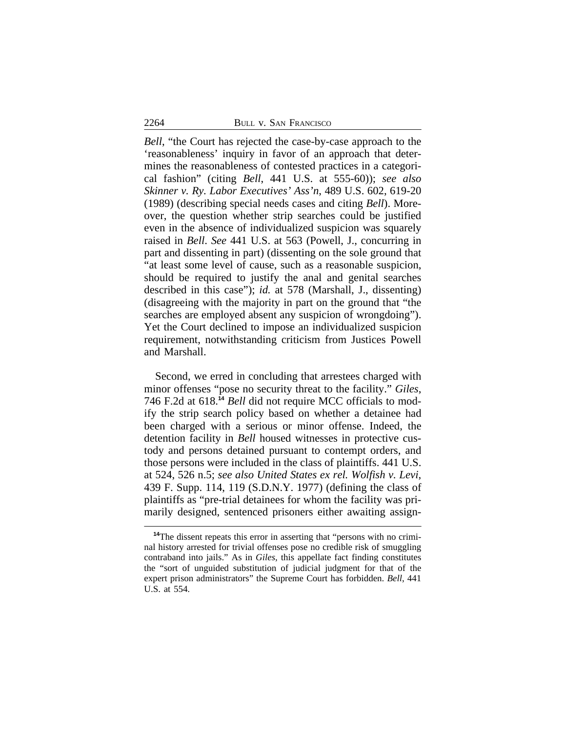*Bell*, "the Court has rejected the case-by-case approach to the 'reasonableness' inquiry in favor of an approach that determines the reasonableness of contested practices in a categorical fashion" (citing *Bell*, 441 U.S. at 555-60)); *see also Skinner v. Ry. Labor Executives' Ass'n*, 489 U.S. 602, 619-20 (1989) (describing special needs cases and citing *Bell*). Moreover, the question whether strip searches could be justified even in the absence of individualized suspicion was squarely raised in *Bell*. *See* 441 U.S. at 563 (Powell, J., concurring in part and dissenting in part) (dissenting on the sole ground that "at least some level of cause, such as a reasonable suspicion, should be required to justify the anal and genital searches described in this case"); *id.* at 578 (Marshall, J., dissenting) (disagreeing with the majority in part on the ground that "the searches are employed absent any suspicion of wrongdoing"). Yet the Court declined to impose an individualized suspicion requirement, notwithstanding criticism from Justices Powell and Marshall.

Second, we erred in concluding that arrestees charged with minor offenses "pose no security threat to the facility." *Giles*, 746 F.2d at 618.**<sup>14</sup>** *Bell* did not require MCC officials to modify the strip search policy based on whether a detainee had been charged with a serious or minor offense. Indeed, the detention facility in *Bell* housed witnesses in protective custody and persons detained pursuant to contempt orders, and those persons were included in the class of plaintiffs. 441 U.S. at 524, 526 n.5; *see also United States ex rel. Wolfish v. Levi*, 439 F. Supp. 114, 119 (S.D.N.Y. 1977) (defining the class of plaintiffs as "pre-trial detainees for whom the facility was primarily designed, sentenced prisoners either awaiting assign-

**<sup>14</sup>**The dissent repeats this error in asserting that "persons with no criminal history arrested for trivial offenses pose no credible risk of smuggling contraband into jails." As in *Giles*, this appellate fact finding constitutes the "sort of unguided substitution of judicial judgment for that of the expert prison administrators" the Supreme Court has forbidden. *Bell*, 441 U.S. at 554.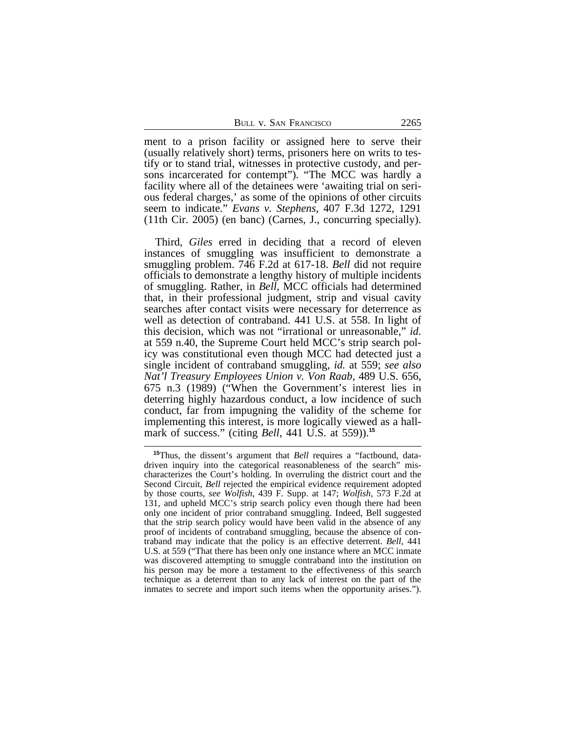ment to a prison facility or assigned here to serve their (usually relatively short) terms, prisoners here on writs to testify or to stand trial, witnesses in protective custody, and persons incarcerated for contempt"). "The MCC was hardly a facility where all of the detainees were 'awaiting trial on serious federal charges,' as some of the opinions of other circuits seem to indicate." *Evans v. Stephens*, 407 F.3d 1272, 1291 (11th Cir. 2005) (en banc) (Carnes, J., concurring specially).

Third, *Giles* erred in deciding that a record of eleven instances of smuggling was insufficient to demonstrate a smuggling problem. 746 F.2d at 617-18. *Bell* did not require officials to demonstrate a lengthy history of multiple incidents of smuggling. Rather, in *Bell*, MCC officials had determined that, in their professional judgment, strip and visual cavity searches after contact visits were necessary for deterrence as well as detection of contraband. 441 U.S. at 558. In light of this decision, which was not "irrational or unreasonable," *id.* at 559 n.40, the Supreme Court held MCC's strip search policy was constitutional even though MCC had detected just a single incident of contraband smuggling, *id.* at 559; *see also Nat'l Treasury Employees Union v. Von Raab*, 489 U.S. 656, 675 n.3 (1989) ("When the Government's interest lies in deterring highly hazardous conduct, a low incidence of such conduct, far from impugning the validity of the scheme for implementing this interest, is more logically viewed as a hallmark of success." (citing *Bell*, 441 U.S. at 559)).**<sup>15</sup>**

**<sup>15</sup>**Thus, the dissent's argument that *Bell* requires a "factbound, datadriven inquiry into the categorical reasonableness of the search" mischaracterizes the Court's holding. In overruling the district court and the Second Circuit, *Bell* rejected the empirical evidence requirement adopted by those courts, *see Wolfish*, 439 F. Supp. at 147; *Wolfish*, 573 F.2d at 131, and upheld MCC's strip search policy even though there had been only one incident of prior contraband smuggling. Indeed, Bell suggested that the strip search policy would have been valid in the absence of any proof of incidents of contraband smuggling, because the absence of contraband may indicate that the policy is an effective deterrent. *Bell*, 441 U.S. at 559 ("That there has been only one instance where an MCC inmate was discovered attempting to smuggle contraband into the institution on his person may be more a testament to the effectiveness of this search technique as a deterrent than to any lack of interest on the part of the inmates to secrete and import such items when the opportunity arises.").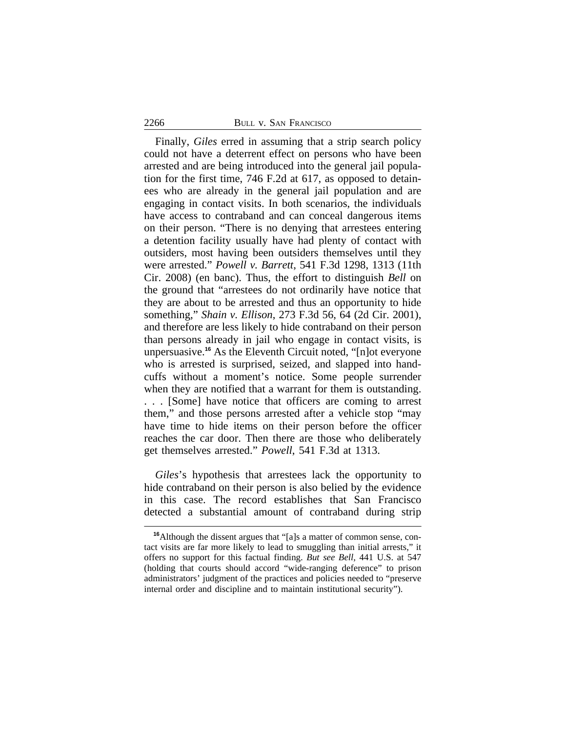#### 2266 BULL V. SAN FRANCISCO

Finally, *Giles* erred in assuming that a strip search policy could not have a deterrent effect on persons who have been arrested and are being introduced into the general jail population for the first time, 746 F.2d at 617, as opposed to detainees who are already in the general jail population and are engaging in contact visits. In both scenarios, the individuals have access to contraband and can conceal dangerous items on their person. "There is no denying that arrestees entering a detention facility usually have had plenty of contact with outsiders, most having been outsiders themselves until they were arrested." *Powell v. Barrett*, 541 F.3d 1298, 1313 (11th Cir. 2008) (en banc). Thus, the effort to distinguish *Bell* on the ground that "arrestees do not ordinarily have notice that they are about to be arrested and thus an opportunity to hide something," *Shain v. Ellison*, 273 F.3d 56, 64 (2d Cir. 2001), and therefore are less likely to hide contraband on their person than persons already in jail who engage in contact visits, is unpersuasive.**<sup>16</sup>** As the Eleventh Circuit noted, "[n]ot everyone who is arrested is surprised, seized, and slapped into handcuffs without a moment's notice. Some people surrender when they are notified that a warrant for them is outstanding. . . . [Some] have notice that officers are coming to arrest them," and those persons arrested after a vehicle stop "may have time to hide items on their person before the officer reaches the car door. Then there are those who deliberately get themselves arrested." *Powell*, 541 F.3d at 1313.

*Giles*'s hypothesis that arrestees lack the opportunity to hide contraband on their person is also belied by the evidence in this case. The record establishes that San Francisco detected a substantial amount of contraband during strip

**<sup>16</sup>**Although the dissent argues that "[a]s a matter of common sense, contact visits are far more likely to lead to smuggling than initial arrests," it offers no support for this factual finding. *But see Bell*, 441 U.S. at 547 (holding that courts should accord "wide-ranging deference" to prison administrators' judgment of the practices and policies needed to "preserve internal order and discipline and to maintain institutional security").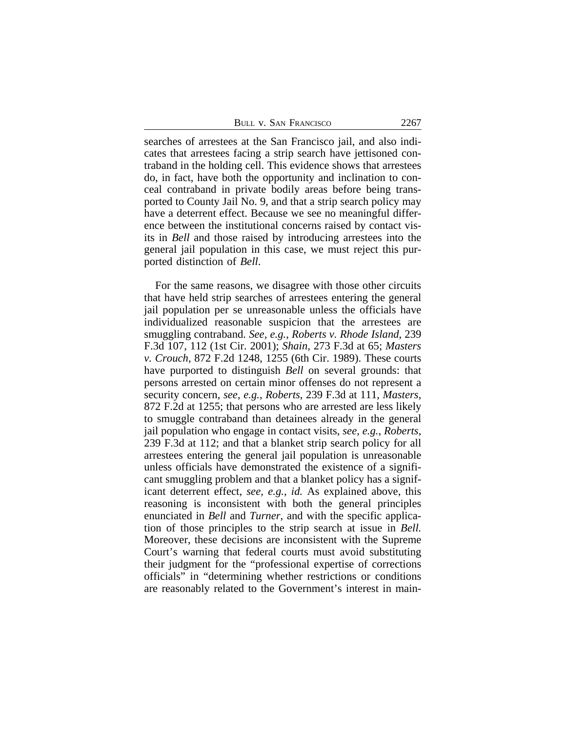searches of arrestees at the San Francisco jail, and also indicates that arrestees facing a strip search have jettisoned contraband in the holding cell. This evidence shows that arrestees do, in fact, have both the opportunity and inclination to conceal contraband in private bodily areas before being transported to County Jail No. 9, and that a strip search policy may have a deterrent effect. Because we see no meaningful difference between the institutional concerns raised by contact visits in *Bell* and those raised by introducing arrestees into the general jail population in this case, we must reject this purported distinction of *Bell*.

For the same reasons, we disagree with those other circuits that have held strip searches of arrestees entering the general jail population per se unreasonable unless the officials have individualized reasonable suspicion that the arrestees are smuggling contraband. *See, e.g.*, *Roberts v. Rhode Island*, 239 F.3d 107, 112 (1st Cir. 2001); *Shain*, 273 F.3d at 65; *Masters v. Crouch*, 872 F.2d 1248, 1255 (6th Cir. 1989). These courts have purported to distinguish *Bell* on several grounds: that persons arrested on certain minor offenses do not represent a security concern, *see, e.g.*, *Roberts*, 239 F.3d at 111, *Masters*, 872 F.2d at 1255; that persons who are arrested are less likely to smuggle contraband than detainees already in the general jail population who engage in contact visits, *see, e.g.*, *Roberts*, 239 F.3d at 112; and that a blanket strip search policy for all arrestees entering the general jail population is unreasonable unless officials have demonstrated the existence of a significant smuggling problem and that a blanket policy has a significant deterrent effect, *see, e.g.*, *id.* As explained above, this reasoning is inconsistent with both the general principles enunciated in *Bell* and *Turner*, and with the specific application of those principles to the strip search at issue in *Bell.* Moreover, these decisions are inconsistent with the Supreme Court's warning that federal courts must avoid substituting their judgment for the "professional expertise of corrections officials" in "determining whether restrictions or conditions are reasonably related to the Government's interest in main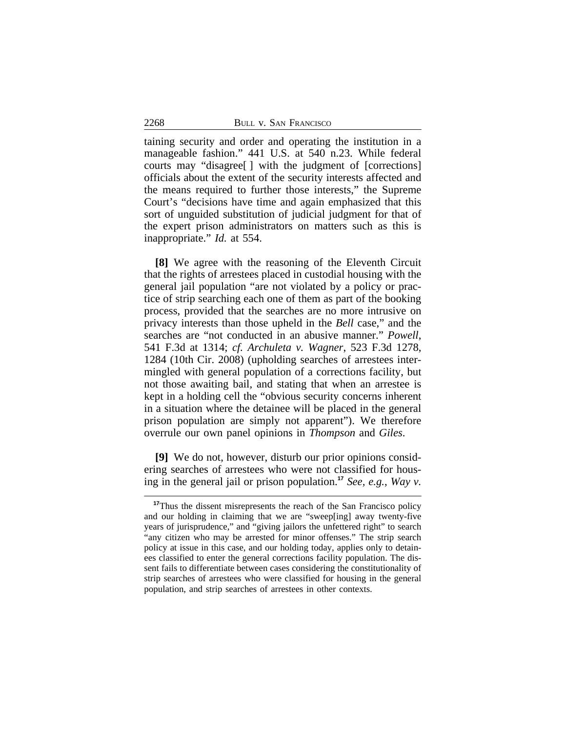taining security and order and operating the institution in a manageable fashion." 441 U.S. at 540 n.23. While federal courts may "disagree[ ] with the judgment of [corrections] officials about the extent of the security interests affected and the means required to further those interests," the Supreme Court's "decisions have time and again emphasized that this sort of unguided substitution of judicial judgment for that of the expert prison administrators on matters such as this is inappropriate." *Id.* at 554.

**[8]** We agree with the reasoning of the Eleventh Circuit that the rights of arrestees placed in custodial housing with the general jail population "are not violated by a policy or practice of strip searching each one of them as part of the booking process, provided that the searches are no more intrusive on privacy interests than those upheld in the *Bell* case," and the searches are "not conducted in an abusive manner." *Powell*, 541 F.3d at 1314; *cf. Archuleta v. Wagner*, 523 F.3d 1278, 1284 (10th Cir. 2008) (upholding searches of arrestees intermingled with general population of a corrections facility, but not those awaiting bail, and stating that when an arrestee is kept in a holding cell the "obvious security concerns inherent in a situation where the detainee will be placed in the general prison population are simply not apparent"). We therefore overrule our own panel opinions in *Thompson* and *Giles*.

**[9]** We do not, however, disturb our prior opinions considering searches of arrestees who were not classified for housing in the general jail or prison population.**<sup>17</sup>** *See, e.g.*, *Way v.*

<sup>&</sup>lt;sup>17</sup>Thus the dissent misrepresents the reach of the San Francisco policy and our holding in claiming that we are "sweep[ing] away twenty-five years of jurisprudence," and "giving jailors the unfettered right" to search "any citizen who may be arrested for minor offenses." The strip search policy at issue in this case, and our holding today, applies only to detainees classified to enter the general corrections facility population. The dissent fails to differentiate between cases considering the constitutionality of strip searches of arrestees who were classified for housing in the general population, and strip searches of arrestees in other contexts.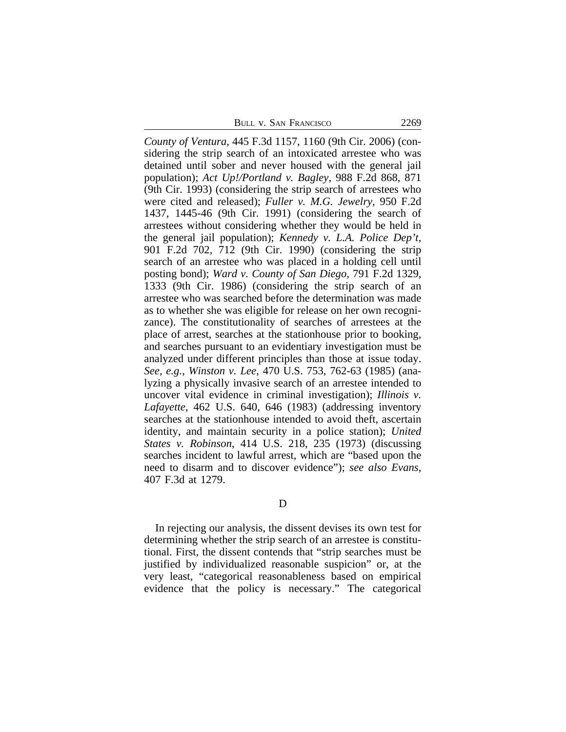BULL V. SAN FRANCISCO 2269

*County of Ventura*, 445 F.3d 1157, 1160 (9th Cir. 2006) (considering the strip search of an intoxicated arrestee who was detained until sober and never housed with the general jail population); *Act Up!/Portland v. Bagley*, 988 F.2d 868, 871 (9th Cir. 1993) (considering the strip search of arrestees who were cited and released); *Fuller v. M.G. Jewelry*, 950 F.2d 1437, 1445-46 (9th Cir. 1991) (considering the search of arrestees without considering whether they would be held in the general jail population); *Kennedy v. L.A. Police Dep't*, 901 F.2d 702, 712 (9th Cir. 1990) (considering the strip search of an arrestee who was placed in a holding cell until posting bond); *Ward v. County of San Diego*, 791 F.2d 1329, 1333 (9th Cir. 1986) (considering the strip search of an arrestee who was searched before the determination was made as to whether she was eligible for release on her own recognizance). The constitutionality of searches of arrestees at the place of arrest, searches at the stationhouse prior to booking, and searches pursuant to an evidentiary investigation must be analyzed under different principles than those at issue today. *See, e.g.*, *Winston v. Lee*, 470 U.S. 753, 762-63 (1985) (analyzing a physically invasive search of an arrestee intended to uncover vital evidence in criminal investigation); *Illinois v. Lafayette*, 462 U.S. 640, 646 (1983) (addressing inventory searches at the stationhouse intended to avoid theft, ascertain identity, and maintain security in a police station); *United States v. Robinson*, 414 U.S. 218, 235 (1973) (discussing searches incident to lawful arrest, which are "based upon the need to disarm and to discover evidence"); *see also Evans*, 407 F.3d at 1279.

D

In rejecting our analysis, the dissent devises its own test for determining whether the strip search of an arrestee is constitutional. First, the dissent contends that "strip searches must be justified by individualized reasonable suspicion" or, at the very least, "categorical reasonableness based on empirical evidence that the policy is necessary." The categorical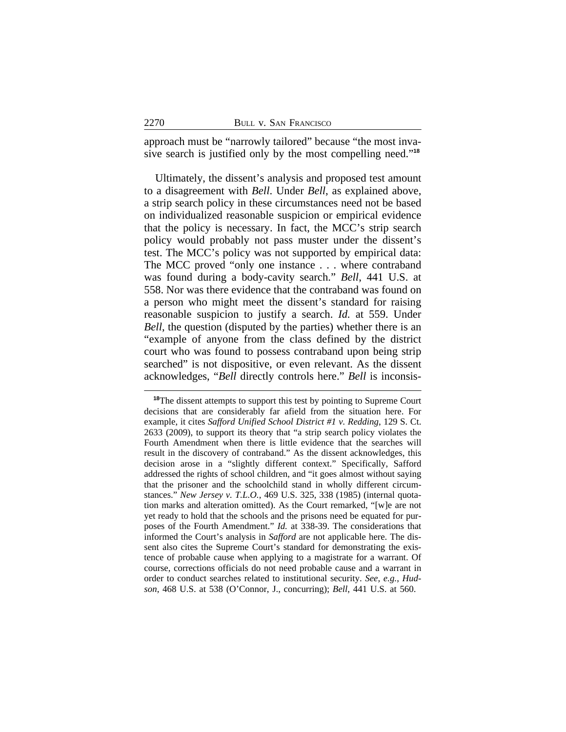approach must be "narrowly tailored" because "the most invasive search is justified only by the most compelling need." **18**

Ultimately, the dissent's analysis and proposed test amount to a disagreement with *Bell*. Under *Bell*, as explained above, a strip search policy in these circumstances need not be based on individualized reasonable suspicion or empirical evidence that the policy is necessary. In fact, the MCC's strip search policy would probably not pass muster under the dissent's test. The MCC's policy was not supported by empirical data: The MCC proved "only one instance . . . where contraband was found during a body-cavity search." *Bell*, 441 U.S. at 558. Nor was there evidence that the contraband was found on a person who might meet the dissent's standard for raising reasonable suspicion to justify a search. *Id.* at 559. Under *Bell*, the question (disputed by the parties) whether there is an "example of anyone from the class defined by the district court who was found to possess contraband upon being strip searched" is not dispositive, or even relevant. As the dissent acknowledges, "*Bell* directly controls here." *Bell* is inconsis-

**<sup>18</sup>**The dissent attempts to support this test by pointing to Supreme Court decisions that are considerably far afield from the situation here. For example, it cites *Safford Unified School District #1 v. Redding*, 129 S. Ct. 2633 (2009), to support its theory that "a strip search policy violates the Fourth Amendment when there is little evidence that the searches will result in the discovery of contraband." As the dissent acknowledges, this decision arose in a "slightly different context." Specifically, Safford addressed the rights of school children, and "it goes almost without saying that the prisoner and the schoolchild stand in wholly different circumstances." *New Jersey v. T.L.O.*, 469 U.S. 325, 338 (1985) (internal quotation marks and alteration omitted). As the Court remarked, "[w]e are not yet ready to hold that the schools and the prisons need be equated for purposes of the Fourth Amendment." *Id.* at 338-39. The considerations that informed the Court's analysis in *Safford* are not applicable here. The dissent also cites the Supreme Court's standard for demonstrating the existence of probable cause when applying to a magistrate for a warrant. Of course, corrections officials do not need probable cause and a warrant in order to conduct searches related to institutional security. *See, e.g.*, *Hudson*, 468 U.S. at 538 (O'Connor, J., concurring); *Bell*, 441 U.S. at 560.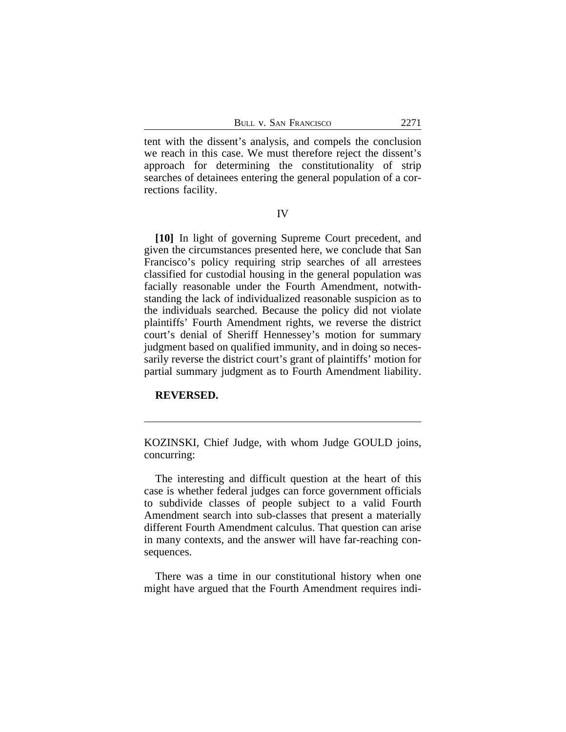tent with the dissent's analysis, and compels the conclusion we reach in this case. We must therefore reject the dissent's approach for determining the constitutionality of strip searches of detainees entering the general population of a corrections facility.

IV

**[10]** In light of governing Supreme Court precedent, and given the circumstances presented here, we conclude that San Francisco's policy requiring strip searches of all arrestees classified for custodial housing in the general population was facially reasonable under the Fourth Amendment, notwithstanding the lack of individualized reasonable suspicion as to the individuals searched. Because the policy did not violate plaintiffs' Fourth Amendment rights, we reverse the district court's denial of Sheriff Hennessey's motion for summary judgment based on qualified immunity, and in doing so necessarily reverse the district court's grant of plaintiffs' motion for partial summary judgment as to Fourth Amendment liability.

## **REVERSED.**

KOZINSKI, Chief Judge, with whom Judge GOULD joins, concurring:

The interesting and difficult question at the heart of this case is whether federal judges can force government officials to subdivide classes of people subject to a valid Fourth Amendment search into sub-classes that present a materially different Fourth Amendment calculus. That question can arise in many contexts, and the answer will have far-reaching consequences.

There was a time in our constitutional history when one might have argued that the Fourth Amendment requires indi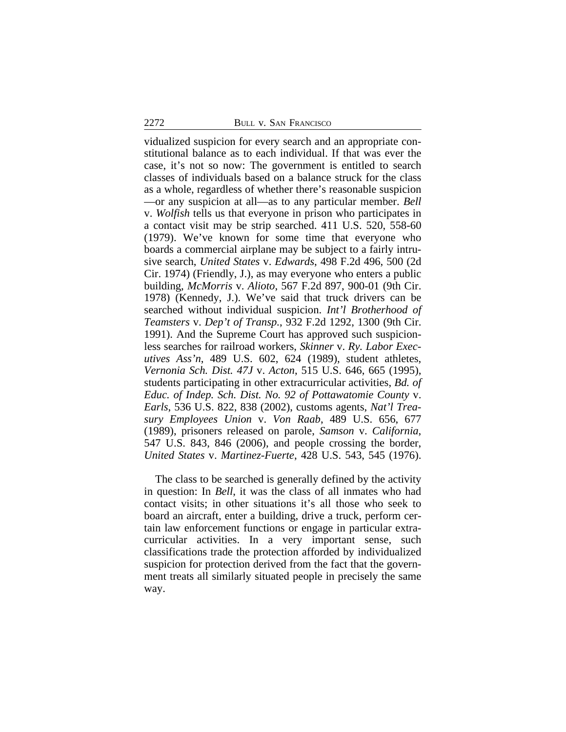vidualized suspicion for every search and an appropriate constitutional balance as to each individual. If that was ever the case, it's not so now: The government is entitled to search classes of individuals based on a balance struck for the class as a whole, regardless of whether there's reasonable suspicion —or any suspicion at all—as to any particular member. *Bell* v. *Wolfish* tells us that everyone in prison who participates in a contact visit may be strip searched. 411 U.S. 520, 558-60 (1979). We've known for some time that everyone who boards a commercial airplane may be subject to a fairly intrusive search, *United States* v. *Edwards*, 498 F.2d 496, 500 (2d Cir. 1974) (Friendly, J.), as may everyone who enters a public building, *McMorris* v. *Alioto*, 567 F.2d 897, 900-01 (9th Cir. 1978) (Kennedy, J.). We've said that truck drivers can be searched without individual suspicion. *Int'l Brotherhood of Teamsters* v. *Dep't of Transp.*, 932 F.2d 1292, 1300 (9th Cir. 1991). And the Supreme Court has approved such suspicionless searches for railroad workers, *Skinner* v. *Ry. Labor Executives Ass'n*, 489 U.S. 602, 624 (1989), student athletes, *Vernonia Sch. Dist. 47J* v. *Acton*, 515 U.S. 646, 665 (1995), students participating in other extracurricular activities, *Bd. of Educ. of Indep. Sch. Dist. No. 92 of Pottawatomie County* v. *Earls*, 536 U.S. 822, 838 (2002), customs agents, *Nat'l Treasury Employees Union* v. *Von Raab*, 489 U.S. 656, 677 (1989), prisoners released on parole, *Samson* v. *California*, 547 U.S. 843, 846 (2006), and people crossing the border, *United States* v. *Martinez-Fuerte*, 428 U.S. 543, 545 (1976).

The class to be searched is generally defined by the activity in question: In *Bell*, it was the class of all inmates who had contact visits; in other situations it's all those who seek to board an aircraft, enter a building, drive a truck, perform certain law enforcement functions or engage in particular extracurricular activities. In a very important sense, such classifications trade the protection afforded by individualized suspicion for protection derived from the fact that the government treats all similarly situated people in precisely the same way.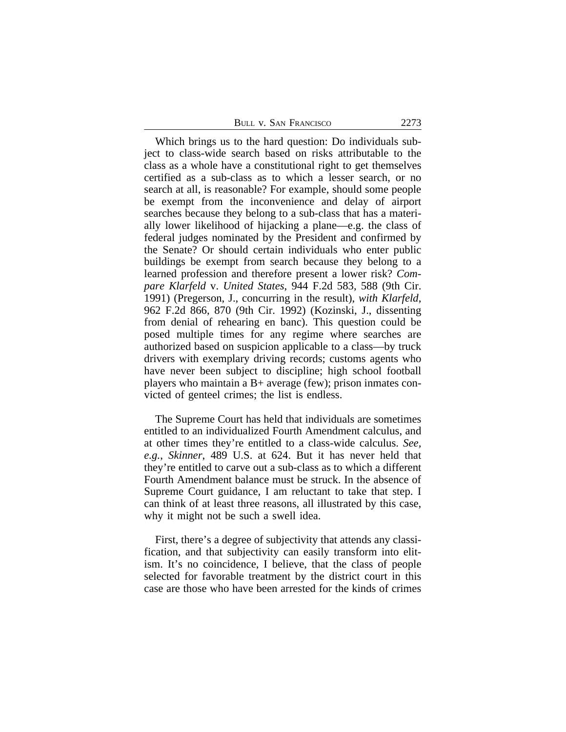| 2273<br>Bull v. San Francisco |  |  |
|-------------------------------|--|--|
|-------------------------------|--|--|

Which brings us to the hard question: Do individuals subject to class-wide search based on risks attributable to the class as a whole have a constitutional right to get themselves certified as a sub-class as to which a lesser search, or no search at all, is reasonable? For example, should some people be exempt from the inconvenience and delay of airport searches because they belong to a sub-class that has a materially lower likelihood of hijacking a plane—e.g. the class of federal judges nominated by the President and confirmed by the Senate? Or should certain individuals who enter public buildings be exempt from search because they belong to a learned profession and therefore present a lower risk? *Compare Klarfeld* v. *United States*, 944 F.2d 583, 588 (9th Cir. 1991) (Pregerson, J., concurring in the result), *with Klarfeld*, 962 F.2d 866, 870 (9th Cir. 1992) (Kozinski, J., dissenting from denial of rehearing en banc). This question could be posed multiple times for any regime where searches are authorized based on suspicion applicable to a class—by truck drivers with exemplary driving records; customs agents who have never been subject to discipline; high school football players who maintain a B+ average (few); prison inmates convicted of genteel crimes; the list is endless.

The Supreme Court has held that individuals are sometimes entitled to an individualized Fourth Amendment calculus, and at other times they're entitled to a class-wide calculus. *See, e.g.*, *Skinner*, 489 U.S. at 624. But it has never held that they're entitled to carve out a sub-class as to which a different Fourth Amendment balance must be struck. In the absence of Supreme Court guidance, I am reluctant to take that step. I can think of at least three reasons, all illustrated by this case, why it might not be such a swell idea.

First, there's a degree of subjectivity that attends any classification, and that subjectivity can easily transform into elitism. It's no coincidence, I believe, that the class of people selected for favorable treatment by the district court in this case are those who have been arrested for the kinds of crimes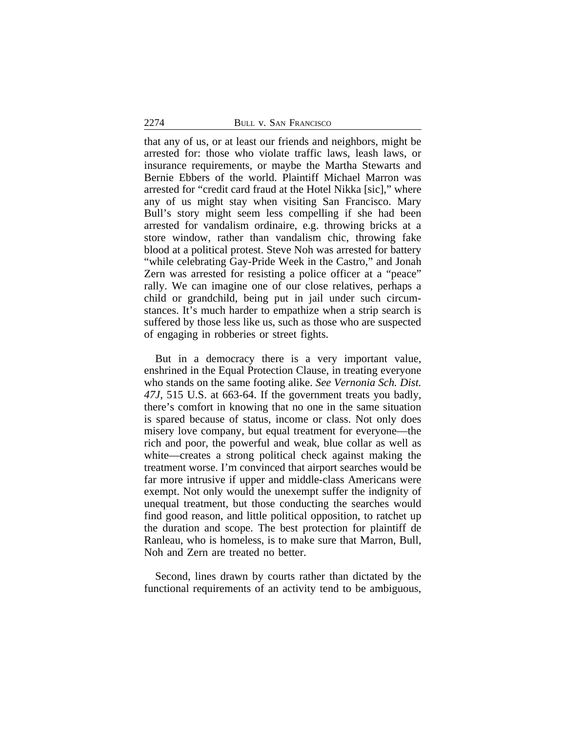that any of us, or at least our friends and neighbors, might be arrested for: those who violate traffic laws, leash laws, or insurance requirements, or maybe the Martha Stewarts and Bernie Ebbers of the world. Plaintiff Michael Marron was arrested for "credit card fraud at the Hotel Nikka [sic]," where any of us might stay when visiting San Francisco. Mary Bull's story might seem less compelling if she had been arrested for vandalism ordinaire, e.g. throwing bricks at a store window, rather than vandalism chic, throwing fake blood at a political protest. Steve Noh was arrested for battery "while celebrating Gay-Pride Week in the Castro," and Jonah Zern was arrested for resisting a police officer at a "peace" rally. We can imagine one of our close relatives, perhaps a child or grandchild, being put in jail under such circumstances. It's much harder to empathize when a strip search is suffered by those less like us, such as those who are suspected of engaging in robberies or street fights.

But in a democracy there is a very important value, enshrined in the Equal Protection Clause, in treating everyone who stands on the same footing alike. *See Vernonia Sch. Dist. 47J*, 515 U.S. at 663-64. If the government treats you badly, there's comfort in knowing that no one in the same situation is spared because of status, income or class. Not only does misery love company, but equal treatment for everyone—the rich and poor, the powerful and weak, blue collar as well as white—creates a strong political check against making the treatment worse. I'm convinced that airport searches would be far more intrusive if upper and middle-class Americans were exempt. Not only would the unexempt suffer the indignity of unequal treatment, but those conducting the searches would find good reason, and little political opposition, to ratchet up the duration and scope. The best protection for plaintiff de Ranleau, who is homeless, is to make sure that Marron, Bull, Noh and Zern are treated no better.

Second, lines drawn by courts rather than dictated by the functional requirements of an activity tend to be ambiguous,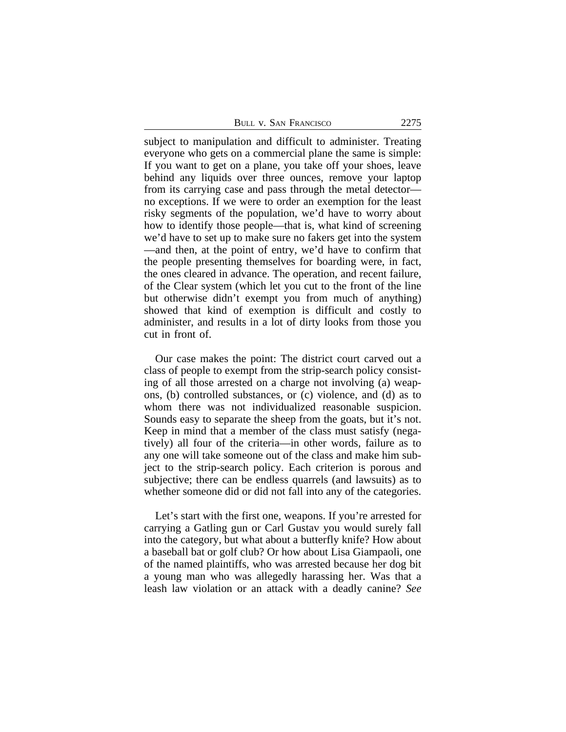subject to manipulation and difficult to administer. Treating everyone who gets on a commercial plane the same is simple: If you want to get on a plane, you take off your shoes, leave behind any liquids over three ounces, remove your laptop from its carrying case and pass through the metal detector no exceptions. If we were to order an exemption for the least risky segments of the population, we'd have to worry about how to identify those people—that is, what kind of screening we'd have to set up to make sure no fakers get into the system —and then, at the point of entry, we'd have to confirm that the people presenting themselves for boarding were, in fact, the ones cleared in advance. The operation, and recent failure, of the Clear system (which let you cut to the front of the line but otherwise didn't exempt you from much of anything) showed that kind of exemption is difficult and costly to administer, and results in a lot of dirty looks from those you cut in front of.

Our case makes the point: The district court carved out a class of people to exempt from the strip-search policy consisting of all those arrested on a charge not involving (a) weapons, (b) controlled substances, or (c) violence, and (d) as to whom there was not individualized reasonable suspicion. Sounds easy to separate the sheep from the goats, but it's not. Keep in mind that a member of the class must satisfy (negatively) all four of the criteria—in other words, failure as to any one will take someone out of the class and make him subject to the strip-search policy. Each criterion is porous and subjective; there can be endless quarrels (and lawsuits) as to whether someone did or did not fall into any of the categories.

Let's start with the first one, weapons. If you're arrested for carrying a Gatling gun or Carl Gustav you would surely fall into the category, but what about a butterfly knife? How about a baseball bat or golf club? Or how about Lisa Giampaoli, one of the named plaintiffs, who was arrested because her dog bit a young man who was allegedly harassing her. Was that a leash law violation or an attack with a deadly canine? *See*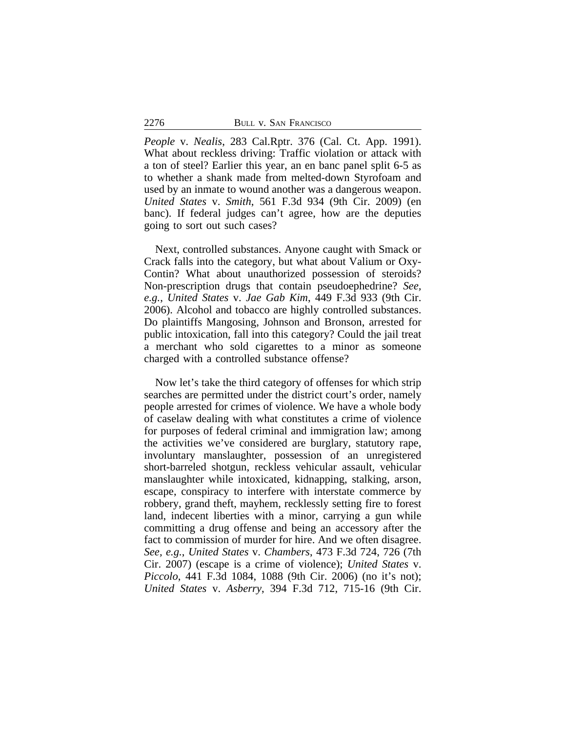*People* v. *Nealis*, 283 Cal.Rptr. 376 (Cal. Ct. App. 1991). What about reckless driving: Traffic violation or attack with a ton of steel? Earlier this year, an en banc panel split 6-5 as to whether a shank made from melted-down Styrofoam and used by an inmate to wound another was a dangerous weapon. *United States* v. *Smith*, 561 F.3d 934 (9th Cir. 2009) (en banc). If federal judges can't agree, how are the deputies going to sort out such cases?

Next, controlled substances. Anyone caught with Smack or Crack falls into the category, but what about Valium or Oxy-Contin? What about unauthorized possession of steroids? Non-prescription drugs that contain pseudoephedrine? *See, e.g.*, *United States* v. *Jae Gab Kim*, 449 F.3d 933 (9th Cir. 2006). Alcohol and tobacco are highly controlled substances. Do plaintiffs Mangosing, Johnson and Bronson, arrested for public intoxication, fall into this category? Could the jail treat a merchant who sold cigarettes to a minor as someone charged with a controlled substance offense?

Now let's take the third category of offenses for which strip searches are permitted under the district court's order, namely people arrested for crimes of violence. We have a whole body of caselaw dealing with what constitutes a crime of violence for purposes of federal criminal and immigration law; among the activities we've considered are burglary, statutory rape, involuntary manslaughter, possession of an unregistered short-barreled shotgun, reckless vehicular assault, vehicular manslaughter while intoxicated, kidnapping, stalking, arson, escape, conspiracy to interfere with interstate commerce by robbery, grand theft, mayhem, recklessly setting fire to forest land, indecent liberties with a minor, carrying a gun while committing a drug offense and being an accessory after the fact to commission of murder for hire. And we often disagree. *See, e.g.*, *United States* v. *Chambers*, 473 F.3d 724, 726 (7th Cir. 2007) (escape is a crime of violence); *United States* v. *Piccolo*, 441 F.3d 1084, 1088 (9th Cir. 2006) (no it's not); *United States* v. *Asberry*, 394 F.3d 712, 715-16 (9th Cir.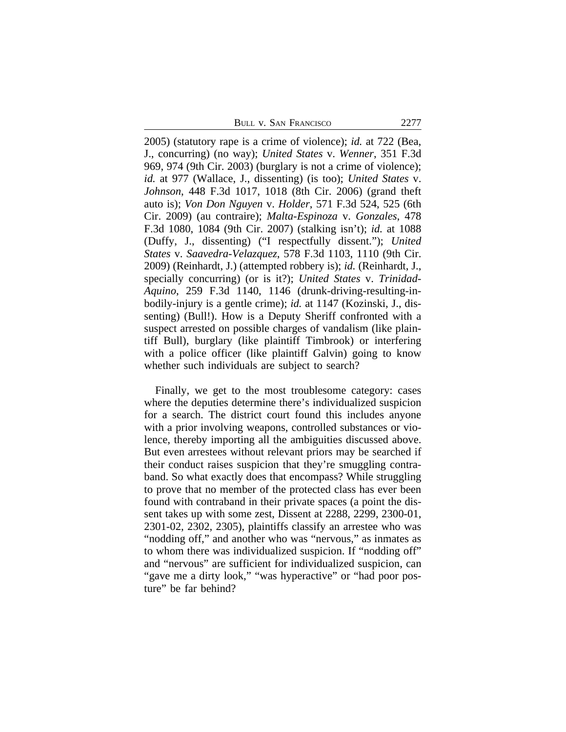BULL V. SAN FRANCISCO 2277

2005) (statutory rape is a crime of violence); *id.* at 722 (Bea, J., concurring) (no way); *United States* v. *Wenner*, 351 F.3d 969, 974 (9th Cir. 2003) (burglary is not a crime of violence); *id.* at 977 (Wallace, J., dissenting) (is too); *United States* v. *Johnson*, 448 F.3d 1017, 1018 (8th Cir. 2006) (grand theft auto is); *Von Don Nguyen* v. *Holder*, 571 F.3d 524, 525 (6th Cir. 2009) (au contraire); *Malta-Espinoza* v. *Gonzales*, 478 F.3d 1080, 1084 (9th Cir. 2007) (stalking isn't); *id.* at 1088 (Duffy, J., dissenting) ("I respectfully dissent."); *United States* v. *Saavedra-Velazquez*, 578 F.3d 1103, 1110 (9th Cir. 2009) (Reinhardt, J.) (attempted robbery is); *id.* (Reinhardt, J., specially concurring) (or is it?); *United States* v. *Trinidad-Aquino*, 259 F.3d 1140, 1146 (drunk-driving-resulting-inbodily-injury is a gentle crime); *id.* at 1147 (Kozinski, J., dissenting) (Bull!). How is a Deputy Sheriff confronted with a suspect arrested on possible charges of vandalism (like plaintiff Bull), burglary (like plaintiff Timbrook) or interfering with a police officer (like plaintiff Galvin) going to know whether such individuals are subject to search?

Finally, we get to the most troublesome category: cases where the deputies determine there's individualized suspicion for a search. The district court found this includes anyone with a prior involving weapons, controlled substances or violence, thereby importing all the ambiguities discussed above. But even arrestees without relevant priors may be searched if their conduct raises suspicion that they're smuggling contraband. So what exactly does that encompass? While struggling to prove that no member of the protected class has ever been found with contraband in their private spaces (a point the dissent takes up with some zest, Dissent at 2288, 2299, 2300-01, 2301-02, 2302, 2305), plaintiffs classify an arrestee who was "nodding off," and another who was "nervous," as inmates as to whom there was individualized suspicion. If "nodding off" and "nervous" are sufficient for individualized suspicion, can "gave me a dirty look," "was hyperactive" or "had poor posture" be far behind?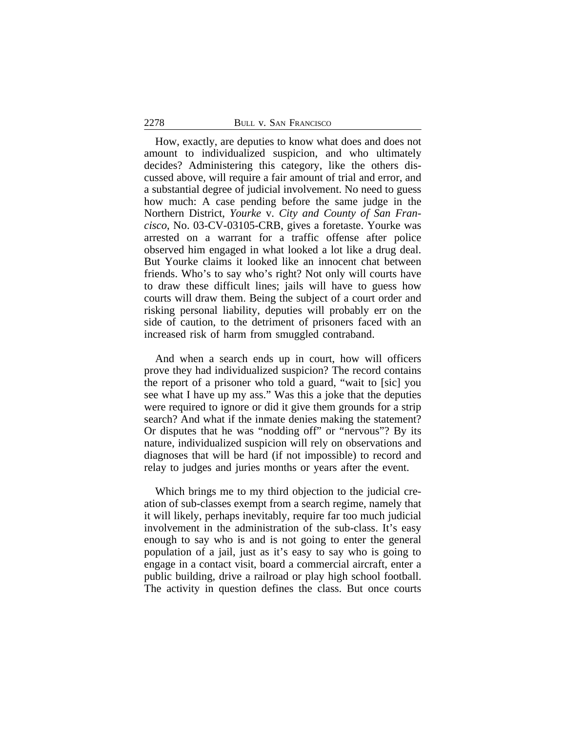#### 2278 BULL V. SAN FRANCISCO

How, exactly, are deputies to know what does and does not amount to individualized suspicion, and who ultimately decides? Administering this category, like the others discussed above, will require a fair amount of trial and error, and a substantial degree of judicial involvement. No need to guess how much: A case pending before the same judge in the Northern District, *Yourke* v. *City and County of San Francisco*, No. 03-CV-03105-CRB, gives a foretaste. Yourke was arrested on a warrant for a traffic offense after police observed him engaged in what looked a lot like a drug deal. But Yourke claims it looked like an innocent chat between friends. Who's to say who's right? Not only will courts have to draw these difficult lines; jails will have to guess how courts will draw them. Being the subject of a court order and risking personal liability, deputies will probably err on the side of caution, to the detriment of prisoners faced with an increased risk of harm from smuggled contraband.

And when a search ends up in court, how will officers prove they had individualized suspicion? The record contains the report of a prisoner who told a guard, "wait to [sic] you see what I have up my ass." Was this a joke that the deputies were required to ignore or did it give them grounds for a strip search? And what if the inmate denies making the statement? Or disputes that he was "nodding off" or "nervous"? By its nature, individualized suspicion will rely on observations and diagnoses that will be hard (if not impossible) to record and relay to judges and juries months or years after the event.

Which brings me to my third objection to the judicial creation of sub-classes exempt from a search regime, namely that it will likely, perhaps inevitably, require far too much judicial involvement in the administration of the sub-class. It's easy enough to say who is and is not going to enter the general population of a jail, just as it's easy to say who is going to engage in a contact visit, board a commercial aircraft, enter a public building, drive a railroad or play high school football. The activity in question defines the class. But once courts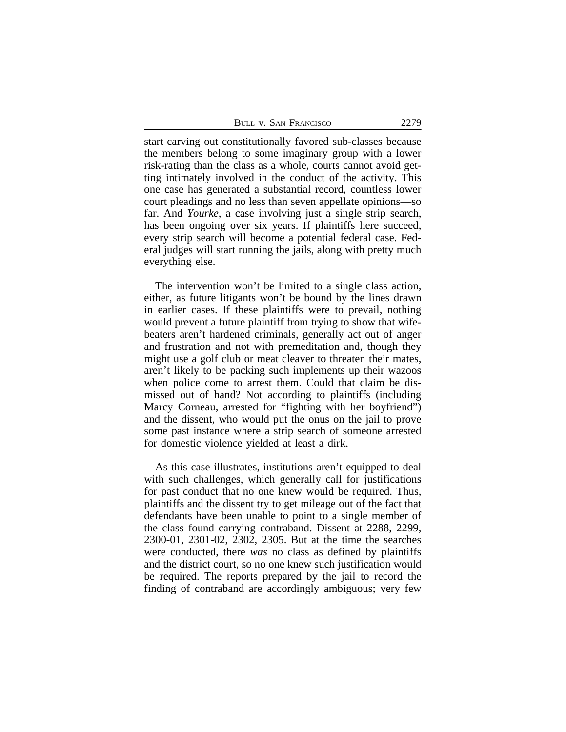| 2279 |
|------|
|      |

start carving out constitutionally favored sub-classes because the members belong to some imaginary group with a lower risk-rating than the class as a whole, courts cannot avoid getting intimately involved in the conduct of the activity. This one case has generated a substantial record, countless lower court pleadings and no less than seven appellate opinions—so far. And *Yourke*, a case involving just a single strip search, has been ongoing over six years. If plaintiffs here succeed, every strip search will become a potential federal case. Federal judges will start running the jails, along with pretty much everything else.

The intervention won't be limited to a single class action, either, as future litigants won't be bound by the lines drawn in earlier cases. If these plaintiffs were to prevail, nothing would prevent a future plaintiff from trying to show that wifebeaters aren't hardened criminals, generally act out of anger and frustration and not with premeditation and, though they might use a golf club or meat cleaver to threaten their mates, aren't likely to be packing such implements up their wazoos when police come to arrest them. Could that claim be dismissed out of hand? Not according to plaintiffs (including Marcy Corneau, arrested for "fighting with her boyfriend") and the dissent, who would put the onus on the jail to prove some past instance where a strip search of someone arrested for domestic violence yielded at least a dirk.

As this case illustrates, institutions aren't equipped to deal with such challenges, which generally call for justifications for past conduct that no one knew would be required. Thus, plaintiffs and the dissent try to get mileage out of the fact that defendants have been unable to point to a single member of the class found carrying contraband. Dissent at 2288, 2299, 2300-01, 2301-02, 2302, 2305. But at the time the searches were conducted, there *was* no class as defined by plaintiffs and the district court, so no one knew such justification would be required. The reports prepared by the jail to record the finding of contraband are accordingly ambiguous; very few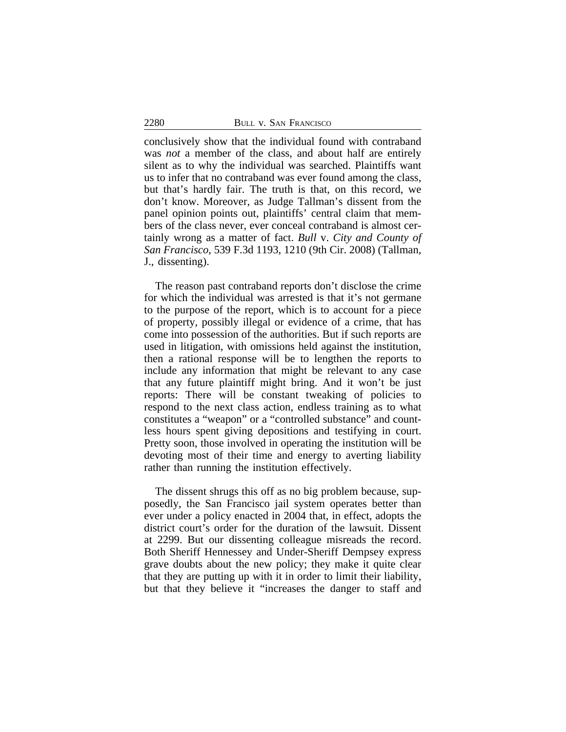conclusively show that the individual found with contraband was *not* a member of the class, and about half are entirely silent as to why the individual was searched. Plaintiffs want us to infer that no contraband was ever found among the class, but that's hardly fair. The truth is that, on this record, we don't know. Moreover, as Judge Tallman's dissent from the panel opinion points out, plaintiffs' central claim that members of the class never, ever conceal contraband is almost certainly wrong as a matter of fact. *Bull* v. *City and County of San Francisco*, 539 F.3d 1193, 1210 (9th Cir. 2008) (Tallman, J., dissenting).

The reason past contraband reports don't disclose the crime for which the individual was arrested is that it's not germane to the purpose of the report, which is to account for a piece of property, possibly illegal or evidence of a crime, that has come into possession of the authorities. But if such reports are used in litigation, with omissions held against the institution, then a rational response will be to lengthen the reports to include any information that might be relevant to any case that any future plaintiff might bring. And it won't be just reports: There will be constant tweaking of policies to respond to the next class action, endless training as to what constitutes a "weapon" or a "controlled substance" and countless hours spent giving depositions and testifying in court. Pretty soon, those involved in operating the institution will be devoting most of their time and energy to averting liability rather than running the institution effectively.

The dissent shrugs this off as no big problem because, supposedly, the San Francisco jail system operates better than ever under a policy enacted in 2004 that, in effect, adopts the district court's order for the duration of the lawsuit. Dissent at 2299. But our dissenting colleague misreads the record. Both Sheriff Hennessey and Under-Sheriff Dempsey express grave doubts about the new policy; they make it quite clear that they are putting up with it in order to limit their liability, but that they believe it "increases the danger to staff and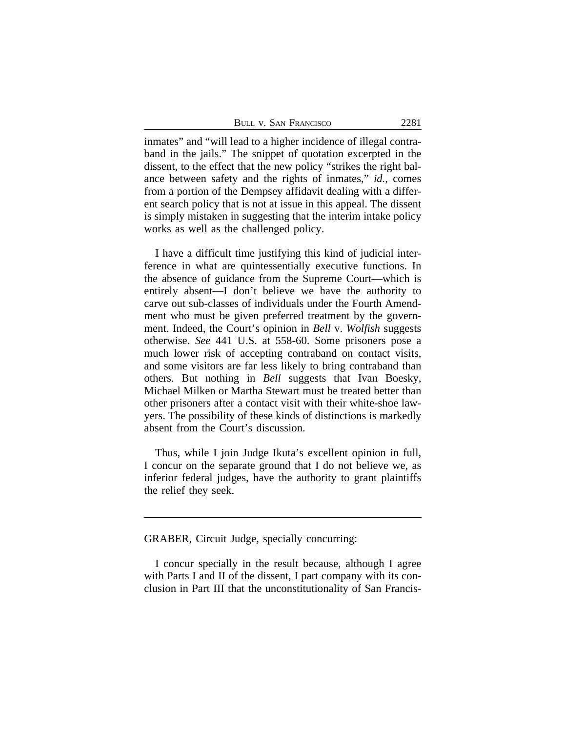BULL V. SAN FRANCISCO 2281

inmates" and "will lead to a higher incidence of illegal contraband in the jails." The snippet of quotation excerpted in the dissent, to the effect that the new policy "strikes the right balance between safety and the rights of inmates," *id.*, comes from a portion of the Dempsey affidavit dealing with a different search policy that is not at issue in this appeal. The dissent is simply mistaken in suggesting that the interim intake policy works as well as the challenged policy.

I have a difficult time justifying this kind of judicial interference in what are quintessentially executive functions. In the absence of guidance from the Supreme Court—which is entirely absent—I don't believe we have the authority to carve out sub-classes of individuals under the Fourth Amendment who must be given preferred treatment by the government. Indeed, the Court's opinion in *Bell* v. *Wolfish* suggests otherwise. *See* 441 U.S. at 558-60. Some prisoners pose a much lower risk of accepting contraband on contact visits, and some visitors are far less likely to bring contraband than others. But nothing in *Bell* suggests that Ivan Boesky, Michael Milken or Martha Stewart must be treated better than other prisoners after a contact visit with their white-shoe lawyers. The possibility of these kinds of distinctions is markedly absent from the Court's discussion.

Thus, while I join Judge Ikuta's excellent opinion in full, I concur on the separate ground that I do not believe we, as inferior federal judges, have the authority to grant plaintiffs the relief they seek.

GRABER, Circuit Judge, specially concurring:

I concur specially in the result because, although I agree with Parts I and II of the dissent, I part company with its conclusion in Part III that the unconstitutionality of San Francis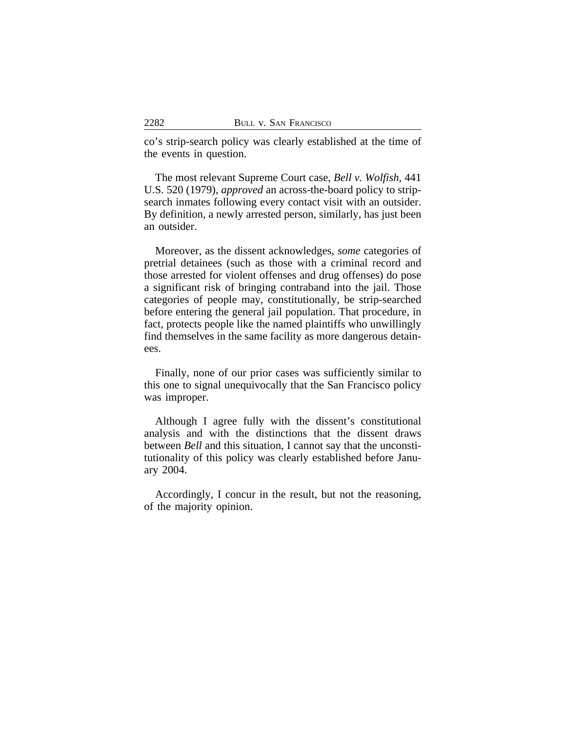co's strip-search policy was clearly established at the time of the events in question.

The most relevant Supreme Court case, *Bell v. Wolfish*, 441 U.S. 520 (1979), *approved* an across-the-board policy to stripsearch inmates following every contact visit with an outsider. By definition, a newly arrested person, similarly, has just been an outsider.

Moreover, as the dissent acknowledges, *some* categories of pretrial detainees (such as those with a criminal record and those arrested for violent offenses and drug offenses) do pose a significant risk of bringing contraband into the jail. Those categories of people may, constitutionally, be strip-searched before entering the general jail population. That procedure, in fact, protects people like the named plaintiffs who unwillingly find themselves in the same facility as more dangerous detainees.

Finally, none of our prior cases was sufficiently similar to this one to signal unequivocally that the San Francisco policy was improper.

Although I agree fully with the dissent's constitutional analysis and with the distinctions that the dissent draws between *Bell* and this situation, I cannot say that the unconstitutionality of this policy was clearly established before January 2004.

Accordingly, I concur in the result, but not the reasoning, of the majority opinion.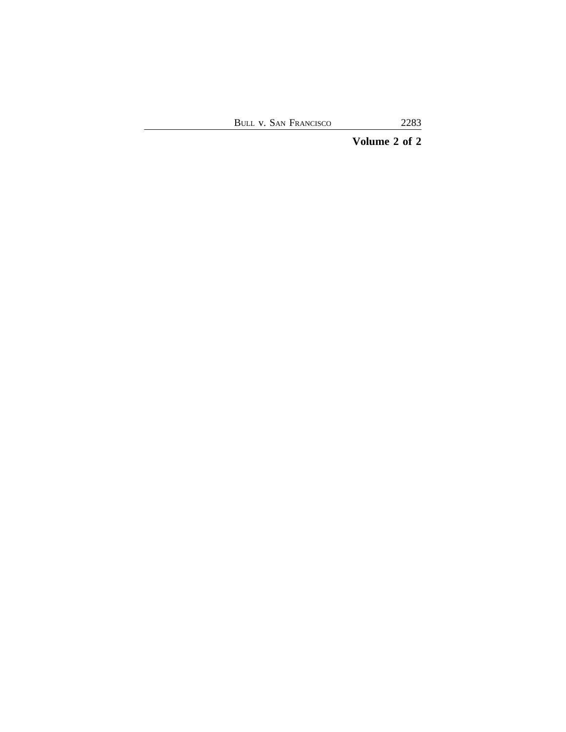# **Volume 2 of 2**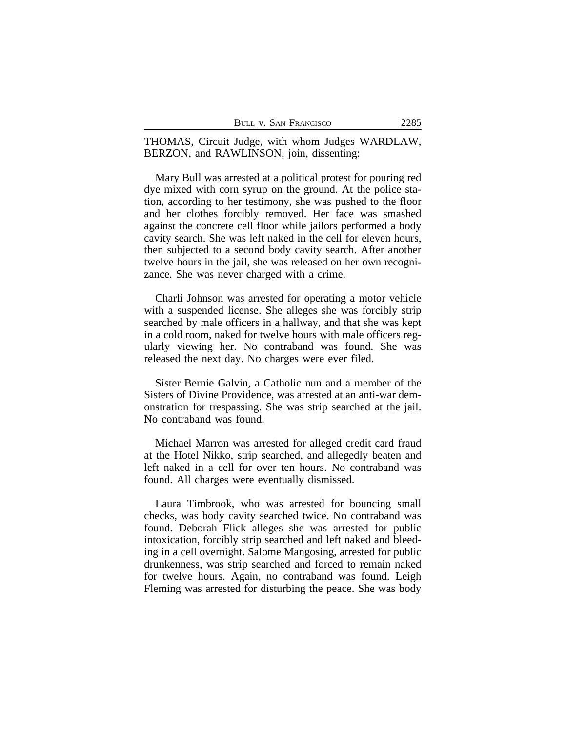| BULL V. SAN FRANCISCO | 2285 |
|-----------------------|------|
|                       |      |

THOMAS, Circuit Judge, with whom Judges WARDLAW, BERZON, and RAWLINSON, join, dissenting:

Mary Bull was arrested at a political protest for pouring red dye mixed with corn syrup on the ground. At the police station, according to her testimony, she was pushed to the floor and her clothes forcibly removed. Her face was smashed against the concrete cell floor while jailors performed a body cavity search. She was left naked in the cell for eleven hours, then subjected to a second body cavity search. After another twelve hours in the jail, she was released on her own recognizance. She was never charged with a crime.

Charli Johnson was arrested for operating a motor vehicle with a suspended license. She alleges she was forcibly strip searched by male officers in a hallway, and that she was kept in a cold room, naked for twelve hours with male officers regularly viewing her. No contraband was found. She was released the next day. No charges were ever filed.

Sister Bernie Galvin, a Catholic nun and a member of the Sisters of Divine Providence, was arrested at an anti-war demonstration for trespassing. She was strip searched at the jail. No contraband was found.

Michael Marron was arrested for alleged credit card fraud at the Hotel Nikko, strip searched, and allegedly beaten and left naked in a cell for over ten hours. No contraband was found. All charges were eventually dismissed.

Laura Timbrook, who was arrested for bouncing small checks, was body cavity searched twice. No contraband was found. Deborah Flick alleges she was arrested for public intoxication, forcibly strip searched and left naked and bleeding in a cell overnight. Salome Mangosing, arrested for public drunkenness, was strip searched and forced to remain naked for twelve hours. Again, no contraband was found. Leigh Fleming was arrested for disturbing the peace. She was body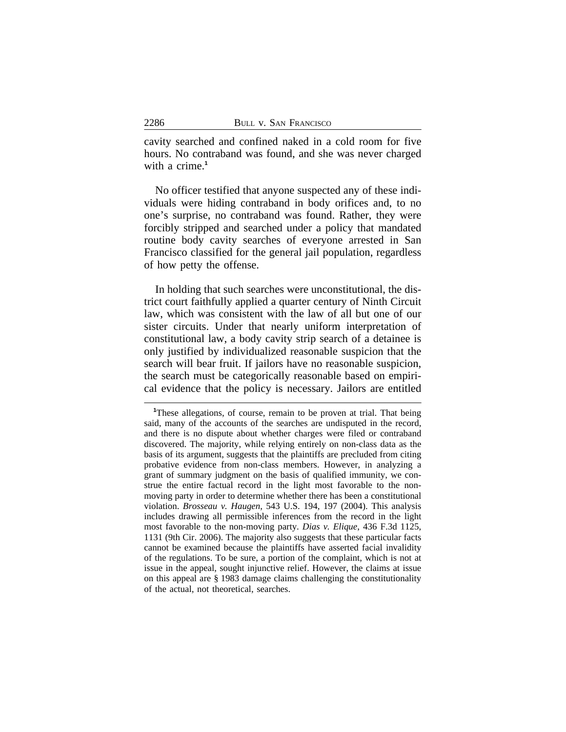cavity searched and confined naked in a cold room for five hours. No contraband was found, and she was never charged with a crime.<sup>1</sup>

No officer testified that anyone suspected any of these individuals were hiding contraband in body orifices and, to no one's surprise, no contraband was found. Rather, they were forcibly stripped and searched under a policy that mandated routine body cavity searches of everyone arrested in San Francisco classified for the general jail population, regardless of how petty the offense.

In holding that such searches were unconstitutional, the district court faithfully applied a quarter century of Ninth Circuit law, which was consistent with the law of all but one of our sister circuits. Under that nearly uniform interpretation of constitutional law, a body cavity strip search of a detainee is only justified by individualized reasonable suspicion that the search will bear fruit. If jailors have no reasonable suspicion, the search must be categorically reasonable based on empirical evidence that the policy is necessary. Jailors are entitled

**<sup>1</sup>**These allegations, of course, remain to be proven at trial. That being said, many of the accounts of the searches are undisputed in the record, and there is no dispute about whether charges were filed or contraband discovered. The majority, while relying entirely on non-class data as the basis of its argument, suggests that the plaintiffs are precluded from citing probative evidence from non-class members. However, in analyzing a grant of summary judgment on the basis of qualified immunity, we construe the entire factual record in the light most favorable to the nonmoving party in order to determine whether there has been a constitutional violation. *Brosseau v. Haugen*, 543 U.S. 194, 197 (2004). This analysis includes drawing all permissible inferences from the record in the light most favorable to the non-moving party. *Dias v. Elique*, 436 F.3d 1125, 1131 (9th Cir. 2006). The majority also suggests that these particular facts cannot be examined because the plaintiffs have asserted facial invalidity of the regulations. To be sure, a portion of the complaint, which is not at issue in the appeal, sought injunctive relief. However, the claims at issue on this appeal are § 1983 damage claims challenging the constitutionality of the actual, not theoretical, searches.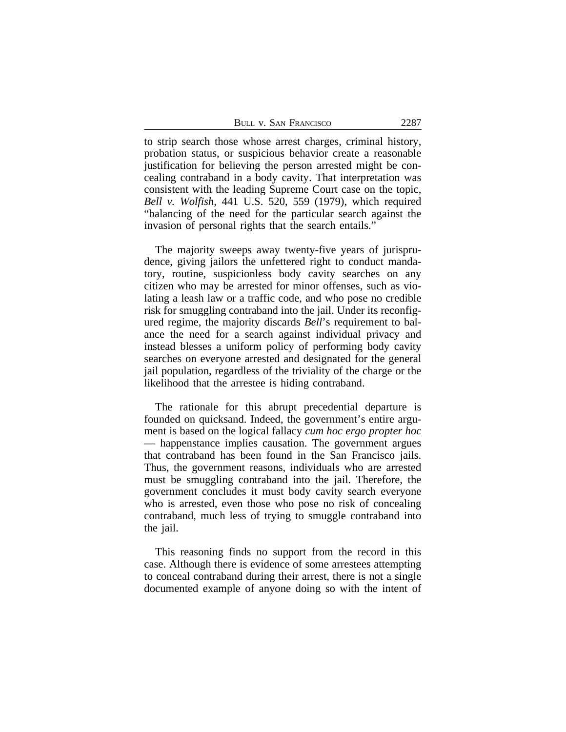| BULL V. SAN FRANCISCO | 2287 |
|-----------------------|------|
|                       |      |

to strip search those whose arrest charges, criminal history, probation status, or suspicious behavior create a reasonable justification for believing the person arrested might be concealing contraband in a body cavity. That interpretation was consistent with the leading Supreme Court case on the topic, *Bell v. Wolfish*, 441 U.S. 520, 559 (1979), which required "balancing of the need for the particular search against the invasion of personal rights that the search entails."

The majority sweeps away twenty-five years of jurisprudence, giving jailors the unfettered right to conduct mandatory, routine, suspicionless body cavity searches on any citizen who may be arrested for minor offenses, such as violating a leash law or a traffic code, and who pose no credible risk for smuggling contraband into the jail. Under its reconfigured regime, the majority discards *Bell*'s requirement to balance the need for a search against individual privacy and instead blesses a uniform policy of performing body cavity searches on everyone arrested and designated for the general jail population, regardless of the triviality of the charge or the likelihood that the arrestee is hiding contraband.

The rationale for this abrupt precedential departure is founded on quicksand. Indeed, the government's entire argument is based on the logical fallacy *cum hoc ergo propter hoc* — happenstance implies causation. The government argues that contraband has been found in the San Francisco jails. Thus, the government reasons, individuals who are arrested must be smuggling contraband into the jail. Therefore, the government concludes it must body cavity search everyone who is arrested, even those who pose no risk of concealing contraband, much less of trying to smuggle contraband into the jail.

This reasoning finds no support from the record in this case. Although there is evidence of some arrestees attempting to conceal contraband during their arrest, there is not a single documented example of anyone doing so with the intent of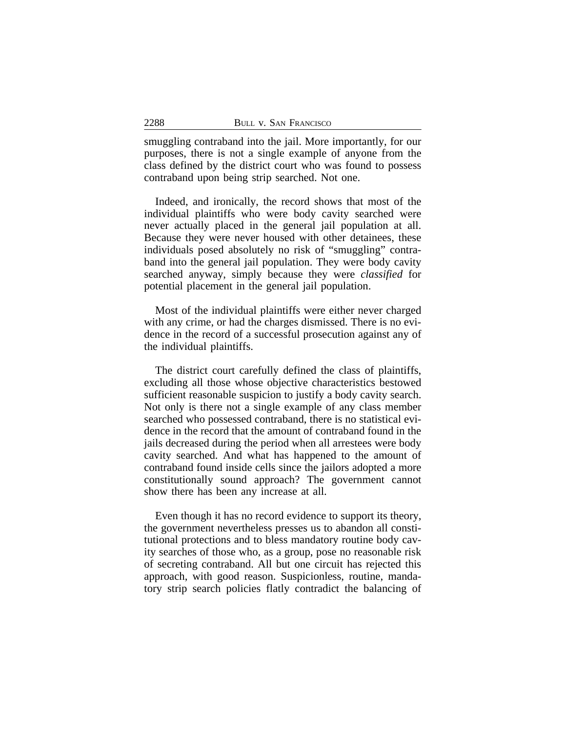smuggling contraband into the jail. More importantly, for our purposes, there is not a single example of anyone from the class defined by the district court who was found to possess contraband upon being strip searched. Not one.

Indeed, and ironically, the record shows that most of the individual plaintiffs who were body cavity searched were never actually placed in the general jail population at all. Because they were never housed with other detainees, these individuals posed absolutely no risk of "smuggling" contraband into the general jail population. They were body cavity searched anyway, simply because they were *classified* for potential placement in the general jail population.

Most of the individual plaintiffs were either never charged with any crime, or had the charges dismissed. There is no evidence in the record of a successful prosecution against any of the individual plaintiffs.

The district court carefully defined the class of plaintiffs, excluding all those whose objective characteristics bestowed sufficient reasonable suspicion to justify a body cavity search. Not only is there not a single example of any class member searched who possessed contraband, there is no statistical evidence in the record that the amount of contraband found in the jails decreased during the period when all arrestees were body cavity searched. And what has happened to the amount of contraband found inside cells since the jailors adopted a more constitutionally sound approach? The government cannot show there has been any increase at all.

Even though it has no record evidence to support its theory, the government nevertheless presses us to abandon all constitutional protections and to bless mandatory routine body cavity searches of those who, as a group, pose no reasonable risk of secreting contraband. All but one circuit has rejected this approach, with good reason. Suspicionless, routine, mandatory strip search policies flatly contradict the balancing of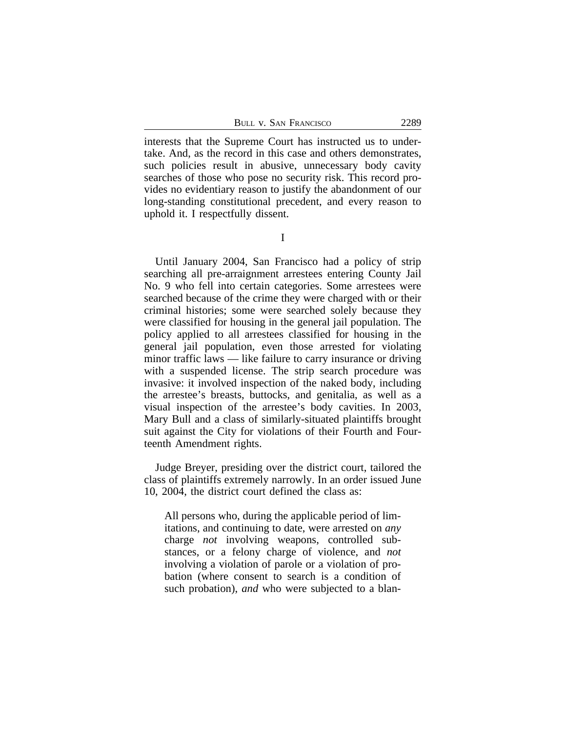BULL V. SAN FRANCISCO 2289

interests that the Supreme Court has instructed us to undertake. And, as the record in this case and others demonstrates, such policies result in abusive, unnecessary body cavity searches of those who pose no security risk. This record provides no evidentiary reason to justify the abandonment of our long-standing constitutional precedent, and every reason to uphold it. I respectfully dissent.

Until January 2004, San Francisco had a policy of strip searching all pre-arraignment arrestees entering County Jail No. 9 who fell into certain categories. Some arrestees were searched because of the crime they were charged with or their criminal histories; some were searched solely because they were classified for housing in the general jail population. The policy applied to all arrestees classified for housing in the general jail population, even those arrested for violating minor traffic laws — like failure to carry insurance or driving with a suspended license. The strip search procedure was invasive: it involved inspection of the naked body, including the arrestee's breasts, buttocks, and genitalia, as well as a visual inspection of the arrestee's body cavities. In 2003, Mary Bull and a class of similarly-situated plaintiffs brought suit against the City for violations of their Fourth and Fourteenth Amendment rights.

Judge Breyer, presiding over the district court, tailored the class of plaintiffs extremely narrowly. In an order issued June 10, 2004, the district court defined the class as:

All persons who, during the applicable period of limitations, and continuing to date, were arrested on *any* charge *not* involving weapons, controlled substances, or a felony charge of violence, and *not* involving a violation of parole or a violation of probation (where consent to search is a condition of such probation), *and* who were subjected to a blan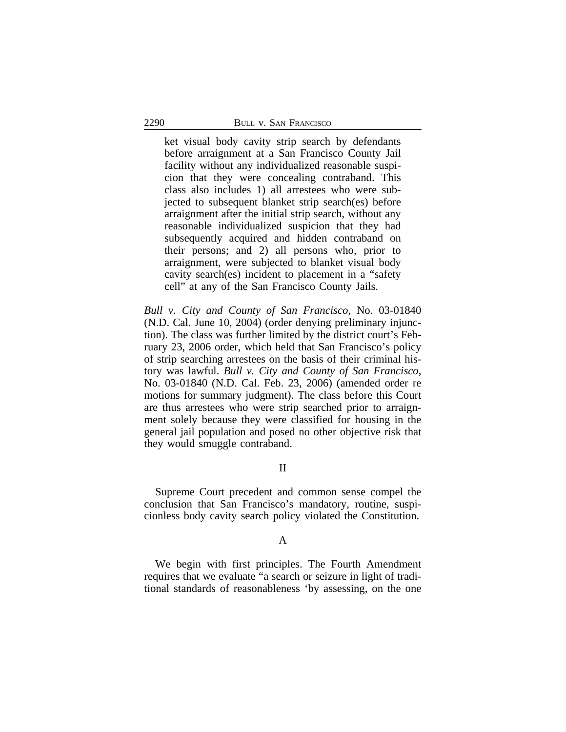ket visual body cavity strip search by defendants before arraignment at a San Francisco County Jail facility without any individualized reasonable suspicion that they were concealing contraband. This class also includes 1) all arrestees who were subjected to subsequent blanket strip search(es) before arraignment after the initial strip search, without any reasonable individualized suspicion that they had subsequently acquired and hidden contraband on their persons; and 2) all persons who, prior to arraignment, were subjected to blanket visual body cavity search(es) incident to placement in a "safety cell" at any of the San Francisco County Jails.

*Bull v. City and County of San Francisco*, No. 03-01840 (N.D. Cal. June 10, 2004) (order denying preliminary injunction). The class was further limited by the district court's February 23, 2006 order, which held that San Francisco's policy of strip searching arrestees on the basis of their criminal history was lawful. *Bull v. City and County of San Francisco*, No. 03-01840 (N.D. Cal. Feb. 23, 2006) (amended order re motions for summary judgment). The class before this Court are thus arrestees who were strip searched prior to arraignment solely because they were classified for housing in the general jail population and posed no other objective risk that they would smuggle contraband.

# II

Supreme Court precedent and common sense compel the conclusion that San Francisco's mandatory, routine, suspicionless body cavity search policy violated the Constitution.

### A

We begin with first principles. The Fourth Amendment requires that we evaluate "a search or seizure in light of traditional standards of reasonableness 'by assessing, on the one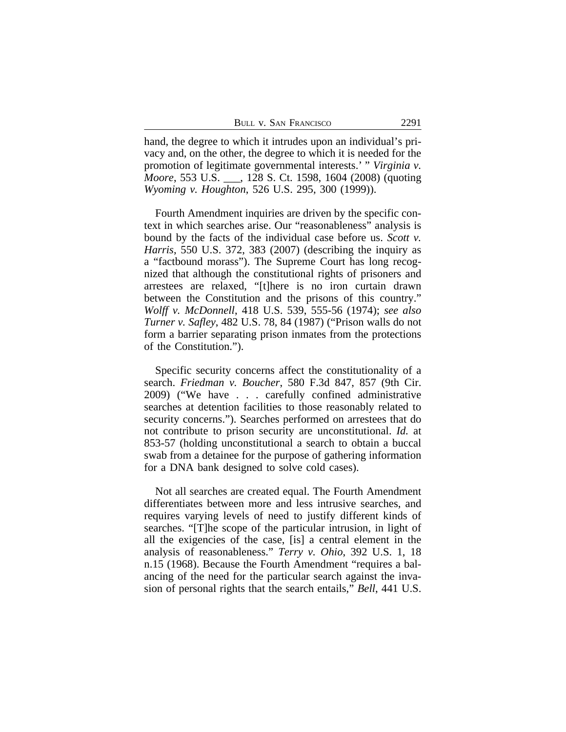hand, the degree to which it intrudes upon an individual's privacy and, on the other, the degree to which it is needed for the promotion of legitimate governmental interests.' " *Virginia v. Moore*, 553 U.S. \_\_\_, 128 S. Ct. 1598, 1604 (2008) (quoting *Wyoming v. Houghton*, 526 U.S. 295, 300 (1999)).

Fourth Amendment inquiries are driven by the specific context in which searches arise. Our "reasonableness" analysis is bound by the facts of the individual case before us. *Scott v. Harris*, 550 U.S. 372, 383 (2007) (describing the inquiry as a "factbound morass"). The Supreme Court has long recognized that although the constitutional rights of prisoners and arrestees are relaxed, "[t]here is no iron curtain drawn between the Constitution and the prisons of this country." *Wolff v. McDonnell*, 418 U.S. 539, 555-56 (1974); *see also Turner v. Safley*, 482 U.S. 78, 84 (1987) ("Prison walls do not form a barrier separating prison inmates from the protections of the Constitution.").

Specific security concerns affect the constitutionality of a search. *Friedman v. Boucher*, 580 F.3d 847, 857 (9th Cir. 2009) ("We have . . . carefully confined administrative searches at detention facilities to those reasonably related to security concerns."). Searches performed on arrestees that do not contribute to prison security are unconstitutional. *Id.* at 853-57 (holding unconstitutional a search to obtain a buccal swab from a detainee for the purpose of gathering information for a DNA bank designed to solve cold cases).

Not all searches are created equal. The Fourth Amendment differentiates between more and less intrusive searches, and requires varying levels of need to justify different kinds of searches. "[T]he scope of the particular intrusion, in light of all the exigencies of the case, [is] a central element in the analysis of reasonableness." *Terry v. Ohio*, 392 U.S. 1, 18 n.15 (1968). Because the Fourth Amendment "requires a balancing of the need for the particular search against the invasion of personal rights that the search entails," *Bell*, 441 U.S.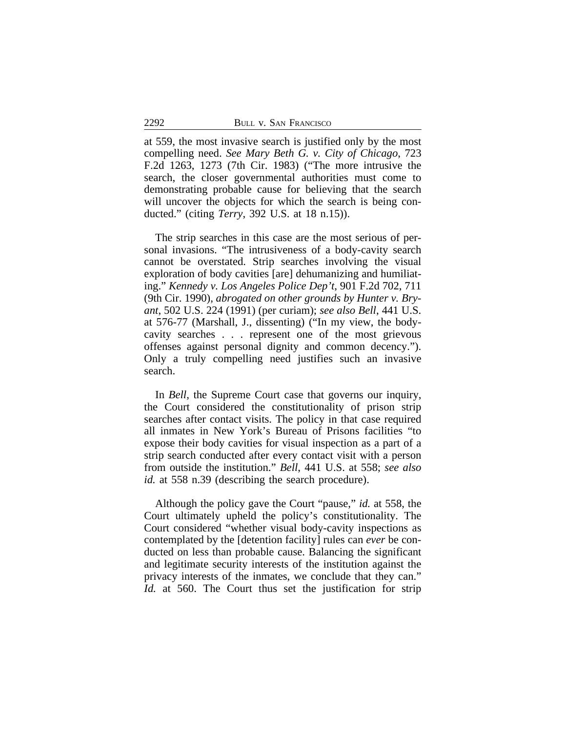at 559, the most invasive search is justified only by the most compelling need. *See Mary Beth G. v. City of Chicago*, 723 F.2d 1263, 1273 (7th Cir. 1983) ("The more intrusive the search, the closer governmental authorities must come to demonstrating probable cause for believing that the search will uncover the objects for which the search is being conducted." (citing *Terry*, 392 U.S. at 18 n.15)).

The strip searches in this case are the most serious of personal invasions. "The intrusiveness of a body-cavity search cannot be overstated. Strip searches involving the visual exploration of body cavities [are] dehumanizing and humiliating." *Kennedy v. Los Angeles Police Dep't*, 901 F.2d 702, 711 (9th Cir. 1990), *abrogated on other grounds by Hunter v. Bryant*, 502 U.S. 224 (1991) (per curiam); *see also Bell*, 441 U.S. at 576-77 (Marshall, J., dissenting) ("In my view, the bodycavity searches . . . represent one of the most grievous offenses against personal dignity and common decency."). Only a truly compelling need justifies such an invasive search.

In *Bell*, the Supreme Court case that governs our inquiry, the Court considered the constitutionality of prison strip searches after contact visits. The policy in that case required all inmates in New York's Bureau of Prisons facilities "to expose their body cavities for visual inspection as a part of a strip search conducted after every contact visit with a person from outside the institution." *Bell*, 441 U.S. at 558; *see also id.* at 558 n.39 (describing the search procedure).

Although the policy gave the Court "pause," *id.* at 558, the Court ultimately upheld the policy's constitutionality. The Court considered "whether visual body-cavity inspections as contemplated by the [detention facility] rules can *ever* be conducted on less than probable cause. Balancing the significant and legitimate security interests of the institution against the privacy interests of the inmates, we conclude that they can." *Id.* at 560. The Court thus set the justification for strip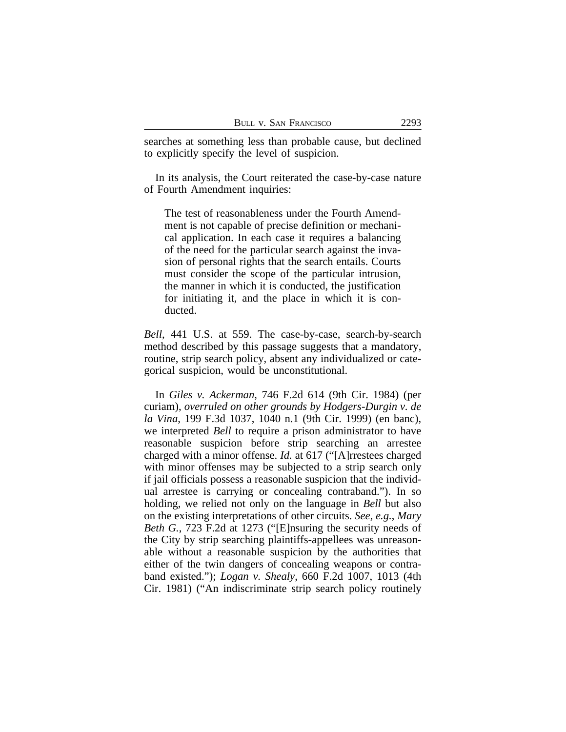searches at something less than probable cause, but declined to explicitly specify the level of suspicion.

In its analysis, the Court reiterated the case-by-case nature of Fourth Amendment inquiries:

The test of reasonableness under the Fourth Amendment is not capable of precise definition or mechanical application. In each case it requires a balancing of the need for the particular search against the invasion of personal rights that the search entails. Courts must consider the scope of the particular intrusion, the manner in which it is conducted, the justification for initiating it, and the place in which it is conducted.

*Bell*, 441 U.S. at 559. The case-by-case, search-by-search method described by this passage suggests that a mandatory, routine, strip search policy, absent any individualized or categorical suspicion, would be unconstitutional.

In *Giles v. Ackerman*, 746 F.2d 614 (9th Cir. 1984) (per curiam), *overruled on other grounds by Hodgers-Durgin v. de la Vina*, 199 F.3d 1037, 1040 n.1 (9th Cir. 1999) (en banc), we interpreted *Bell* to require a prison administrator to have reasonable suspicion before strip searching an arrestee charged with a minor offense. *Id.* at 617 ("[A]rrestees charged with minor offenses may be subjected to a strip search only if jail officials possess a reasonable suspicion that the individual arrestee is carrying or concealing contraband."). In so holding, we relied not only on the language in *Bell* but also on the existing interpretations of other circuits. *See, e.g.*, *Mary Beth G.*, 723 F.2d at 1273 ("[E]nsuring the security needs of the City by strip searching plaintiffs-appellees was unreasonable without a reasonable suspicion by the authorities that either of the twin dangers of concealing weapons or contraband existed."); *Logan v. Shealy*, 660 F.2d 1007, 1013 (4th Cir. 1981) ("An indiscriminate strip search policy routinely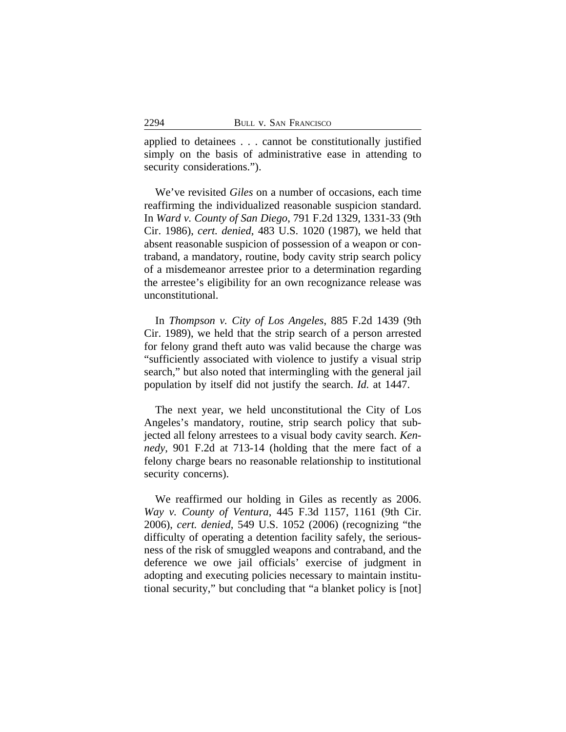applied to detainees . . . cannot be constitutionally justified simply on the basis of administrative ease in attending to security considerations.").

We've revisited *Giles* on a number of occasions, each time reaffirming the individualized reasonable suspicion standard. In *Ward v. County of San Diego*, 791 F.2d 1329, 1331-33 (9th Cir. 1986), *cert. denied*, 483 U.S. 1020 (1987), we held that absent reasonable suspicion of possession of a weapon or contraband, a mandatory, routine, body cavity strip search policy of a misdemeanor arrestee prior to a determination regarding the arrestee's eligibility for an own recognizance release was unconstitutional.

In *Thompson v. City of Los Angeles*, 885 F.2d 1439 (9th Cir. 1989), we held that the strip search of a person arrested for felony grand theft auto was valid because the charge was "sufficiently associated with violence to justify a visual strip search," but also noted that intermingling with the general jail population by itself did not justify the search. *Id.* at 1447.

The next year, we held unconstitutional the City of Los Angeles's mandatory, routine, strip search policy that subjected all felony arrestees to a visual body cavity search. *Kennedy*, 901 F.2d at 713-14 (holding that the mere fact of a felony charge bears no reasonable relationship to institutional security concerns).

We reaffirmed our holding in Giles as recently as 2006. *Way v. County of Ventura*, 445 F.3d 1157, 1161 (9th Cir. 2006), *cert. denied*, 549 U.S. 1052 (2006) (recognizing "the difficulty of operating a detention facility safely, the seriousness of the risk of smuggled weapons and contraband, and the deference we owe jail officials' exercise of judgment in adopting and executing policies necessary to maintain institutional security," but concluding that "a blanket policy is [not]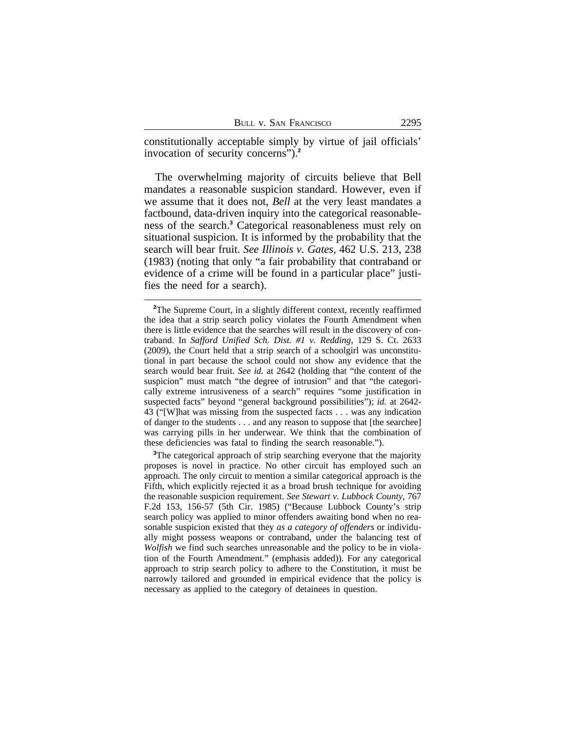constitutionally acceptable simply by virtue of jail officials' invocation of security concerns").**<sup>2</sup>**

The overwhelming majority of circuits believe that Bell mandates a reasonable suspicion standard. However, even if we assume that it does not, *Bell* at the very least mandates a factbound, data-driven inquiry into the categorical reasonableness of the search.**<sup>3</sup>** Categorical reasonableness must rely on situational suspicion. It is informed by the probability that the search will bear fruit. *See Illinois v. Gates*, 462 U.S. 213, 238 (1983) (noting that only "a fair probability that contraband or evidence of a crime will be found in a particular place" justifies the need for a search).

<sup>3</sup>The categorical approach of strip searching everyone that the majority proposes is novel in practice. No other circuit has employed such an approach. The only circuit to mention a similar categorical approach is the Fifth, which explicitly rejected it as a broad brush technique for avoiding the reasonable suspicion requirement. *See Stewart v. Lubbock County*, 767 F.2d 153, 156-57 (5th Cir. 1985) ("Because Lubbock County's strip search policy was applied to minor offenders awaiting bond when no reasonable suspicion existed that they *as a category of offenders* or individually might possess weapons or contraband, under the balancing test of *Wolfish* we find such searches unreasonable and the policy to be in violation of the Fourth Amendment." (emphasis added)). For any categorical approach to strip search policy to adhere to the Constitution, it must be narrowly tailored and grounded in empirical evidence that the policy is necessary as applied to the category of detainees in question.

<sup>&</sup>lt;sup>2</sup>The Supreme Court, in a slightly different context, recently reaffirmed the idea that a strip search policy violates the Fourth Amendment when there is little evidence that the searches will result in the discovery of contraband. In *Safford Unified Sch. Dist. #1 v. Redding*, 129 S. Ct. 2633 (2009), the Court held that a strip search of a schoolgirl was unconstitutional in part because the school could not show any evidence that the search would bear fruit. *See id.* at 2642 (holding that "the content of the suspicion" must match "the degree of intrusion" and that "the categorically extreme intrusiveness of a search" requires "some justification in suspected facts" beyond "general background possibilities"); *id.* at 2642- 43 ("[W]hat was missing from the suspected facts . . . was any indication of danger to the students . . . and any reason to suppose that [the searchee] was carrying pills in her underwear. We think that the combination of these deficiencies was fatal to finding the search reasonable.").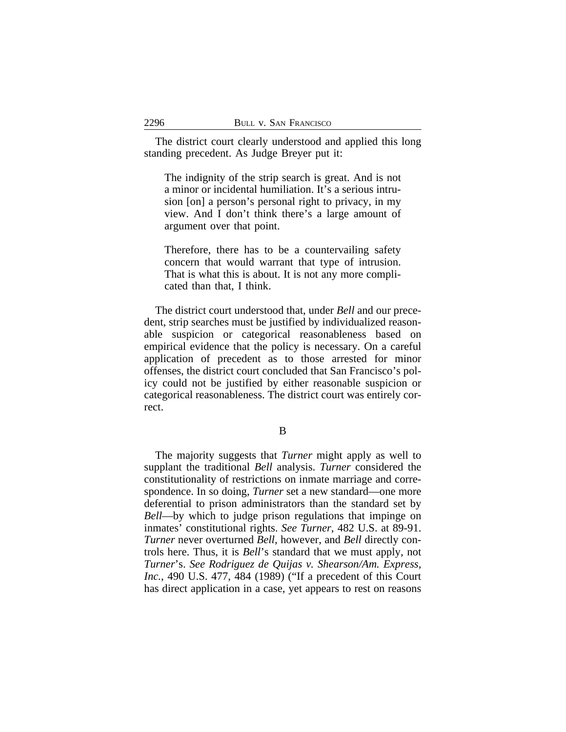The district court clearly understood and applied this long standing precedent. As Judge Breyer put it:

The indignity of the strip search is great. And is not a minor or incidental humiliation. It's a serious intrusion [on] a person's personal right to privacy, in my view. And I don't think there's a large amount of argument over that point.

Therefore, there has to be a countervailing safety concern that would warrant that type of intrusion. That is what this is about. It is not any more complicated than that, I think.

The district court understood that, under *Bell* and our precedent, strip searches must be justified by individualized reasonable suspicion or categorical reasonableness based on empirical evidence that the policy is necessary. On a careful application of precedent as to those arrested for minor offenses, the district court concluded that San Francisco's policy could not be justified by either reasonable suspicion or categorical reasonableness. The district court was entirely correct.

B

The majority suggests that *Turner* might apply as well to supplant the traditional *Bell* analysis. *Turner* considered the constitutionality of restrictions on inmate marriage and correspondence. In so doing, *Turner* set a new standard—one more deferential to prison administrators than the standard set by *Bell*—by which to judge prison regulations that impinge on inmates' constitutional rights. *See Turner*, 482 U.S. at 89-91. *Turner* never overturned *Bell*, however, and *Bell* directly controls here. Thus, it is *Bell*'s standard that we must apply, not *Turner*'s. *See Rodriguez de Quijas v. Shearson/Am. Express, Inc.*, 490 U.S. 477, 484 (1989) ("If a precedent of this Court has direct application in a case, yet appears to rest on reasons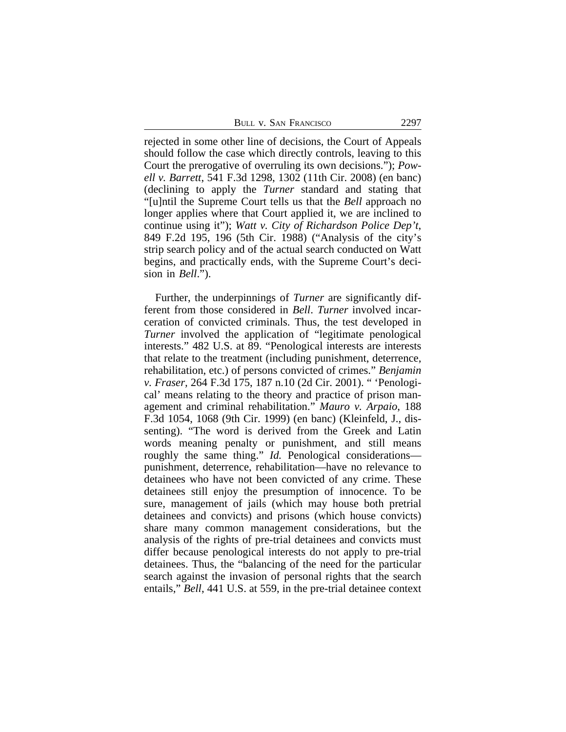rejected in some other line of decisions, the Court of Appeals should follow the case which directly controls, leaving to this Court the prerogative of overruling its own decisions."); *Powell v. Barrett*, 541 F.3d 1298, 1302 (11th Cir. 2008) (en banc) (declining to apply the *Turner* standard and stating that "[u]ntil the Supreme Court tells us that the *Bell* approach no longer applies where that Court applied it, we are inclined to continue using it"); *Watt v. City of Richardson Police Dep't*, 849 F.2d 195, 196 (5th Cir. 1988) ("Analysis of the city's strip search policy and of the actual search conducted on Watt begins, and practically ends, with the Supreme Court's decision in *Bell*.").

Further, the underpinnings of *Turner* are significantly different from those considered in *Bell*. *Turner* involved incarceration of convicted criminals. Thus, the test developed in *Turner* involved the application of "legitimate penological interests." 482 U.S. at 89. "Penological interests are interests that relate to the treatment (including punishment, deterrence, rehabilitation, etc.) of persons convicted of crimes." *Benjamin v. Fraser,* 264 F.3d 175, 187 n.10 (2d Cir. 2001). " 'Penological' means relating to the theory and practice of prison management and criminal rehabilitation." *Mauro v. Arpaio*, 188 F.3d 1054, 1068 (9th Cir. 1999) (en banc) (Kleinfeld, J., dissenting). "The word is derived from the Greek and Latin words meaning penalty or punishment, and still means roughly the same thing." *Id.* Penological considerations punishment, deterrence, rehabilitation—have no relevance to detainees who have not been convicted of any crime. These detainees still enjoy the presumption of innocence. To be sure, management of jails (which may house both pretrial detainees and convicts) and prisons (which house convicts) share many common management considerations, but the analysis of the rights of pre-trial detainees and convicts must differ because penological interests do not apply to pre-trial detainees. Thus, the "balancing of the need for the particular search against the invasion of personal rights that the search entails," *Bell*, 441 U.S. at 559, in the pre-trial detainee context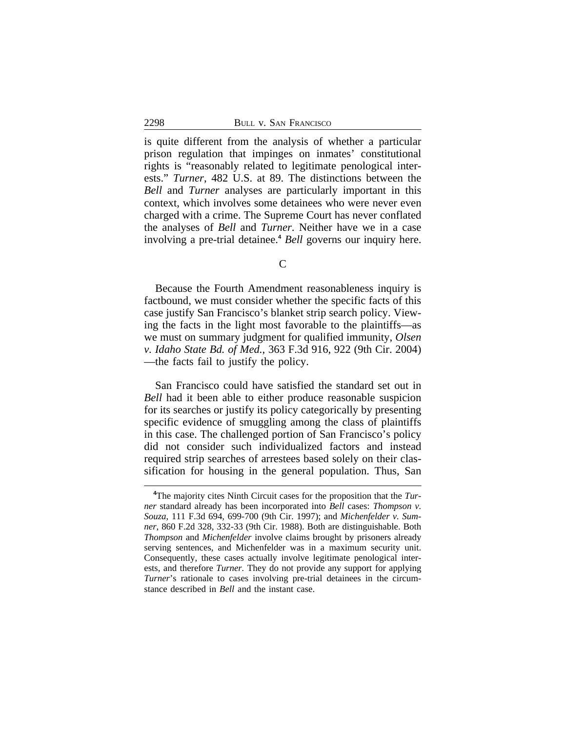is quite different from the analysis of whether a particular prison regulation that impinges on inmates' constitutional rights is "reasonably related to legitimate penological interests." *Turner*, 482 U.S. at 89. The distinctions between the *Bell* and *Turner* analyses are particularly important in this context, which involves some detainees who were never even charged with a crime. The Supreme Court has never conflated the analyses of *Bell* and *Turner*. Neither have we in a case involving a pre-trial detainee.**<sup>4</sup>** *Bell* governs our inquiry here.

 $\mathcal{C}$ 

Because the Fourth Amendment reasonableness inquiry is factbound, we must consider whether the specific facts of this case justify San Francisco's blanket strip search policy. Viewing the facts in the light most favorable to the plaintiffs—as we must on summary judgment for qualified immunity, *Olsen v. Idaho State Bd. of Med.*, 363 F.3d 916, 922 (9th Cir. 2004) —the facts fail to justify the policy.

San Francisco could have satisfied the standard set out in *Bell* had it been able to either produce reasonable suspicion for its searches or justify its policy categorically by presenting specific evidence of smuggling among the class of plaintiffs in this case. The challenged portion of San Francisco's policy did not consider such individualized factors and instead required strip searches of arrestees based solely on their classification for housing in the general population. Thus, San

**<sup>4</sup>**The majority cites Ninth Circuit cases for the proposition that the *Turner* standard already has been incorporated into *Bell* cases: *Thompson v. Souza*, 111 F.3d 694, 699-700 (9th Cir. 1997); and *Michenfelder v. Sumner*, 860 F.2d 328, 332-33 (9th Cir. 1988). Both are distinguishable. Both *Thompson* and *Michenfelder* involve claims brought by prisoners already serving sentences, and Michenfelder was in a maximum security unit. Consequently, these cases actually involve legitimate penological interests, and therefore *Turner.* They do not provide any support for applying *Turner*'s rationale to cases involving pre-trial detainees in the circumstance described in *Bell* and the instant case.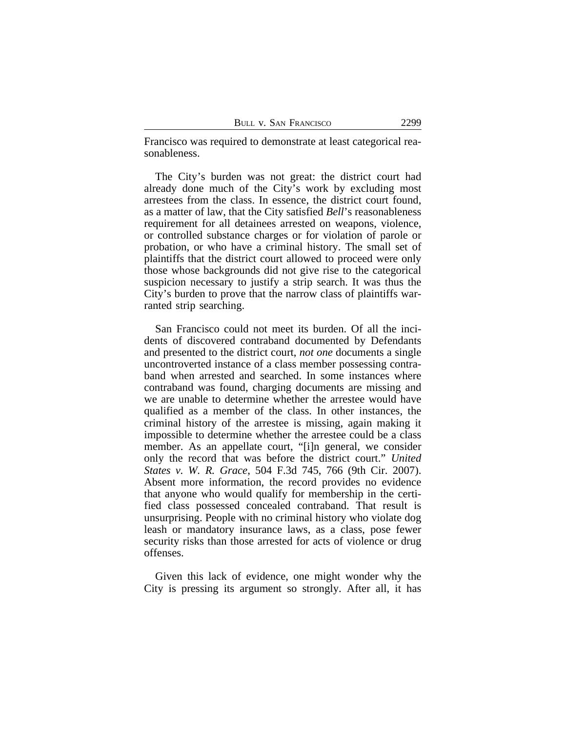Francisco was required to demonstrate at least categorical reasonableness.

The City's burden was not great: the district court had already done much of the City's work by excluding most arrestees from the class. In essence, the district court found, as a matter of law, that the City satisfied *Bell*'s reasonableness requirement for all detainees arrested on weapons, violence, or controlled substance charges or for violation of parole or probation, or who have a criminal history. The small set of plaintiffs that the district court allowed to proceed were only those whose backgrounds did not give rise to the categorical suspicion necessary to justify a strip search. It was thus the City's burden to prove that the narrow class of plaintiffs warranted strip searching.

San Francisco could not meet its burden. Of all the incidents of discovered contraband documented by Defendants and presented to the district court, *not one* documents a single uncontroverted instance of a class member possessing contraband when arrested and searched. In some instances where contraband was found, charging documents are missing and we are unable to determine whether the arrestee would have qualified as a member of the class. In other instances, the criminal history of the arrestee is missing, again making it impossible to determine whether the arrestee could be a class member. As an appellate court, "[i]n general, we consider only the record that was before the district court." *United States v. W. R. Grace*, 504 F.3d 745, 766 (9th Cir. 2007). Absent more information, the record provides no evidence that anyone who would qualify for membership in the certified class possessed concealed contraband. That result is unsurprising. People with no criminal history who violate dog leash or mandatory insurance laws, as a class, pose fewer security risks than those arrested for acts of violence or drug offenses.

Given this lack of evidence, one might wonder why the City is pressing its argument so strongly. After all, it has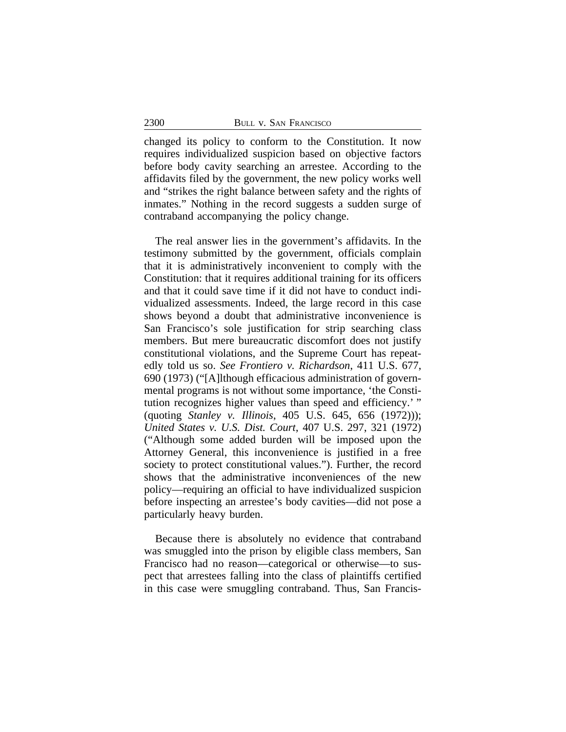changed its policy to conform to the Constitution. It now requires individualized suspicion based on objective factors before body cavity searching an arrestee. According to the affidavits filed by the government, the new policy works well and "strikes the right balance between safety and the rights of inmates." Nothing in the record suggests a sudden surge of contraband accompanying the policy change.

The real answer lies in the government's affidavits. In the testimony submitted by the government, officials complain that it is administratively inconvenient to comply with the Constitution: that it requires additional training for its officers and that it could save time if it did not have to conduct individualized assessments. Indeed, the large record in this case shows beyond a doubt that administrative inconvenience is San Francisco's sole justification for strip searching class members. But mere bureaucratic discomfort does not justify constitutional violations, and the Supreme Court has repeatedly told us so. *See Frontiero v. Richardson*, 411 U.S. 677, 690 (1973) ("[A]lthough efficacious administration of governmental programs is not without some importance, 'the Constitution recognizes higher values than speed and efficiency.'" (quoting *Stanley v. Illinois*, 405 U.S. 645, 656 (1972))); *United States v. U.S. Dist. Court*, 407 U.S. 297, 321 (1972) ("Although some added burden will be imposed upon the Attorney General, this inconvenience is justified in a free society to protect constitutional values."). Further, the record shows that the administrative inconveniences of the new policy—requiring an official to have individualized suspicion before inspecting an arrestee's body cavities—did not pose a particularly heavy burden.

Because there is absolutely no evidence that contraband was smuggled into the prison by eligible class members, San Francisco had no reason—categorical or otherwise—to suspect that arrestees falling into the class of plaintiffs certified in this case were smuggling contraband. Thus, San Francis-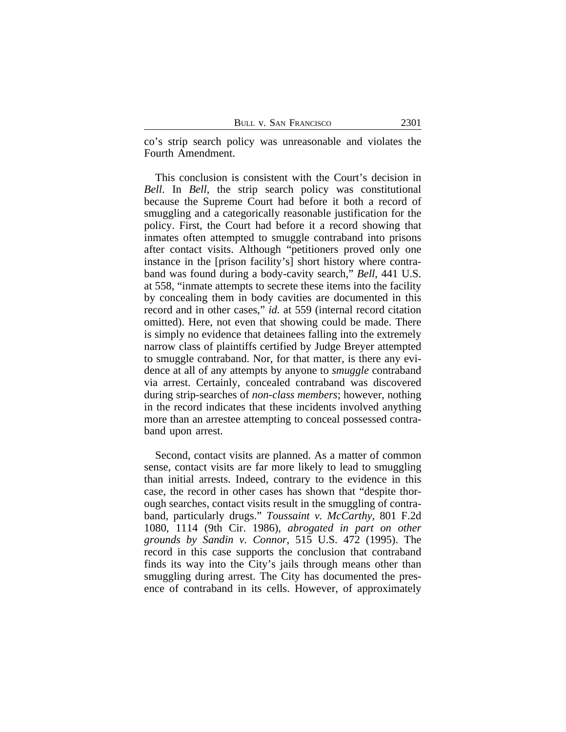co's strip search policy was unreasonable and violates the Fourth Amendment.

This conclusion is consistent with the Court's decision in *Bell*. In *Bell*, the strip search policy was constitutional because the Supreme Court had before it both a record of smuggling and a categorically reasonable justification for the policy. First, the Court had before it a record showing that inmates often attempted to smuggle contraband into prisons after contact visits. Although "petitioners proved only one instance in the [prison facility's] short history where contraband was found during a body-cavity search," *Bell*, 441 U.S. at 558, "inmate attempts to secrete these items into the facility by concealing them in body cavities are documented in this record and in other cases," *id.* at 559 (internal record citation omitted). Here, not even that showing could be made. There is simply no evidence that detainees falling into the extremely narrow class of plaintiffs certified by Judge Breyer attempted to smuggle contraband. Nor, for that matter, is there any evidence at all of any attempts by anyone to *smuggle* contraband via arrest. Certainly, concealed contraband was discovered during strip-searches of *non-class members*; however, nothing in the record indicates that these incidents involved anything more than an arrestee attempting to conceal possessed contraband upon arrest.

Second, contact visits are planned. As a matter of common sense, contact visits are far more likely to lead to smuggling than initial arrests. Indeed, contrary to the evidence in this case, the record in other cases has shown that "despite thorough searches, contact visits result in the smuggling of contraband, particularly drugs." *Toussaint v. McCarthy*, 801 F.2d 1080, 1114 (9th Cir. 1986), *abrogated in part on other grounds by Sandin v. Connor*, 515 U.S. 472 (1995). The record in this case supports the conclusion that contraband finds its way into the City's jails through means other than smuggling during arrest. The City has documented the presence of contraband in its cells. However, of approximately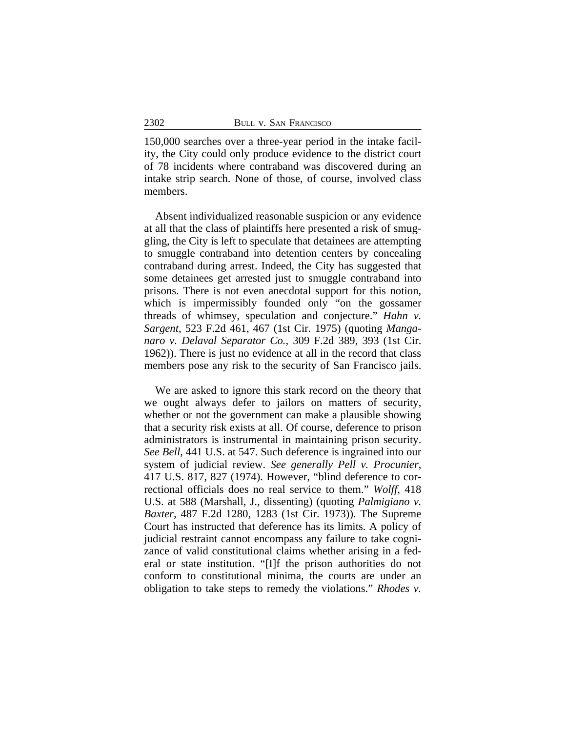150,000 searches over a three-year period in the intake facility, the City could only produce evidence to the district court of 78 incidents where contraband was discovered during an intake strip search. None of those, of course, involved class members.

Absent individualized reasonable suspicion or any evidence at all that the class of plaintiffs here presented a risk of smuggling, the City is left to speculate that detainees are attempting to smuggle contraband into detention centers by concealing contraband during arrest. Indeed, the City has suggested that some detainees get arrested just to smuggle contraband into prisons. There is not even anecdotal support for this notion, which is impermissibly founded only "on the gossamer threads of whimsey, speculation and conjecture." *Hahn v. Sargent*, 523 F.2d 461, 467 (1st Cir. 1975) (quoting *Manganaro v. Delaval Separator Co.*, 309 F.2d 389, 393 (1st Cir. 1962)). There is just no evidence at all in the record that class members pose any risk to the security of San Francisco jails.

We are asked to ignore this stark record on the theory that we ought always defer to jailors on matters of security, whether or not the government can make a plausible showing that a security risk exists at all. Of course, deference to prison administrators is instrumental in maintaining prison security. *See Bell*, 441 U.S. at 547. Such deference is ingrained into our system of judicial review. *See generally Pell v. Procunier*, 417 U.S. 817, 827 (1974). However, "blind deference to correctional officials does no real service to them." *Wolff*, 418 U.S. at 588 (Marshall, J., dissenting) (quoting *Palmigiano v. Baxter*, 487 F.2d 1280, 1283 (1st Cir. 1973)). The Supreme Court has instructed that deference has its limits. A policy of judicial restraint cannot encompass any failure to take cognizance of valid constitutional claims whether arising in a federal or state institution. "[I]f the prison authorities do not conform to constitutional minima, the courts are under an obligation to take steps to remedy the violations." *Rhodes v.*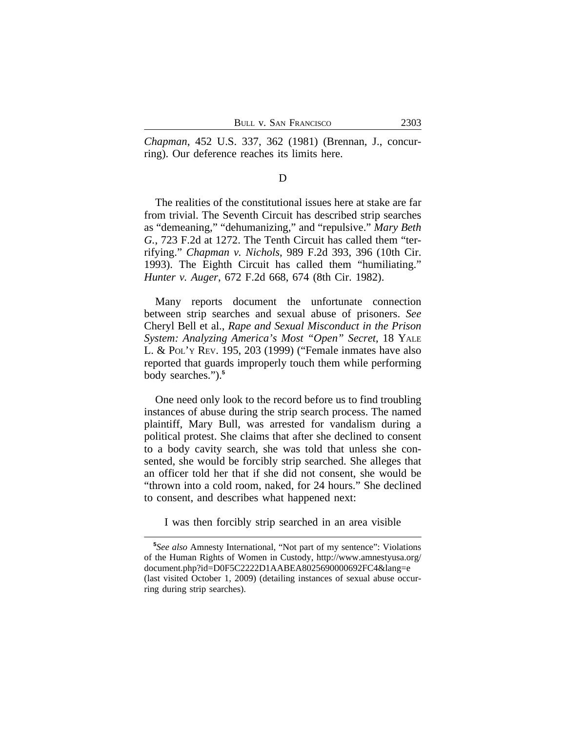*Chapman*, 452 U.S. 337, 362 (1981) (Brennan, J., concurring). Our deference reaches its limits here.

### D

The realities of the constitutional issues here at stake are far from trivial. The Seventh Circuit has described strip searches as "demeaning," "dehumanizing," and "repulsive." *Mary Beth G.*, 723 F.2d at 1272. The Tenth Circuit has called them "terrifying." *Chapman v. Nichols*, 989 F.2d 393, 396 (10th Cir. 1993). The Eighth Circuit has called them "humiliating." *Hunter v. Auger*, 672 F.2d 668, 674 (8th Cir. 1982).

Many reports document the unfortunate connection between strip searches and sexual abuse of prisoners. *See* Cheryl Bell et al., *Rape and Sexual Misconduct in the Prison System: Analyzing America's Most "Open" Secret*, 18 YALE L. & POL'Y REV. 195, 203 (1999) ("Female inmates have also reported that guards improperly touch them while performing body searches.").**<sup>5</sup>**

One need only look to the record before us to find troubling instances of abuse during the strip search process. The named plaintiff, Mary Bull, was arrested for vandalism during a political protest. She claims that after she declined to consent to a body cavity search, she was told that unless she consented, she would be forcibly strip searched. She alleges that an officer told her that if she did not consent, she would be "thrown into a cold room, naked, for 24 hours." She declined to consent, and describes what happened next:

I was then forcibly strip searched in an area visible

**<sup>5</sup>** *See also* Amnesty International, "Not part of my sentence": Violations of the Human Rights of Women in Custody, http://www.amnestyusa.org/ document.php?id=D0F5C2222D1AABEA8025690000692FC4&lang=e (last visited October 1, 2009) (detailing instances of sexual abuse occurring during strip searches).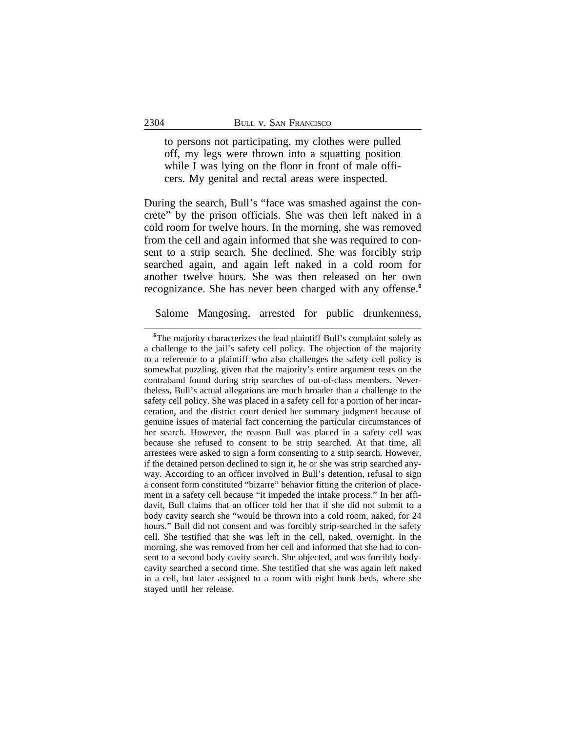to persons not participating, my clothes were pulled off, my legs were thrown into a squatting position while I was lying on the floor in front of male officers. My genital and rectal areas were inspected.

During the search, Bull's "face was smashed against the concrete" by the prison officials. She was then left naked in a cold room for twelve hours. In the morning, she was removed from the cell and again informed that she was required to consent to a strip search. She declined. She was forcibly strip searched again, and again left naked in a cold room for another twelve hours. She was then released on her own recognizance. She has never been charged with any offense.**<sup>6</sup>**

Salome Mangosing, arrested for public drunkenness,

<sup>&</sup>lt;sup>6</sup>The majority characterizes the lead plaintiff Bull's complaint solely as a challenge to the jail's safety cell policy. The objection of the majority to a reference to a plaintiff who also challenges the safety cell policy is somewhat puzzling, given that the majority's entire argument rests on the contraband found during strip searches of out-of-class members. Nevertheless, Bull's actual allegations are much broader than a challenge to the safety cell policy. She was placed in a safety cell for a portion of her incarceration, and the district court denied her summary judgment because of genuine issues of material fact concerning the particular circumstances of her search. However, the reason Bull was placed in a safety cell was because she refused to consent to be strip searched. At that time, all arrestees were asked to sign a form consenting to a strip search. However, if the detained person declined to sign it, he or she was strip searched anyway. According to an officer involved in Bull's detention, refusal to sign a consent form constituted "bizarre" behavior fitting the criterion of placement in a safety cell because "it impeded the intake process." In her affidavit, Bull claims that an officer told her that if she did not submit to a body cavity search she "would be thrown into a cold room, naked, for 24 hours." Bull did not consent and was forcibly strip-searched in the safety cell. She testified that she was left in the cell, naked, overnight. In the morning, she was removed from her cell and informed that she had to consent to a second body cavity search. She objected, and was forcibly bodycavity searched a second time. She testified that she was again left naked in a cell, but later assigned to a room with eight bunk beds, where she stayed until her release.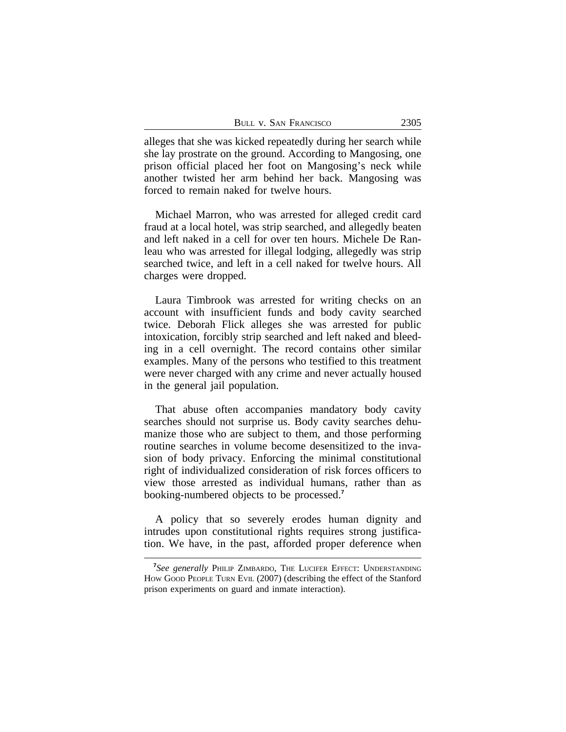| BULL V. SAN FRANCISCO | 2305 |
|-----------------------|------|
|                       |      |

alleges that she was kicked repeatedly during her search while she lay prostrate on the ground. According to Mangosing, one prison official placed her foot on Mangosing's neck while another twisted her arm behind her back. Mangosing was forced to remain naked for twelve hours.

Michael Marron, who was arrested for alleged credit card fraud at a local hotel, was strip searched, and allegedly beaten and left naked in a cell for over ten hours. Michele De Ranleau who was arrested for illegal lodging, allegedly was strip searched twice, and left in a cell naked for twelve hours. All charges were dropped.

Laura Timbrook was arrested for writing checks on an account with insufficient funds and body cavity searched twice. Deborah Flick alleges she was arrested for public intoxication, forcibly strip searched and left naked and bleeding in a cell overnight. The record contains other similar examples. Many of the persons who testified to this treatment were never charged with any crime and never actually housed in the general jail population.

That abuse often accompanies mandatory body cavity searches should not surprise us. Body cavity searches dehumanize those who are subject to them, and those performing routine searches in volume become desensitized to the invasion of body privacy. Enforcing the minimal constitutional right of individualized consideration of risk forces officers to view those arrested as individual humans, rather than as booking-numbered objects to be processed.**<sup>7</sup>**

A policy that so severely erodes human dignity and intrudes upon constitutional rights requires strong justification. We have, in the past, afforded proper deference when

**<sup>7</sup>** *See generally* PHILIP ZIMBARDO, THE LUCIFER EFFECT: UNDERSTANDING HOW GOOD PEOPLE TURN EVIL (2007) (describing the effect of the Stanford prison experiments on guard and inmate interaction).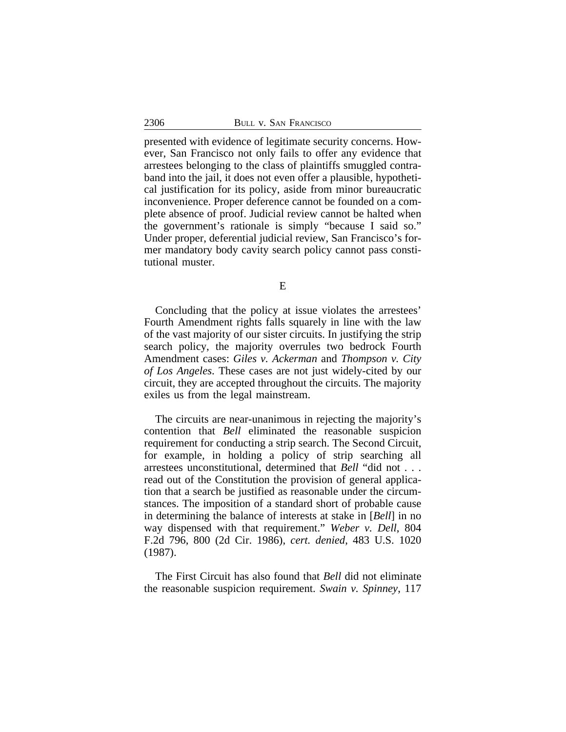presented with evidence of legitimate security concerns. However, San Francisco not only fails to offer any evidence that arrestees belonging to the class of plaintiffs smuggled contraband into the jail, it does not even offer a plausible, hypothetical justification for its policy, aside from minor bureaucratic inconvenience. Proper deference cannot be founded on a complete absence of proof. Judicial review cannot be halted when the government's rationale is simply "because I said so." Under proper, deferential judicial review, San Francisco's former mandatory body cavity search policy cannot pass constitutional muster.

E

Concluding that the policy at issue violates the arrestees' Fourth Amendment rights falls squarely in line with the law of the vast majority of our sister circuits. In justifying the strip search policy, the majority overrules two bedrock Fourth Amendment cases: *Giles v. Ackerman* and *Thompson v. City of Los Angeles*. These cases are not just widely-cited by our circuit, they are accepted throughout the circuits. The majority exiles us from the legal mainstream.

The circuits are near-unanimous in rejecting the majority's contention that *Bell* eliminated the reasonable suspicion requirement for conducting a strip search. The Second Circuit, for example, in holding a policy of strip searching all arrestees unconstitutional, determined that *Bell* "did not . . . read out of the Constitution the provision of general application that a search be justified as reasonable under the circumstances. The imposition of a standard short of probable cause in determining the balance of interests at stake in [*Bell*] in no way dispensed with that requirement." *Weber v. Dell*, 804 F.2d 796, 800 (2d Cir. 1986), *cert. denied*, 483 U.S. 1020 (1987).

The First Circuit has also found that *Bell* did not eliminate the reasonable suspicion requirement. *Swain v. Spinney*, 117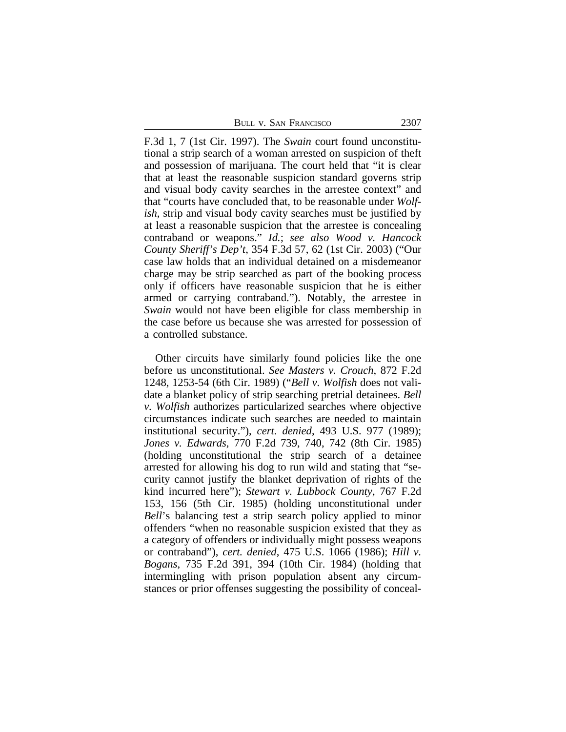| 2307<br>Bull v. San Francisco |  |
|-------------------------------|--|
|-------------------------------|--|

F.3d 1, 7 (1st Cir. 1997). The *Swain* court found unconstitutional a strip search of a woman arrested on suspicion of theft and possession of marijuana. The court held that "it is clear that at least the reasonable suspicion standard governs strip and visual body cavity searches in the arrestee context" and that "courts have concluded that, to be reasonable under *Wolfish*, strip and visual body cavity searches must be justified by at least a reasonable suspicion that the arrestee is concealing contraband or weapons." *Id.*; *see also Wood v. Hancock County Sheriff's Dep't*, 354 F.3d 57, 62 (1st Cir. 2003) ("Our case law holds that an individual detained on a misdemeanor charge may be strip searched as part of the booking process only if officers have reasonable suspicion that he is either armed or carrying contraband."). Notably, the arrestee in *Swain* would not have been eligible for class membership in the case before us because she was arrested for possession of a controlled substance.

Other circuits have similarly found policies like the one before us unconstitutional. *See Masters v. Crouch*, 872 F.2d 1248, 1253-54 (6th Cir. 1989) ("*Bell v. Wolfish* does not validate a blanket policy of strip searching pretrial detainees. *Bell v. Wolfish* authorizes particularized searches where objective circumstances indicate such searches are needed to maintain institutional security."), *cert. denied*, 493 U.S. 977 (1989); *Jones v. Edwards*, 770 F.2d 739, 740, 742 (8th Cir. 1985) (holding unconstitutional the strip search of a detainee arrested for allowing his dog to run wild and stating that "security cannot justify the blanket deprivation of rights of the kind incurred here"); *Stewart v. Lubbock County*, 767 F.2d 153, 156 (5th Cir. 1985) (holding unconstitutional under *Bell*'s balancing test a strip search policy applied to minor offenders "when no reasonable suspicion existed that they as a category of offenders or individually might possess weapons or contraband"), *cert. denied*, 475 U.S. 1066 (1986); *Hill v. Bogans*, 735 F.2d 391, 394 (10th Cir. 1984) (holding that intermingling with prison population absent any circumstances or prior offenses suggesting the possibility of conceal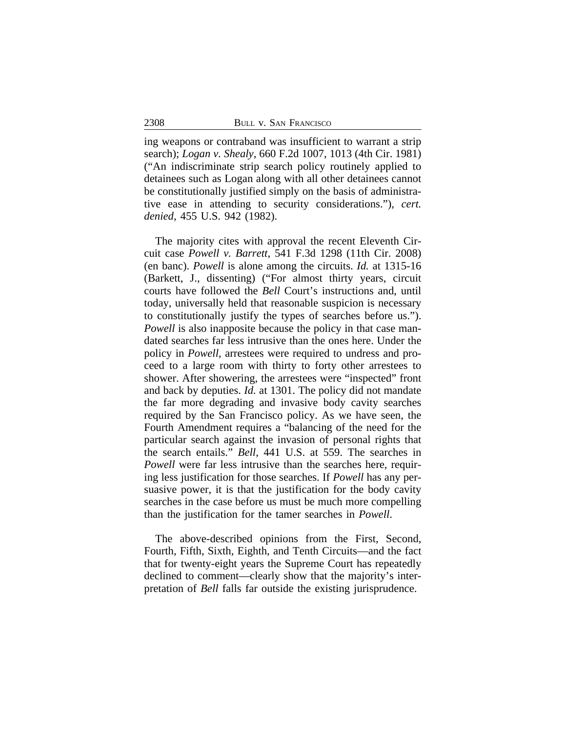ing weapons or contraband was insufficient to warrant a strip search); *Logan v. Shealy*, 660 F.2d 1007, 1013 (4th Cir. 1981) ("An indiscriminate strip search policy routinely applied to detainees such as Logan along with all other detainees cannot be constitutionally justified simply on the basis of administrative ease in attending to security considerations."), *cert. denied*, 455 U.S. 942 (1982).

The majority cites with approval the recent Eleventh Circuit case *Powell v. Barrett*, 541 F.3d 1298 (11th Cir. 2008) (en banc). *Powell* is alone among the circuits. *Id.* at 1315-16 (Barkett, J., dissenting) ("For almost thirty years, circuit courts have followed the *Bell* Court's instructions and, until today, universally held that reasonable suspicion is necessary to constitutionally justify the types of searches before us."). *Powell* is also inapposite because the policy in that case mandated searches far less intrusive than the ones here. Under the policy in *Powell*, arrestees were required to undress and proceed to a large room with thirty to forty other arrestees to shower. After showering, the arrestees were "inspected" front and back by deputies. *Id.* at 1301. The policy did not mandate the far more degrading and invasive body cavity searches required by the San Francisco policy. As we have seen, the Fourth Amendment requires a "balancing of the need for the particular search against the invasion of personal rights that the search entails." *Bell*, 441 U.S. at 559. The searches in *Powell* were far less intrusive than the searches here, requiring less justification for those searches. If *Powell* has any persuasive power, it is that the justification for the body cavity searches in the case before us must be much more compelling than the justification for the tamer searches in *Powell*.

The above-described opinions from the First, Second, Fourth, Fifth, Sixth, Eighth, and Tenth Circuits—and the fact that for twenty-eight years the Supreme Court has repeatedly declined to comment—clearly show that the majority's interpretation of *Bell* falls far outside the existing jurisprudence.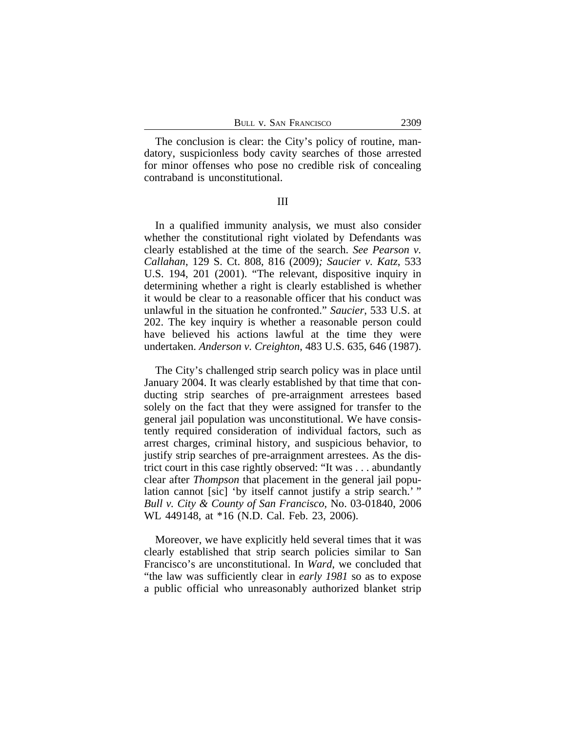The conclusion is clear: the City's policy of routine, mandatory, suspicionless body cavity searches of those arrested for minor offenses who pose no credible risk of concealing contraband is unconstitutional.

III

In a qualified immunity analysis, we must also consider whether the constitutional right violated by Defendants was clearly established at the time of the search. *See Pearson v. Callahan*, 129 S. Ct. 808, 816 (2009)*; Saucier v. Katz*, 533 U.S. 194, 201 (2001). "The relevant, dispositive inquiry in determining whether a right is clearly established is whether it would be clear to a reasonable officer that his conduct was unlawful in the situation he confronted." *Saucier*, 533 U.S. at 202. The key inquiry is whether a reasonable person could have believed his actions lawful at the time they were undertaken. *Anderson v. Creighton*, 483 U.S. 635, 646 (1987).

The City's challenged strip search policy was in place until January 2004. It was clearly established by that time that conducting strip searches of pre-arraignment arrestees based solely on the fact that they were assigned for transfer to the general jail population was unconstitutional. We have consistently required consideration of individual factors, such as arrest charges, criminal history, and suspicious behavior, to justify strip searches of pre-arraignment arrestees. As the district court in this case rightly observed: "It was . . . abundantly clear after *Thompson* that placement in the general jail population cannot [sic] 'by itself cannot justify a strip search.' " *Bull v. City & County of San Francisco*, No. 03-01840, 2006 WL 449148, at \*16 (N.D. Cal. Feb. 23, 2006).

Moreover, we have explicitly held several times that it was clearly established that strip search policies similar to San Francisco's are unconstitutional. In *Ward*, we concluded that "the law was sufficiently clear in *early 1981* so as to expose a public official who unreasonably authorized blanket strip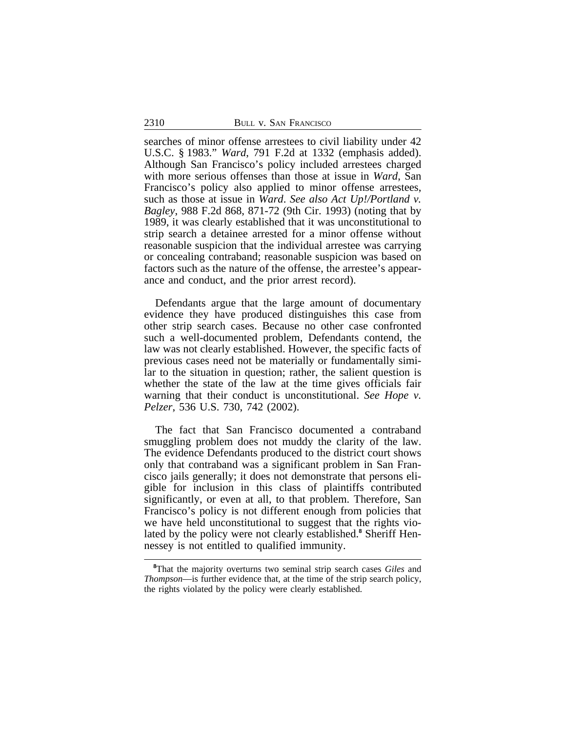searches of minor offense arrestees to civil liability under 42 U.S.C. § 1983." *Ward*, 791 F.2d at 1332 (emphasis added). Although San Francisco's policy included arrestees charged with more serious offenses than those at issue in *Ward*, San Francisco's policy also applied to minor offense arrestees, such as those at issue in *Ward*. *See also Act Up!/Portland v. Bagley*, 988 F.2d 868, 871-72 (9th Cir. 1993) (noting that by 1989, it was clearly established that it was unconstitutional to strip search a detainee arrested for a minor offense without reasonable suspicion that the individual arrestee was carrying or concealing contraband; reasonable suspicion was based on factors such as the nature of the offense, the arrestee's appearance and conduct, and the prior arrest record).

Defendants argue that the large amount of documentary evidence they have produced distinguishes this case from other strip search cases. Because no other case confronted such a well-documented problem, Defendants contend, the law was not clearly established. However, the specific facts of previous cases need not be materially or fundamentally similar to the situation in question; rather, the salient question is whether the state of the law at the time gives officials fair warning that their conduct is unconstitutional. *See Hope v. Pelzer*, 536 U.S. 730, 742 (2002).

The fact that San Francisco documented a contraband smuggling problem does not muddy the clarity of the law. The evidence Defendants produced to the district court shows only that contraband was a significant problem in San Francisco jails generally; it does not demonstrate that persons eligible for inclusion in this class of plaintiffs contributed significantly, or even at all, to that problem. Therefore, San Francisco's policy is not different enough from policies that we have held unconstitutional to suggest that the rights violated by the policy were not clearly established.**<sup>8</sup>** Sheriff Hennessey is not entitled to qualified immunity.

**<sup>8</sup>**That the majority overturns two seminal strip search cases *Giles* and *Thompson*—is further evidence that, at the time of the strip search policy, the rights violated by the policy were clearly established.